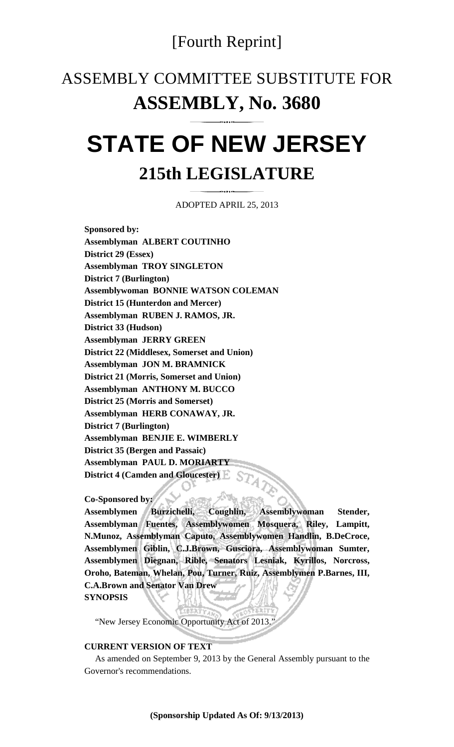### [Fourth Reprint]

## ASSEMBLY COMMITTEE SUBSTITUTE FOR **ASSEMBLY, No. 3680**

# **STATE OF NEW JERSEY 215th LEGISLATURE**

ADOPTED APRIL 25, 2013

**Sponsored by: Assemblyman ALBERT COUTINHO District 29 (Essex) Assemblyman TROY SINGLETON District 7 (Burlington) Assemblywoman BONNIE WATSON COLEMAN District 15 (Hunterdon and Mercer) Assemblyman RUBEN J. RAMOS, JR. District 33 (Hudson) Assemblyman JERRY GREEN District 22 (Middlesex, Somerset and Union) Assemblyman JON M. BRAMNICK District 21 (Morris, Somerset and Union) Assemblyman ANTHONY M. BUCCO District 25 (Morris and Somerset) Assemblyman HERB CONAWAY, JR. District 7 (Burlington) Assemblyman BENJIE E. WIMBERLY District 35 (Bergen and Passaic) Assemblyman PAUL D. MORIARTY District 4 (Camden and Gloucester)** 

#### **Co-Sponsored by:**

**Assemblymen Burzichelli, Coughlin, Assemblywoman Stender, Assemblyman Fuentes, Assemblywomen Mosquera, Riley, Lampitt, N.Munoz, Assemblyman Caputo, Assemblywomen Handlin, B.DeCroce, Assemblymen Giblin, C.J.Brown, Gusciora, Assemblywoman Sumter, Assemblymen Diegnan, Rible, Senators Lesniak, Kyrillos, Norcross, Oroho, Bateman, Whelan, Pou, Turner, Ruiz, Assemblymen P.Barnes, III, C.A.Brown and Senator Van Drew SYNOPSIS** 

"New Jersey Economic Opportunity Act of 2013."

#### **CURRENT VERSION OF TEXT**

 As amended on September 9, 2013 by the General Assembly pursuant to the Governor's recommendations.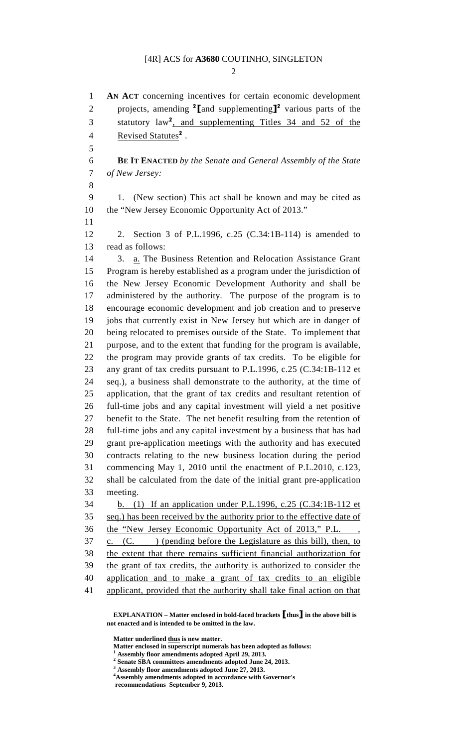$\mathcal{D}$ 

1 **AN ACT** concerning incentives for certain economic development 2 projects, amending  $\binom{2}{1}$  and supplementing  $\binom{3}{2}$  various parts of the 3 statutory law<sup>2</sup>, and supplementing Titles 34 and 52 of the 4 Revised Statutes<sup>2</sup>. 5 6 **BE IT ENACTED** *by the Senate and General Assembly of the State*  7 *of New Jersey:*  8 9 1. (New section) This act shall be known and may be cited as 10 the "New Jersey Economic Opportunity Act of 2013." 11 12 2. Section 3 of P.L.1996, c.25 (C.34:1B-114) is amended to 13 read as follows: 14 3. a. The Business Retention and Relocation Assistance Grant 15 Program is hereby established as a program under the jurisdiction of 16 the New Jersey Economic Development Authority and shall be 17 administered by the authority. The purpose of the program is to 18 encourage economic development and job creation and to preserve 19 jobs that currently exist in New Jersey but which are in danger of 20 being relocated to premises outside of the State. To implement that 21 purpose, and to the extent that funding for the program is available, 22 the program may provide grants of tax credits. To be eligible for 23 any grant of tax credits pursuant to P.L.1996, c.25 (C.34:1B-112 et 24 seq.), a business shall demonstrate to the authority, at the time of 25 application, that the grant of tax credits and resultant retention of 26 full-time jobs and any capital investment will yield a net positive 27 benefit to the State. The net benefit resulting from the retention of 28 full-time jobs and any capital investment by a business that has had 29 grant pre-application meetings with the authority and has executed 30 contracts relating to the new business location during the period 31 commencing May 1, 2010 until the enactment of P.L.2010, c.123, 32 shall be calculated from the date of the initial grant pre-application 33 meeting. 34 b. (1) If an application under P.L.1996, c.25 (C.34:1B-112 et 35 seq.) has been received by the authority prior to the effective date of 36 the "New Jersey Economic Opportunity Act of 2013," P.L. ,  $37 \quad \text{c.} \quad \text{(C.)} \quad \text{(pending before the Legislature as this bill), then, to}$ 38 the extent that there remains sufficient financial authorization for 39 the grant of tax credits, the authority is authorized to consider the 40 application and to make a grant of tax credits to an eligible 41 applicant, provided that the authority shall take final action on that

 **EXPLANATION – Matter enclosed in bold-faced brackets** [**thus**] **in the above bill is not enacted and is intended to be omitted in the law.** 

 **Matter underlined thus is new matter.** 

 **Matter enclosed in superscript numerals has been adopted as follows: 1**

 **Assembly floor amendments adopted April 29, 2013.** 

**2 Senate SBA committees amendments adopted June 24, 2013.** 

- **3 Assembly floor amendments adopted June 27, 2013.**
- **4 Assembly amendments adopted in accordance with Governor's**

**recommendations September 9, 2013.**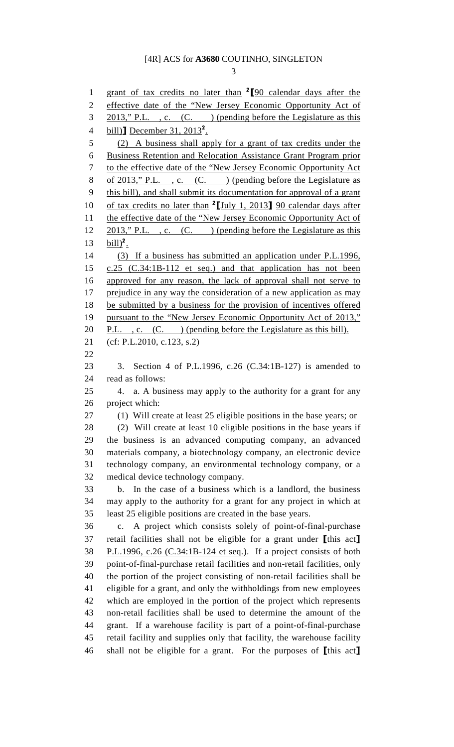3

1 grant of tax credits no later than  $2\llbracket 90 \text{ calendar days after the} \right.$ 2 effective date of the "New Jersey Economic Opportunity Act of 3 2013," P.L., c. (C.) (pending before the Legislature as this 4 bill)**]** December  $31, 2013^2$ . 5 (2) A business shall apply for a grant of tax credits under the 6 Business Retention and Relocation Assistance Grant Program prior 7 to the effective date of the "New Jersey Economic Opportunity Act 8 of 2013," P.L., c. (C.) (pending before the Legislature as 9 this bill), and shall submit its documentation for approval of a grant 10 of tax credits no later than  $2$ [July 1, 2013] 90 calendar days after 11 the effective date of the "New Jersey Economic Opportunity Act of 12 2013," P.L., c. (C.) (pending before the Legislature as this 13  $\text{bill}$ <sup>2</sup>. 14 (3) If a business has submitted an application under P.L.1996, 15 c.25 (C.34:1B-112 et seq.) and that application has not been 16 approved for any reason, the lack of approval shall not serve to 17 prejudice in any way the consideration of a new application as may 18 be submitted by a business for the provision of incentives offered 19 pursuant to the "New Jersey Economic Opportunity Act of 2013," 20 P.L. , c.  $(C.$  ) (pending before the Legislature as this bill). 21 (cf: P.L.2010, c.123, s.2) 22 23 3. Section 4 of P.L.1996, c.26 (C.34:1B-127) is amended to 24 read as follows: 25 4. a. A business may apply to the authority for a grant for any 26 project which: 27 (1) Will create at least 25 eligible positions in the base years; or 28 (2) Will create at least 10 eligible positions in the base years if 29 the business is an advanced computing company, an advanced 30 materials company, a biotechnology company, an electronic device 31 technology company, an environmental technology company, or a 32 medical device technology company. 33 b. In the case of a business which is a landlord, the business 34 may apply to the authority for a grant for any project in which at 35 least 25 eligible positions are created in the base years. 36 c. A project which consists solely of point-of-final-purchase 37 retail facilities shall not be eligible for a grant under [this act] 38 P.L.1996, c.26 (C.34:1B-124 et seq.). If a project consists of both 39 point-of-final-purchase retail facilities and non-retail facilities, only 40 the portion of the project consisting of non-retail facilities shall be 41 eligible for a grant, and only the withholdings from new employees 42 which are employed in the portion of the project which represents 43 non-retail facilities shall be used to determine the amount of the 44 grant. If a warehouse facility is part of a point-of-final-purchase 45 retail facility and supplies only that facility, the warehouse facility 46 shall not be eligible for a grant. For the purposes of [this act]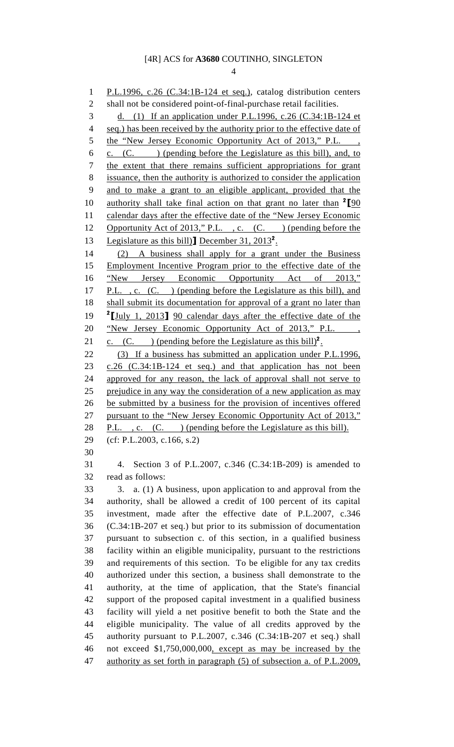4

1 P.L.1996, c.26 (C.34:1B-124 et seq.), catalog distribution centers 2 shall not be considered point-of-final-purchase retail facilities. 3 d. (1) If an application under P.L.1996, c.26 (C.34:1B-124 et 4 seq.) has been received by the authority prior to the effective date of 5 the "New Jersey Economic Opportunity Act of 2013," P.L. 6 c. (C. ) (pending before the Legislature as this bill), and, to 7 the extent that there remains sufficient appropriations for grant 8 issuance, then the authority is authorized to consider the application 9 and to make a grant to an eligible applicant, provided that the 10 authority shall take final action on that grant no later than  $2\llbracket 90 \rrbracket$ 11 calendar days after the effective date of the "New Jersey Economic 12 Opportunity Act of 2013," P.L., c. (C. ) (pending before the 13 Legislature as this bill)] December 31,  $2013^2$ . 14 (2) A business shall apply for a grant under the Business 15 Employment Incentive Program prior to the effective date of the 16 "New Jersey Economic Opportunity Act of 2013," 17 P.L. , c. (C. ) (pending before the Legislature as this bill), and 18 shall submit its documentation for approval of a grant no later than <sup>2</sup> 1 19 <sup>2</sup> 1 1 2013 <sup>90</sup> calendar days after the effective date of the 20 "New Jersey Economic Opportunity Act of 2013," P.L. 21 c.  $(C.$  ) (pending before the Legislature as this bill)<sup>2</sup>. 22 (3) If a business has submitted an application under P.L.1996, 23 c.26 (C.34:1B-124 et seq.) and that application has not been 24 approved for any reason, the lack of approval shall not serve to 25 prejudice in any way the consideration of a new application as may 26 be submitted by a business for the provision of incentives offered 27 pursuant to the "New Jersey Economic Opportunity Act of 2013," 28 P.L., c. (C.) (pending before the Legislature as this bill). 29 (cf: P.L.2003, c.166, s.2) 30 31 4. Section 3 of P.L.2007, c.346 (C.34:1B-209) is amended to 32 read as follows: 33 3. a. (1) A business, upon application to and approval from the 34 authority, shall be allowed a credit of 100 percent of its capital 35 investment, made after the effective date of P.L.2007, c.346 36 (C.34:1B-207 et seq.) but prior to its submission of documentation 37 pursuant to subsection c. of this section, in a qualified business 38 facility within an eligible municipality, pursuant to the restrictions 39 and requirements of this section. To be eligible for any tax credits 40 authorized under this section, a business shall demonstrate to the 41 authority, at the time of application, that the State's financial 42 support of the proposed capital investment in a qualified business 43 facility will yield a net positive benefit to both the State and the 44 eligible municipality. The value of all credits approved by the 45 authority pursuant to P.L.2007, c.346 (C.34:1B-207 et seq.) shall 46 not exceed \$1,750,000,000, except as may be increased by the 47 authority as set forth in paragraph (5) of subsection a. of P.L.2009,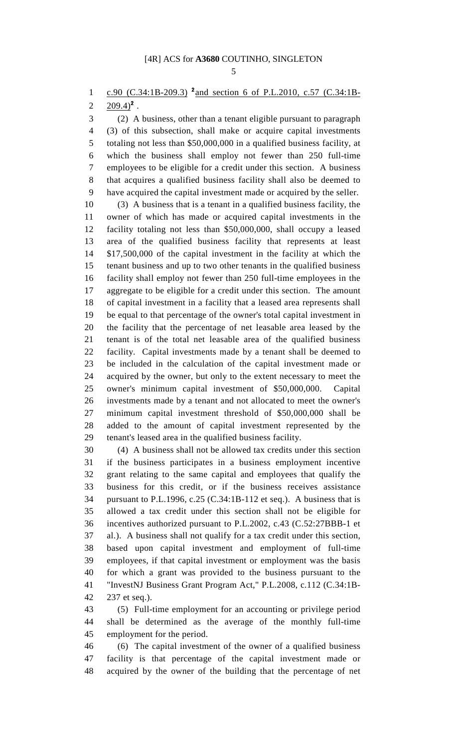1 c.90 (C.34:1B-209.3) <sup>2</sup> and section 6 of P.L.2010, c.57 (C.34:1B-

2  $209.4)^2$ .

3 (2) A business, other than a tenant eligible pursuant to paragraph 4 (3) of this subsection, shall make or acquire capital investments 5 totaling not less than \$50,000,000 in a qualified business facility, at 6 which the business shall employ not fewer than 250 full-time 7 employees to be eligible for a credit under this section. A business 8 that acquires a qualified business facility shall also be deemed to 9 have acquired the capital investment made or acquired by the seller.

10 (3) A business that is a tenant in a qualified business facility, the 11 owner of which has made or acquired capital investments in the 12 facility totaling not less than \$50,000,000, shall occupy a leased 13 area of the qualified business facility that represents at least 14 \$17,500,000 of the capital investment in the facility at which the 15 tenant business and up to two other tenants in the qualified business 16 facility shall employ not fewer than 250 full-time employees in the 17 aggregate to be eligible for a credit under this section. The amount 18 of capital investment in a facility that a leased area represents shall 19 be equal to that percentage of the owner's total capital investment in 20 the facility that the percentage of net leasable area leased by the 21 tenant is of the total net leasable area of the qualified business 22 facility. Capital investments made by a tenant shall be deemed to 23 be included in the calculation of the capital investment made or 24 acquired by the owner, but only to the extent necessary to meet the 25 owner's minimum capital investment of \$50,000,000. Capital 26 investments made by a tenant and not allocated to meet the owner's 27 minimum capital investment threshold of \$50,000,000 shall be 28 added to the amount of capital investment represented by the 29 tenant's leased area in the qualified business facility.

30 (4) A business shall not be allowed tax credits under this section 31 if the business participates in a business employment incentive 32 grant relating to the same capital and employees that qualify the 33 business for this credit, or if the business receives assistance 34 pursuant to P.L.1996, c.25 (C.34:1B-112 et seq.). A business that is 35 allowed a tax credit under this section shall not be eligible for 36 incentives authorized pursuant to P.L.2002, c.43 (C.52:27BBB-1 et 37 al.). A business shall not qualify for a tax credit under this section, 38 based upon capital investment and employment of full-time 39 employees, if that capital investment or employment was the basis 40 for which a grant was provided to the business pursuant to the 41 "InvestNJ Business Grant Program Act," P.L.2008, c.112 (C.34:1B-42 237 et seq.).

43 (5) Full-time employment for an accounting or privilege period 44 shall be determined as the average of the monthly full-time 45 employment for the period.

46 (6) The capital investment of the owner of a qualified business 47 facility is that percentage of the capital investment made or 48 acquired by the owner of the building that the percentage of net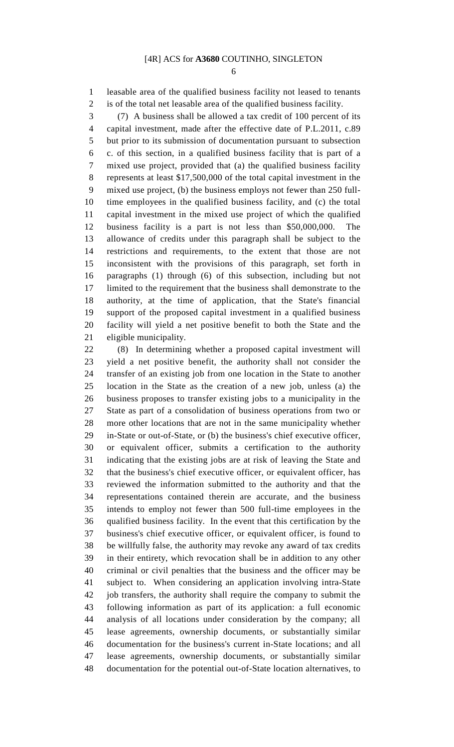6

1 leasable area of the qualified business facility not leased to tenants 2 is of the total net leasable area of the qualified business facility.

3 (7) A business shall be allowed a tax credit of 100 percent of its 4 capital investment, made after the effective date of P.L.2011, c.89 5 but prior to its submission of documentation pursuant to subsection 6 c. of this section, in a qualified business facility that is part of a 7 mixed use project, provided that (a) the qualified business facility 8 represents at least \$17,500,000 of the total capital investment in the 9 mixed use project, (b) the business employs not fewer than 250 full-10 time employees in the qualified business facility, and (c) the total 11 capital investment in the mixed use project of which the qualified 12 business facility is a part is not less than \$50,000,000. The 13 allowance of credits under this paragraph shall be subject to the 14 restrictions and requirements, to the extent that those are not 15 inconsistent with the provisions of this paragraph, set forth in 16 paragraphs (1) through (6) of this subsection, including but not 17 limited to the requirement that the business shall demonstrate to the 18 authority, at the time of application, that the State's financial 19 support of the proposed capital investment in a qualified business 20 facility will yield a net positive benefit to both the State and the 21 eligible municipality.

22 (8) In determining whether a proposed capital investment will 23 yield a net positive benefit, the authority shall not consider the 24 transfer of an existing job from one location in the State to another 25 location in the State as the creation of a new job, unless (a) the 26 business proposes to transfer existing jobs to a municipality in the 27 State as part of a consolidation of business operations from two or 28 more other locations that are not in the same municipality whether 29 in-State or out-of-State, or (b) the business's chief executive officer, 30 or equivalent officer, submits a certification to the authority 31 indicating that the existing jobs are at risk of leaving the State and 32 that the business's chief executive officer, or equivalent officer, has 33 reviewed the information submitted to the authority and that the 34 representations contained therein are accurate, and the business 35 intends to employ not fewer than 500 full-time employees in the 36 qualified business facility. In the event that this certification by the 37 business's chief executive officer, or equivalent officer, is found to 38 be willfully false, the authority may revoke any award of tax credits 39 in their entirety, which revocation shall be in addition to any other 40 criminal or civil penalties that the business and the officer may be 41 subject to. When considering an application involving intra-State 42 job transfers, the authority shall require the company to submit the 43 following information as part of its application: a full economic 44 analysis of all locations under consideration by the company; all 45 lease agreements, ownership documents, or substantially similar 46 documentation for the business's current in-State locations; and all 47 lease agreements, ownership documents, or substantially similar 48 documentation for the potential out-of-State location alternatives, to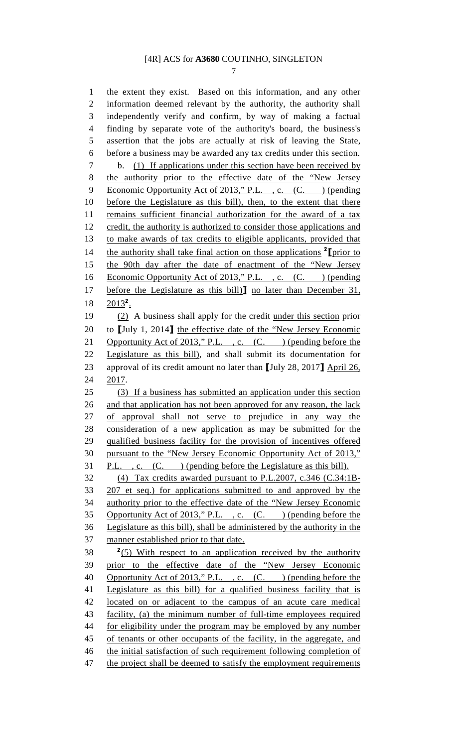7

1 the extent they exist. Based on this information, and any other 2 information deemed relevant by the authority, the authority shall 3 independently verify and confirm, by way of making a factual 4 finding by separate vote of the authority's board, the business's 5 assertion that the jobs are actually at risk of leaving the State, 6 before a business may be awarded any tax credits under this section. 7 b. (1) If applications under this section have been received by 8 the authority prior to the effective date of the "New Jersey 9 Economic Opportunity Act of 2013," P.L., c. (C.) (pending 10 before the Legislature as this bill), then, to the extent that there 11 remains sufficient financial authorization for the award of a tax 12 credit, the authority is authorized to consider those applications and 13 to make awards of tax credits to eligible applicants, provided that 14 the authority shall take final action on those applications  $2$  [prior to 15 the 90th day after the date of enactment of the "New Jersey 16 Economic Opportunity Act of 2013," P.L., c. (C. ) (pending 17 before the Legislature as this bill)] no later than December 31,  $18 \quad 2013^2$ . 19 (2) A business shall apply for the credit under this section prior 20 to [July 1, 2014] the effective date of the "New Jersey Economic 21 Opportunity Act of 2013," P.L., c. (C. ) (pending before the 22 Legislature as this bill), and shall submit its documentation for 23 approval of its credit amount no later than [July 28, 2017] April 26, 24 2017. 25 (3) If a business has submitted an application under this section 26 and that application has not been approved for any reason, the lack 27 of approval shall not serve to prejudice in any way the 28 consideration of a new application as may be submitted for the 29 qualified business facility for the provision of incentives offered 30 pursuant to the "New Jersey Economic Opportunity Act of 2013," 31 P.L., c. (C.) (pending before the Legislature as this bill). 32 (4) Tax credits awarded pursuant to P.L.2007, c.346 (C.34:1B-33 207 et seq.) for applications submitted to and approved by the 34 authority prior to the effective date of the "New Jersey Economic 35 Opportunity Act of 2013," P.L., c. (C. ) (pending before the 36 Legislature as this bill), shall be administered by the authority in the 37 manner established prior to that date.  $2(5)$  With respect to an application received by the authority 39 prior to the effective date of the "New Jersey Economic 40 Opportunity Act of 2013," P.L., c. (C.) (pending before the 41 Legislature as this bill) for a qualified business facility that is 42 located on or adjacent to the campus of an acute care medical 43 facility, (a) the minimum number of full-time employees required 44 for eligibility under the program may be employed by any number 45 of tenants or other occupants of the facility, in the aggregate, and 46 the initial satisfaction of such requirement following completion of 47 the project shall be deemed to satisfy the employment requirements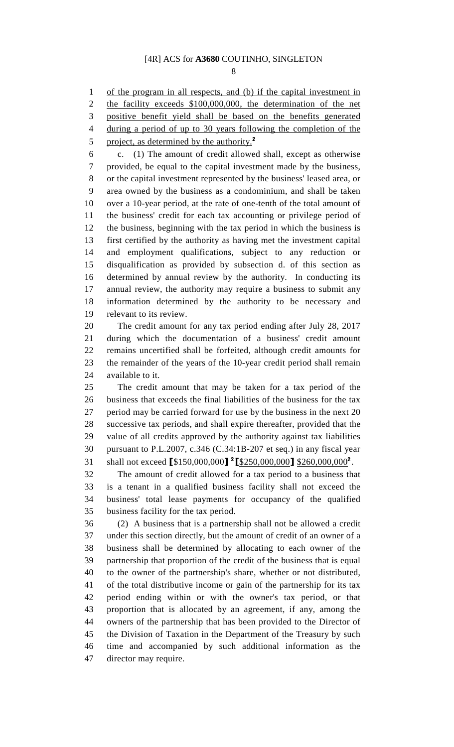8

1 of the program in all respects, and (b) if the capital investment in 2 the facility exceeds \$100,000,000, the determination of the net 3 positive benefit yield shall be based on the benefits generated

4 during a period of up to 30 years following the completion of the 5 project, as determined by the authority. $^2$ 6 c. (1) The amount of credit allowed shall, except as otherwise 7 provided, be equal to the capital investment made by the business, 8 or the capital investment represented by the business' leased area, or 9 area owned by the business as a condominium, and shall be taken 10 over a 10-year period, at the rate of one-tenth of the total amount of 11 the business' credit for each tax accounting or privilege period of 12 the business, beginning with the tax period in which the business is 13 first certified by the authority as having met the investment capital 14 and employment qualifications, subject to any reduction or 15 disqualification as provided by subsection d. of this section as 16 determined by annual review by the authority. In conducting its 17 annual review, the authority may require a business to submit any 18 information determined by the authority to be necessary and 19 relevant to its review. 20 The credit amount for any tax period ending after July 28, 2017 21 during which the documentation of a business' credit amount 22 remains uncertified shall be forfeited, although credit amounts for 23 the remainder of the years of the 10-year credit period shall remain 24 available to it. 25 The credit amount that may be taken for a tax period of the 26 business that exceeds the final liabilities of the business for the tax 27 period may be carried forward for use by the business in the next 20 28 successive tax periods, and shall expire thereafter, provided that the 29 value of all credits approved by the authority against tax liabilities 30 pursuant to P.L.2007, c.346 (C.34:1B-207 et seq.) in any fiscal year 31 shall not exceed [\$150,000,000] <sup>2</sup>[\$250,000,000] \$260,000,000<sup>2</sup>. 32 The amount of credit allowed for a tax period to a business that 33 is a tenant in a qualified business facility shall not exceed the 34 business' total lease payments for occupancy of the qualified 35 business facility for the tax period. 36 (2) A business that is a partnership shall not be allowed a credit 37 under this section directly, but the amount of credit of an owner of a 38 business shall be determined by allocating to each owner of the 39 partnership that proportion of the credit of the business that is equal 40 to the owner of the partnership's share, whether or not distributed, 41 of the total distributive income or gain of the partnership for its tax 42 period ending within or with the owner's tax period, or that 43 proportion that is allocated by an agreement, if any, among the 44 owners of the partnership that has been provided to the Director of 45 the Division of Taxation in the Department of the Treasury by such 46 time and accompanied by such additional information as the

47 director may require.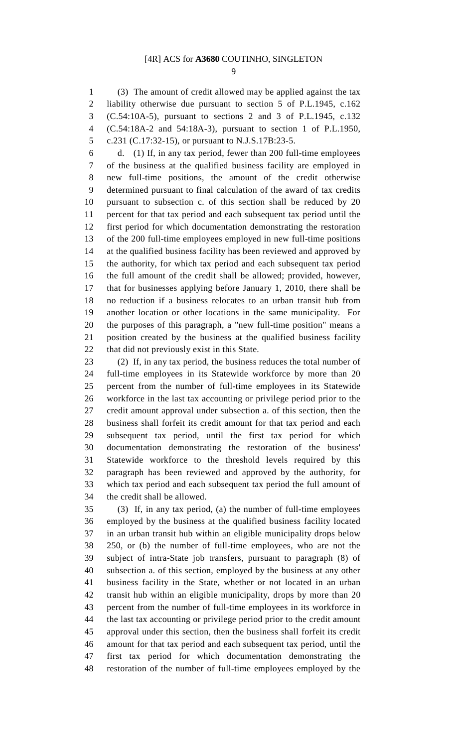9

1 (3) The amount of credit allowed may be applied against the tax 2 liability otherwise due pursuant to section 5 of P.L.1945, c.162 3 (C.54:10A-5), pursuant to sections 2 and 3 of P.L.1945, c.132 4 (C.54:18A-2 and 54:18A-3), pursuant to section 1 of P.L.1950, 5 c.231 (C.17:32-15), or pursuant to N.J.S.17B:23-5.

6 d. (1) If, in any tax period, fewer than 200 full-time employees 7 of the business at the qualified business facility are employed in 8 new full-time positions, the amount of the credit otherwise 9 determined pursuant to final calculation of the award of tax credits 10 pursuant to subsection c. of this section shall be reduced by 20 11 percent for that tax period and each subsequent tax period until the 12 first period for which documentation demonstrating the restoration 13 of the 200 full-time employees employed in new full-time positions 14 at the qualified business facility has been reviewed and approved by 15 the authority, for which tax period and each subsequent tax period 16 the full amount of the credit shall be allowed; provided, however, 17 that for businesses applying before January 1, 2010, there shall be 18 no reduction if a business relocates to an urban transit hub from 19 another location or other locations in the same municipality. For 20 the purposes of this paragraph, a "new full-time position" means a 21 position created by the business at the qualified business facility 22 that did not previously exist in this State.

23 (2) If, in any tax period, the business reduces the total number of 24 full-time employees in its Statewide workforce by more than 20 25 percent from the number of full-time employees in its Statewide 26 workforce in the last tax accounting or privilege period prior to the 27 credit amount approval under subsection a. of this section, then the 28 business shall forfeit its credit amount for that tax period and each 29 subsequent tax period, until the first tax period for which 30 documentation demonstrating the restoration of the business' 31 Statewide workforce to the threshold levels required by this 32 paragraph has been reviewed and approved by the authority, for 33 which tax period and each subsequent tax period the full amount of 34 the credit shall be allowed.

35 (3) If, in any tax period, (a) the number of full-time employees 36 employed by the business at the qualified business facility located 37 in an urban transit hub within an eligible municipality drops below 38 250, or (b) the number of full-time employees, who are not the 39 subject of intra-State job transfers, pursuant to paragraph (8) of 40 subsection a. of this section, employed by the business at any other 41 business facility in the State, whether or not located in an urban 42 transit hub within an eligible municipality, drops by more than 20 43 percent from the number of full-time employees in its workforce in 44 the last tax accounting or privilege period prior to the credit amount 45 approval under this section, then the business shall forfeit its credit 46 amount for that tax period and each subsequent tax period, until the 47 first tax period for which documentation demonstrating the 48 restoration of the number of full-time employees employed by the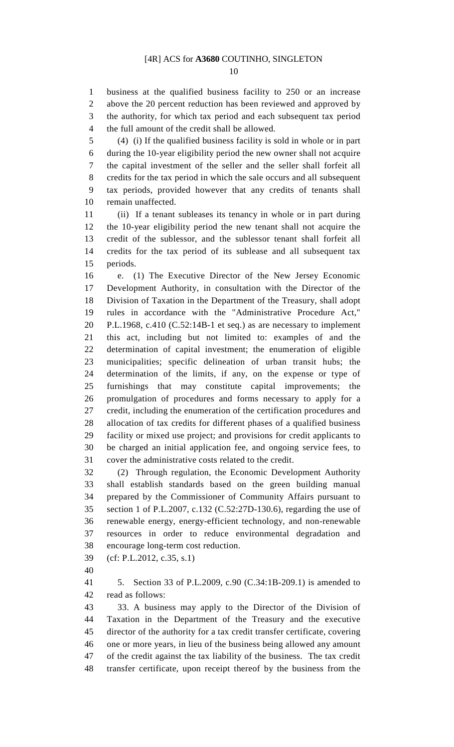10

1 business at the qualified business facility to 250 or an increase 2 above the 20 percent reduction has been reviewed and approved by 3 the authority, for which tax period and each subsequent tax period 4 the full amount of the credit shall be allowed.

5 (4) (i) If the qualified business facility is sold in whole or in part 6 during the 10-year eligibility period the new owner shall not acquire 7 the capital investment of the seller and the seller shall forfeit all 8 credits for the tax period in which the sale occurs and all subsequent 9 tax periods, provided however that any credits of tenants shall 10 remain unaffected.

11 (ii) If a tenant subleases its tenancy in whole or in part during 12 the 10-year eligibility period the new tenant shall not acquire the 13 credit of the sublessor, and the sublessor tenant shall forfeit all 14 credits for the tax period of its sublease and all subsequent tax 15 periods.

16 e. (1) The Executive Director of the New Jersey Economic 17 Development Authority, in consultation with the Director of the 18 Division of Taxation in the Department of the Treasury, shall adopt 19 rules in accordance with the "Administrative Procedure Act," 20 P.L.1968, c.410 (C.52:14B-1 et seq.) as are necessary to implement 21 this act, including but not limited to: examples of and the 22 determination of capital investment; the enumeration of eligible 23 municipalities; specific delineation of urban transit hubs; the 24 determination of the limits, if any, on the expense or type of 25 furnishings that may constitute capital improvements; the 26 promulgation of procedures and forms necessary to apply for a 27 credit, including the enumeration of the certification procedures and 28 allocation of tax credits for different phases of a qualified business 29 facility or mixed use project; and provisions for credit applicants to 30 be charged an initial application fee, and ongoing service fees, to 31 cover the administrative costs related to the credit.

32 (2) Through regulation, the Economic Development Authority 33 shall establish standards based on the green building manual 34 prepared by the Commissioner of Community Affairs pursuant to 35 section 1 of P.L.2007, c.132 (C.52:27D-130.6), regarding the use of 36 renewable energy, energy-efficient technology, and non-renewable 37 resources in order to reduce environmental degradation and 38 encourage long-term cost reduction.

39 (cf: P.L.2012, c.35, s.1)

40

41 5. Section 33 of P.L.2009, c.90 (C.34:1B-209.1) is amended to 42 read as follows:

43 33. A business may apply to the Director of the Division of 44 Taxation in the Department of the Treasury and the executive 45 director of the authority for a tax credit transfer certificate, covering 46 one or more years, in lieu of the business being allowed any amount 47 of the credit against the tax liability of the business. The tax credit 48 transfer certificate, upon receipt thereof by the business from the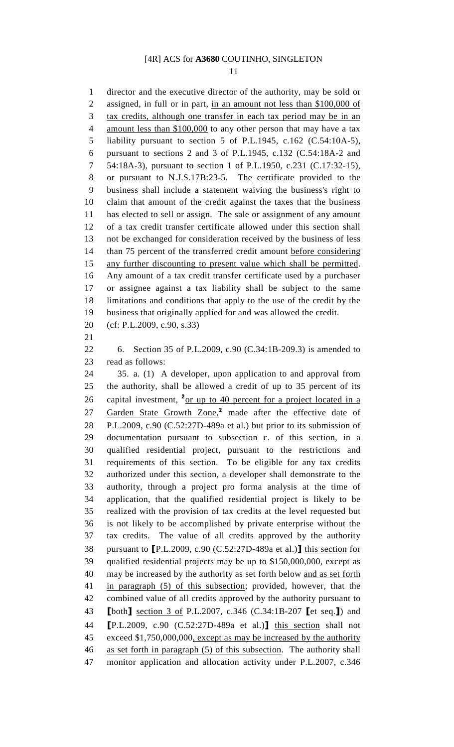11

1 director and the executive director of the authority, may be sold or 2 assigned, in full or in part, in an amount not less than \$100,000 of 3 tax credits, although one transfer in each tax period may be in an 4 amount less than \$100,000 to any other person that may have a tax 5 liability pursuant to section 5 of P.L.1945, c.162 (C.54:10A-5), 6 pursuant to sections 2 and 3 of P.L.1945, c.132 (C.54:18A-2 and 7 54:18A-3), pursuant to section 1 of P.L.1950, c.231 (C.17:32-15), 8 or pursuant to N.J.S.17B:23-5. The certificate provided to the 9 business shall include a statement waiving the business's right to 10 claim that amount of the credit against the taxes that the business 11 has elected to sell or assign. The sale or assignment of any amount 12 of a tax credit transfer certificate allowed under this section shall 13 not be exchanged for consideration received by the business of less 14 than 75 percent of the transferred credit amount before considering 15 any further discounting to present value which shall be permitted. 16 Any amount of a tax credit transfer certificate used by a purchaser 17 or assignee against a tax liability shall be subject to the same 18 limitations and conditions that apply to the use of the credit by the 19 business that originally applied for and was allowed the credit. 20 (cf: P.L.2009, c.90, s.33) 21 22 6. Section 35 of P.L.2009, c.90 (C.34:1B-209.3) is amended to 23 read as follows: 24 35. a. (1) A developer, upon application to and approval from 25 the authority, shall be allowed a credit of up to 35 percent of its 26 capital investment,  $2 \text{ or up to 40 percent for a project located in a}$ 27 Garden State Growth Zone,<sup>2</sup> made after the effective date of 28 P.L.2009, c.90 (C.52:27D-489a et al.) but prior to its submission of 29 documentation pursuant to subsection c. of this section, in a 30 qualified residential project, pursuant to the restrictions and 31 requirements of this section. To be eligible for any tax credits 32 authorized under this section, a developer shall demonstrate to the 33 authority, through a project pro forma analysis at the time of 34 application, that the qualified residential project is likely to be 35 realized with the provision of tax credits at the level requested but 36 is not likely to be accomplished by private enterprise without the 37 tax credits. The value of all credits approved by the authority 38 pursuant to [P.L.2009, c.90 (C.52:27D-489a et al.)] this section for 39 qualified residential projects may be up to \$150,000,000, except as 40 may be increased by the authority as set forth below and as set forth 41 in paragraph (5) of this subsection; provided, however, that the 42 combined value of all credits approved by the authority pursuant to 43 [both] section 3 of P.L.2007, c.346 (C.34:1B-207 [et seq.]) and 44 [P.L.2009, c.90 (C.52:27D-489a et al.)] this section shall not 45 exceed \$1,750,000,000, except as may be increased by the authority 46 as set forth in paragraph (5) of this subsection. The authority shall 47 monitor application and allocation activity under P.L.2007, c.346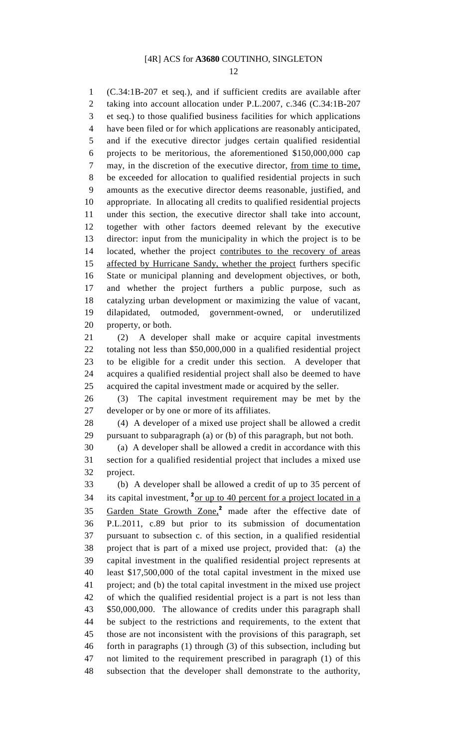12

1 (C.34:1B-207 et seq.), and if sufficient credits are available after 2 taking into account allocation under P.L.2007, c.346 (C.34:1B-207 3 et seq.) to those qualified business facilities for which applications 4 have been filed or for which applications are reasonably anticipated, 5 and if the executive director judges certain qualified residential 6 projects to be meritorious, the aforementioned \$150,000,000 cap 7 may, in the discretion of the executive director, from time to time, 8 be exceeded for allocation to qualified residential projects in such 9 amounts as the executive director deems reasonable, justified, and 10 appropriate. In allocating all credits to qualified residential projects 11 under this section, the executive director shall take into account, 12 together with other factors deemed relevant by the executive 13 director: input from the municipality in which the project is to be 14 located, whether the project contributes to the recovery of areas 15 affected by Hurricane Sandy, whether the project furthers specific 16 State or municipal planning and development objectives, or both, 17 and whether the project furthers a public purpose, such as 18 catalyzing urban development or maximizing the value of vacant, 19 dilapidated, outmoded, government-owned, or underutilized 20 property, or both. 21 (2) A developer shall make or acquire capital investments

22 totaling not less than \$50,000,000 in a qualified residential project 23 to be eligible for a credit under this section. A developer that 24 acquires a qualified residential project shall also be deemed to have 25 acquired the capital investment made or acquired by the seller.

26 (3) The capital investment requirement may be met by the 27 developer or by one or more of its affiliates.

28 (4) A developer of a mixed use project shall be allowed a credit 29 pursuant to subparagraph (a) or (b) of this paragraph, but not both.

30 (a) A developer shall be allowed a credit in accordance with this 31 section for a qualified residential project that includes a mixed use 32 project.

33 (b) A developer shall be allowed a credit of up to 35 percent of 34 its capital investment,  $2_{\text{or up to 40 percent}}$  for a project located in a 35 Garden State Growth Zone,<sup>2</sup> made after the effective date of 36 P.L.2011, c.89 but prior to its submission of documentation 37 pursuant to subsection c. of this section, in a qualified residential 38 project that is part of a mixed use project, provided that: (a) the 39 capital investment in the qualified residential project represents at 40 least \$17,500,000 of the total capital investment in the mixed use 41 project; and (b) the total capital investment in the mixed use project 42 of which the qualified residential project is a part is not less than 43 \$50,000,000. The allowance of credits under this paragraph shall 44 be subject to the restrictions and requirements, to the extent that 45 those are not inconsistent with the provisions of this paragraph, set 46 forth in paragraphs (1) through (3) of this subsection, including but 47 not limited to the requirement prescribed in paragraph (1) of this 48 subsection that the developer shall demonstrate to the authority,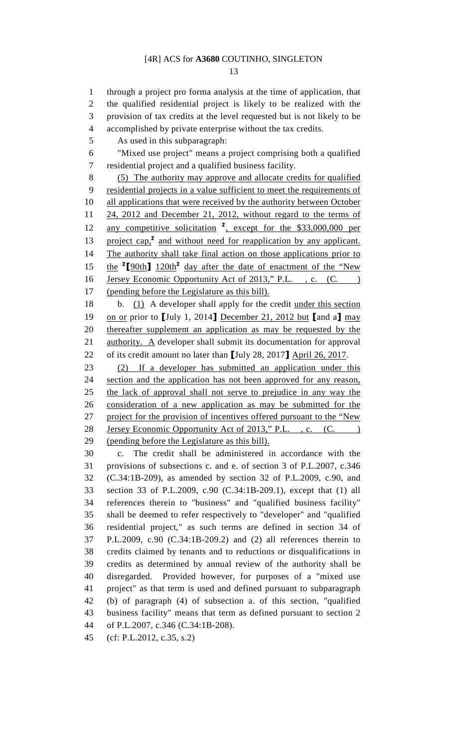13

1 through a project pro forma analysis at the time of application, that 2 the qualified residential project is likely to be realized with the 3 provision of tax credits at the level requested but is not likely to be 4 accomplished by private enterprise without the tax credits.

5 As used in this subparagraph:

6 "Mixed use project" means a project comprising both a qualified 7 residential project and a qualified business facility.

8 (5) The authority may approve and allocate credits for qualified 9 residential projects in a value sufficient to meet the requirements of 10 all applications that were received by the authority between October 11 24, 2012 and December 21, 2012, without regard to the terms of 12 any competitive solicitation <sup>2</sup>, except for the \$33,000,000 per 13 project cap, $^2$  and without need for reapplication by any applicant. 14 The authority shall take final action on those applications prior to 15 the <sup>2</sup>[90th]  $120th^2$  day after the date of enactment of the "New 16 Jersey Economic Opportunity Act of 2013," P.L., c. (C.) 17 (pending before the Legislature as this bill).

18 b. (1) A developer shall apply for the credit under this section 19 on or prior to [July 1, 2014] December 21, 2012 but [and a] may 20 thereafter supplement an application as may be requested by the 21 authority. A developer shall submit its documentation for approval 22 of its credit amount no later than [July 28, 2017] April 26, 2017.

23 (2) If a developer has submitted an application under this 24 section and the application has not been approved for any reason, 25 the lack of approval shall not serve to prejudice in any way the 26 consideration of a new application as may be submitted for the 27 project for the provision of incentives offered pursuant to the "New 28 Jersey Economic Opportunity Act of 2013," P.L., c. (C. ) 29 (pending before the Legislature as this bill).

30 c. The credit shall be administered in accordance with the 31 provisions of subsections c. and e. of section 3 of P.L.2007, c.346 32 (C.34:1B-209), as amended by section 32 of P.L.2009, c.90, and 33 section 33 of P.L.2009, c.90 (C.34:1B-209.1), except that (1) all 34 references therein to "business" and "qualified business facility" 35 shall be deemed to refer respectively to "developer" and "qualified 36 residential project," as such terms are defined in section 34 of 37 P.L.2009, c.90 (C.34:1B-209.2) and (2) all references therein to 38 credits claimed by tenants and to reductions or disqualifications in 39 credits as determined by annual review of the authority shall be 40 disregarded. Provided however, for purposes of a "mixed use 41 project" as that term is used and defined pursuant to subparagraph 42 (b) of paragraph (4) of subsection a. of this section, "qualified 43 business facility" means that term as defined pursuant to section 2 44 of P.L.2007, c.346 (C.34:1B-208).

45 (cf: P.L.2012, c.35, s.2)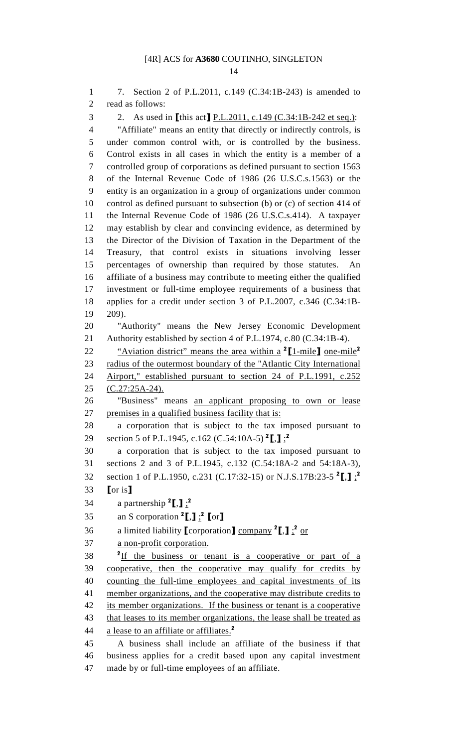1 7. Section 2 of P.L.2011, c.149 (C.34:1B-243) is amended to 2 read as follows: 3 2. As used in [this act] P.L.2011, c.149 (C.34:1B-242 et seq.): 4 "Affiliate" means an entity that directly or indirectly controls, is 5 under common control with, or is controlled by the business. 6 Control exists in all cases in which the entity is a member of a 7 controlled group of corporations as defined pursuant to section 1563 8 of the Internal Revenue Code of 1986 (26 U.S.C.s.1563) or the 9 entity is an organization in a group of organizations under common 10 control as defined pursuant to subsection (b) or (c) of section 414 of 11 the Internal Revenue Code of 1986 (26 U.S.C.s.414). A taxpayer 12 may establish by clear and convincing evidence, as determined by 13 the Director of the Division of Taxation in the Department of the 14 Treasury, that control exists in situations involving lesser 15 percentages of ownership than required by those statutes. An 16 affiliate of a business may contribute to meeting either the qualified 17 investment or full-time employee requirements of a business that 18 applies for a credit under section 3 of P.L.2007, c.346 (C.34:1B-19 209). 20 "Authority" means the New Jersey Economic Development 21 Authority established by section 4 of P.L.1974, c.80 (C.34:1B-4). 22 • "Aviation district" means the area within a  $2[\text{1-mile}]$  one-mile<sup>2</sup> 23 radius of the outermost boundary of the "Atlantic City International 24 Airport," established pursuant to section 24 of P.L.1991, c.252 25 (C.27:25A-24). 26 "Business" means an applicant proposing to own or lease 27 premises in a qualified business facility that is: 28 a corporation that is subject to the tax imposed pursuant to 29 section 5 of P.L.1945, c.162 (C.54:10A-5)  $^{2}$ [,] $\frac{1}{2}$ <sup>2</sup> 30 a corporation that is subject to the tax imposed pursuant to 31 sections 2 and 3 of P.L.1945, c.132 (C.54:18A-2 and 54:18A-3), 32 section 1 of P.L.1950, c.231 (C.17:32-15) or N.J.S.17B:23-5  $^{2}$ [,] $\frac{1}{2}$ 33 [or is] 34 a partnership  ${}^2$ [,] $\frac{1}{2}$ <sup>2</sup> 35 an S corporation  ${}^2$ [,]  ${}_{\cdot}$ <sup>2</sup> [or] 36 a limited liability  $\lbrack \text{corporation} \rbrack$  company  $\lbrack^2 \rbrack$ ,  $\lbrack \rbrack$ ,  $\lbrack$   $\lbrack$   $\lbrack$   $\lbrack$   $\lbrack$   $\lbrack$   $\lbrack$   $\lbrack$   $\lbrack$   $\lbrack$   $\lbrack$   $\lbrack$   $\lbrack$   $\lbrack$   $\lbrack$   $\lbrack$   $\lbrack$   $\lbrack$   $\lbrack$   $\lbrack$   $\lbrack$ 37 a non-profit corporation.  $2 \text{ If the business or tenant is a cooperative or part of a}$ 39 cooperative, then the cooperative may qualify for credits by 40 counting the full-time employees and capital investments of its 41 member organizations, and the cooperative may distribute credits to 42 its member organizations. If the business or tenant is a cooperative 43 that leases to its member organizations, the lease shall be treated as 44 a lease to an affiliate or affiliates.<sup>2</sup> 45 A business shall include an affiliate of the business if that 46 business applies for a credit based upon any capital investment

47 made by or full-time employees of an affiliate.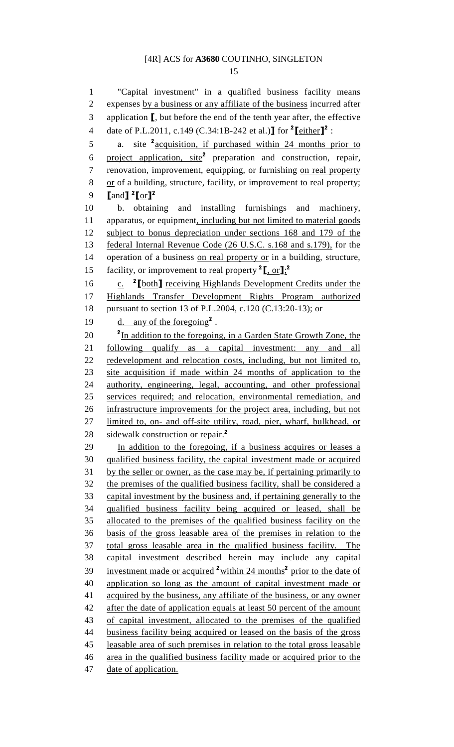15

1 "Capital investment" in a qualified business facility means 2 expenses by a business or any affiliate of the business incurred after 3 application [, but before the end of the tenth year after, the effective 4 date of P.L.2011, c.149 (C.34:1B-242 et al.)**]** for  $^2$  **[**either]<sup>2</sup> : 5 a. site  $\frac{2}{x}$  acquisition, if purchased within 24 months prior to 6 project application,  $site^2$  preparation and construction, repair, 7 renovation, improvement, equipping, or furnishing on real property 8 or of a building, structure, facility, or improvement to real property; 9  $\text{land}$   $\text{I}$   $\text{2}$   $\text{for}$   $\text{I}$   $\text{2}$ 10 b. obtaining and installing furnishings and machinery, 11 apparatus, or equipment, including but not limited to material goods 12 subject to bonus depreciation under sections 168 and 179 of the 13 federal Internal Revenue Code (26 U.S.C. s.168 and s.179), for the 14 operation of a business on real property or in a building, structure, 15 facility, or improvement to real property  $2 \cdot \frac{\pi}{6}$ . 16  $\frac{c}{c}$  <sup>2</sup> [both] receiving Highlands Development Credits under the 17 Highlands Transfer Development Rights Program authorized 18 pursuant to section 13 of P.L.2004, c.120 (C.13:20-13); or 19  $d.$  any of the foregoing<sup>2</sup>. <sup>2</sup>In addition to the foregoing, in a Garden State Growth Zone, the 21 following qualify as a capital investment: any and all 22 redevelopment and relocation costs, including, but not limited to, 23 site acquisition if made within 24 months of application to the 24 authority, engineering, legal, accounting, and other professional 25 services required; and relocation, environmental remediation, and 26 infrastructure improvements for the project area, including, but not 27 limited to, on- and off-site utility, road, pier, wharf, bulkhead, or 28 sidewalk construction or repair.<sup>2</sup> 29 In addition to the foregoing, if a business acquires or leases a 30 qualified business facility, the capital investment made or acquired 31 by the seller or owner, as the case may be, if pertaining primarily to 32 the premises of the qualified business facility, shall be considered a 33 capital investment by the business and, if pertaining generally to the 34 qualified business facility being acquired or leased, shall be 35 allocated to the premises of the qualified business facility on the 36 basis of the gross leasable area of the premises in relation to the 37 total gross leasable area in the qualified business facility. The 38 capital investment described herein may include any capital 39 investment made or acquired  $2\pi$  is a months<sup>2</sup> prior to the date of 40 application so long as the amount of capital investment made or 41 acquired by the business, any affiliate of the business, or any owner 42 after the date of application equals at least 50 percent of the amount 43 of capital investment, allocated to the premises of the qualified 44 business facility being acquired or leased on the basis of the gross 45 leasable area of such premises in relation to the total gross leasable 46 area in the qualified business facility made or acquired prior to the 47 date of application.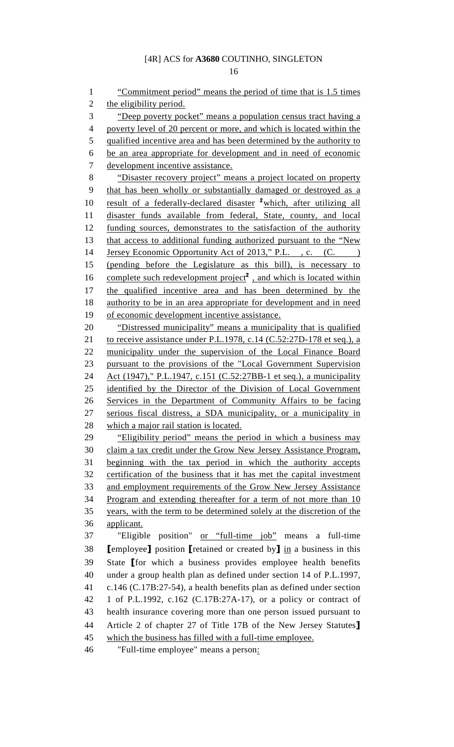16

1 "Commitment period" means the period of time that is 1.5 times 2 the eligibility period. 3 "Deep poverty pocket" means a population census tract having a 4 poverty level of 20 percent or more, and which is located within the 5 qualified incentive area and has been determined by the authority to 6 be an area appropriate for development and in need of economic 7 development incentive assistance. 8 "Disaster recovery project" means a project located on property 9 that has been wholly or substantially damaged or destroyed as a 10 result of a federally-declared disaster <sup>2</sup>which, after utilizing all 11 disaster funds available from federal, State, county, and local 12 funding sources, demonstrates to the satisfaction of the authority 13 that access to additional funding authorized pursuant to the "New 14 Jersey Economic Opportunity Act of 2013," P.L., c. (C. ) 15 (pending before the Legislature as this bill), is necessary to 16 complete such redevelopment project<sup>2</sup>, and which is located within 17 the qualified incentive area and has been determined by the 18 authority to be in an area appropriate for development and in need 19 of economic development incentive assistance. 20 "Distressed municipality" means a municipality that is qualified 21 to receive assistance under P.L.1978, c.14 (C.52:27D-178 et seq.), a 22 municipality under the supervision of the Local Finance Board 23 pursuant to the provisions of the "Local Government Supervision 24 Act (1947)," P.L.1947, c.151 (C.52:27BB-1 et seq.), a municipality 25 identified by the Director of the Division of Local Government 26 Services in the Department of Community Affairs to be facing 27 serious fiscal distress, a SDA municipality, or a municipality in 28 which a major rail station is located. 29 "Eligibility period" means the period in which a business may 30 claim a tax credit under the Grow New Jersey Assistance Program, 31 beginning with the tax period in which the authority accepts 32 certification of the business that it has met the capital investment 33 and employment requirements of the Grow New Jersey Assistance 34 Program and extending thereafter for a term of not more than 10 35 years, with the term to be determined solely at the discretion of the 36 applicant. 37 "Eligible position" or "full-time job" means a full-time 38 **[employee]** position **[retained or created by]** in a business in this 39 State [for which a business provides employee health benefits 40 under a group health plan as defined under section 14 of P.L.1997, 41 c.146 (C.17B:27-54), a health benefits plan as defined under section 42 1 of P.L.1992, c.162 (C.17B:27A-17), or a policy or contract of 43 health insurance covering more than one person issued pursuant to 44 Article 2 of chapter 27 of Title 17B of the New Jersey Statutes] 45 which the business has filled with a full-time employee. 46 "Full-time employee" means a person: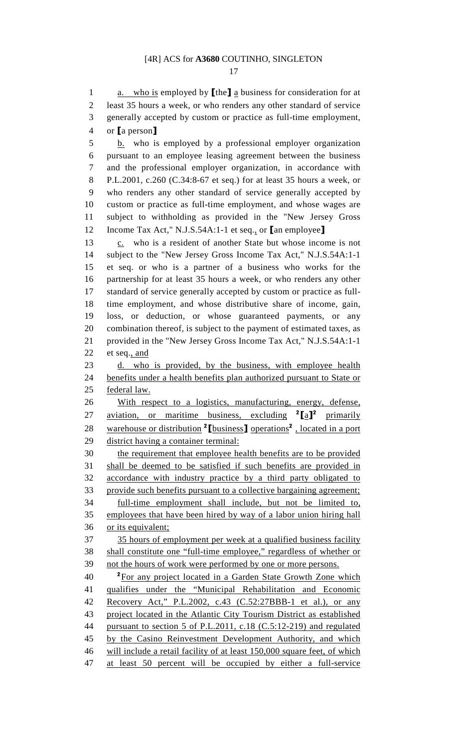17

1 a. who is employed by  $[\theta]$  a business for consideration for at 2 least 35 hours a week, or who renders any other standard of service 3 generally accepted by custom or practice as full-time employment, 4 or [a person] 5 b. who is employed by a professional employer organization

6 pursuant to an employee leasing agreement between the business 7 and the professional employer organization, in accordance with 8 P.L.2001, c.260 (C.34:8-67 et seq.) for at least 35 hours a week, or 9 who renders any other standard of service generally accepted by 10 custom or practice as full-time employment, and whose wages are 11 subject to withholding as provided in the "New Jersey Gross 12 Income Tax Act," N.J.S.54A:1-1 et seq., or [an employee]

13 c. who is a resident of another State but whose income is not 14 subject to the "New Jersey Gross Income Tax Act," N.J.S.54A:1-1 15 et seq. or who is a partner of a business who works for the 16 partnership for at least 35 hours a week, or who renders any other 17 standard of service generally accepted by custom or practice as full-18 time employment, and whose distributive share of income, gain, 19 loss, or deduction, or whose guaranteed payments, or any 20 combination thereof, is subject to the payment of estimated taxes, as 21 provided in the "New Jersey Gross Income Tax Act," N.J.S.54A:1-1 22 et seq., and

23 d. who is provided, by the business, with employee health 24 benefits under a health benefits plan authorized pursuant to State or 25 federal law.

26 With respect to a logistics, manufacturing, energy, defense, 27 aviation, or maritime business, excluding  $2[a]^2$  primarily 28 warehouse or distribution <sup>2</sup> [business] operations<sup>2</sup>, located in a port 29 district having a container terminal:

30 the requirement that employee health benefits are to be provided 31 shall be deemed to be satisfied if such benefits are provided in 32 accordance with industry practice by a third party obligated to 33 provide such benefits pursuant to a collective bargaining agreement; 34 full-time employment shall include, but not be limited to, 35 employees that have been hired by way of a labor union hiring hall 36 or its equivalent; 37 35 hours of employment per week at a qualified business facility 38 shall constitute one "full-time employee," regardless of whether or 39 not the hours of work were performed by one or more persons. <sup>2</sup> For any project located in a Garden State Growth Zone which 41 qualifies under the "Municipal Rehabilitation and Economic

42 Recovery Act," P.L.2002, c.43 (C.52:27BBB-1 et al.), or any 43 project located in the Atlantic City Tourism District as established 44 pursuant to section 5 of P.L.2011, c.18 (C.5:12-219) and regulated 45 by the Casino Reinvestment Development Authority, and which 46 will include a retail facility of at least 150,000 square feet, of which 47 at least 50 percent will be occupied by either a full-service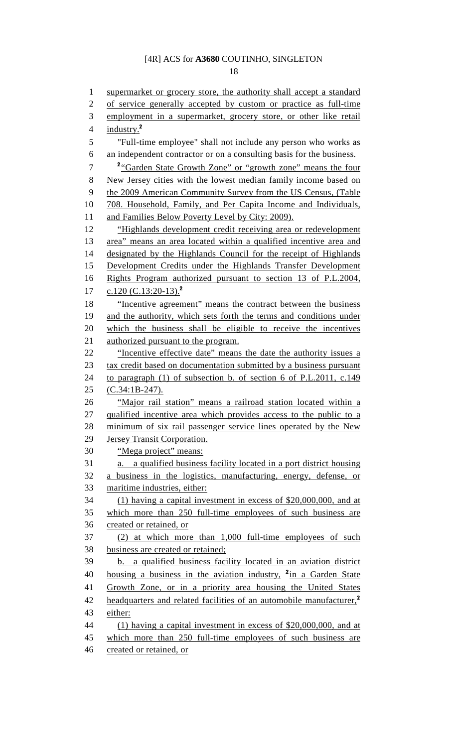18

1 supermarket or grocery store, the authority shall accept a standard 2 of service generally accepted by custom or practice as full-time 3 employment in a supermarket, grocery store, or other like retail 4 industry. $2$ 5 "Full-time employee" shall not include any person who works as 6 an independent contractor or on a consulting basis for the business. <sup>2</sup> <sup>2</sup> <del>Garden State Growth Zone" or "growth zone" means the four</del> 8 New Jersey cities with the lowest median family income based on 9 the 2009 American Community Survey from the US Census, (Table 10 708. Household, Family, and Per Capita Income and Individuals, 11 and Families Below Poverty Level by City: 2009). 12 "Highlands development credit receiving area or redevelopment 13 area" means an area located within a qualified incentive area and 14 designated by the Highlands Council for the receipt of Highlands 15 Development Credits under the Highlands Transfer Development 16 Rights Program authorized pursuant to section 13 of P.L.2004, 17 c.120 (C.13:20-13).<sup>2</sup> 18 "Incentive agreement" means the contract between the business 19 and the authority, which sets forth the terms and conditions under 20 which the business shall be eligible to receive the incentives 21 authorized pursuant to the program. 22 "Incentive effective date" means the date the authority issues a 23 tax credit based on documentation submitted by a business pursuant 24 to paragraph (1) of subsection b. of section 6 of P.L.2011, c.149 25 (C.34:1B-247). 26 "Major rail station" means a railroad station located within a 27 qualified incentive area which provides access to the public to a 28 minimum of six rail passenger service lines operated by the New 29 Jersey Transit Corporation. 30 "Mega project" means: 31 a. a qualified business facility located in a port district housing 32 a business in the logistics, manufacturing, energy, defense, or 33 maritime industries, either: 34 (1) having a capital investment in excess of \$20,000,000, and at 35 which more than 250 full-time employees of such business are 36 created or retained, or 37 (2) at which more than 1,000 full-time employees of such 38 business are created or retained; 39 b. a qualified business facility located in an aviation district 40 housing a business in the aviation industry,  $\frac{2 \text{ in a Garden State}}{2 \text{ in a Garden State}}$ 41 Growth Zone, or in a priority area housing the United States 42 headquarters and related facilities of an automobile manufacturer,<sup>2</sup> 43 either: 44 (1) having a capital investment in excess of \$20,000,000, and at 45 which more than 250 full-time employees of such business are 46 created or retained, or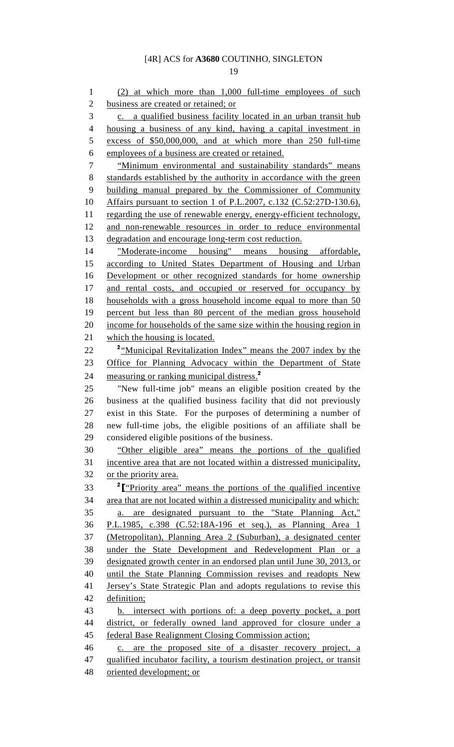19

1 (2) at which more than 1,000 full-time employees of such 2 business are created or retained; or 3 c. a qualified business facility located in an urban transit hub 4 housing a business of any kind, having a capital investment in 5 excess of \$50,000,000, and at which more than 250 full-time 6 employees of a business are created or retained. 7 "Minimum environmental and sustainability standards" means 8 standards established by the authority in accordance with the green 9 building manual prepared by the Commissioner of Community 10 Affairs pursuant to section 1 of P.L.2007, c.132 (C.52:27D-130.6), 11 regarding the use of renewable energy, energy-efficient technology, 12 and non-renewable resources in order to reduce environmental 13 degradation and encourage long-term cost reduction. 14 "Moderate-income housing" means housing affordable, 15 according to United States Department of Housing and Urban 16 Development or other recognized standards for home ownership 17 and rental costs, and occupied or reserved for occupancy by 18 households with a gross household income equal to more than 50 19 percent but less than 80 percent of the median gross household 20 income for households of the same size within the housing region in 21 which the housing is located. 22 <sup>2</sup> <u>"Municipal Revitalization Index" means the 2007 index by the</u> 23 Office for Planning Advocacy within the Department of State 24 measuring or ranking municipal distress.<sup>2</sup> 25 "New full-time job" means an eligible position created by the 26 business at the qualified business facility that did not previously 27 exist in this State. For the purposes of determining a number of 28 new full-time jobs, the eligible positions of an affiliate shall be 29 considered eligible positions of the business. 30 "Other eligible area" means the portions of the qualified 31 incentive area that are not located within a distressed municipality, 32 or the priority area. 33 <sup>2</sup>I <u>"Priority area" means the portions of the qualified incentive</u> 34 area that are not located within a distressed municipality and which: 35 a. are designated pursuant to the "State Planning Act," 36 P.L.1985, c.398 (C.52:18A-196 et seq.), as Planning Area 1 37 (Metropolitan), Planning Area 2 (Suburban), a designated center 38 under the State Development and Redevelopment Plan or a 39 designated growth center in an endorsed plan until June 30, 2013, or 40 until the State Planning Commission revises and readopts New 41 Jersey's State Strategic Plan and adopts regulations to revise this 42 definition; 43 b. intersect with portions of: a deep poverty pocket, a port 44 district, or federally owned land approved for closure under a 45 federal Base Realignment Closing Commission action; 46 c. are the proposed site of a disaster recovery project, a 47 qualified incubator facility, a tourism destination project, or transit 48 oriented development; or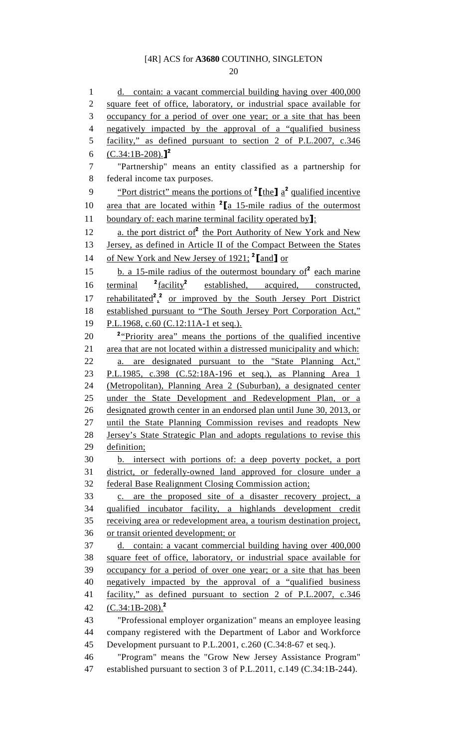20

1 d. contain: a vacant commercial building having over 400,000 2 square feet of office, laboratory, or industrial space available for 3 occupancy for a period of over one year; or a site that has been 4 negatively impacted by the approval of a "qualified business 5 facility," as defined pursuant to section 2 of P.L.2007, c.346 6  $(C.34:1B-208).$ <sup>2</sup> 7 "Partnership" means an entity classified as a partnership for 8 federal income tax purposes. 9 • "Port district" means the portions of  $2$  [the]  $a^2$  qualified incentive 10 area that are located within  $2 \times 15$ -mile radius of the outermost 11 boundary of: each marine terminal facility operated by<sup>1</sup>: 12  $\quad$  a. the port district of  $2$  the Port Authority of New York and New 13 Jersey, as defined in Article II of the Compact Between the States 14 of New York and New Jersey of 1921;  $2$ [and] or 15 b. a 15-mile radius of the outermost boundary of  $2$  each marine terminal  ${}^{2}$ facility<sup>2</sup> 16 terminal <sup>2</sup>facility<sup>2</sup> established, acquired, constructed, 17 rehabilitated<sup>2</sup>,<sup>2</sup> or improved by the South Jersey Port District 18 established pursuant to "The South Jersey Port Corporation Act," 19 P.L.1968, c.60 (C.12:11A-1 et seq.). 20 <sup>2</sup> Priority area" means the portions of the qualified incentive 21 area that are not located within a distressed municipality and which: 22 a. are designated pursuant to the "State Planning Act," 23 P.L.1985, c.398 (C.52:18A-196 et seq.), as Planning Area 1 24 (Metropolitan), Planning Area 2 (Suburban), a designated center 25 under the State Development and Redevelopment Plan, or a 26 designated growth center in an endorsed plan until June 30, 2013, or 27 until the State Planning Commission revises and readopts New 28 Jersey's State Strategic Plan and adopts regulations to revise this 29 definition; 30 b. intersect with portions of: a deep poverty pocket, a port 31 district, or federally-owned land approved for closure under a 32 federal Base Realignment Closing Commission action; 33 c. are the proposed site of a disaster recovery project, a 34 qualified incubator facility, a highlands development credit 35 receiving area or redevelopment area, a tourism destination project, 36 or transit oriented development; or 37 d. contain: a vacant commercial building having over 400,000 38 square feet of office, laboratory, or industrial space available for 39 occupancy for a period of over one year; or a site that has been 40 negatively impacted by the approval of a "qualified business 41 facility," as defined pursuant to section 2 of P.L.2007, c.346 42  $(C.34:1B-208)^2$ 43 "Professional employer organization" means an employee leasing 44 company registered with the Department of Labor and Workforce 45 Development pursuant to P.L.2001, c.260 (C.34:8-67 et seq.). 46 "Program" means the "Grow New Jersey Assistance Program" 47 established pursuant to section 3 of P.L.2011, c.149 (C.34:1B-244).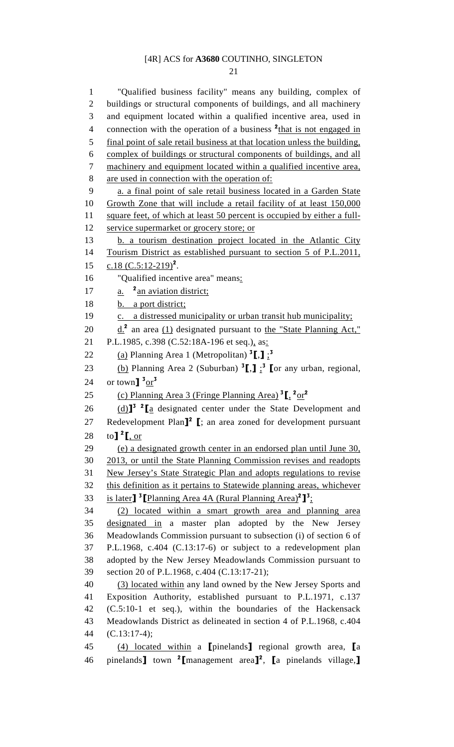21

1 "Qualified business facility" means any building, complex of 2 buildings or structural components of buildings, and all machinery 3 and equipment located within a qualified incentive area, used in 4 connection with the operation of a business  $2$ <sup>that</sup> is not engaged in 5 final point of sale retail business at that location unless the building, 6 complex of buildings or structural components of buildings, and all 7 machinery and equipment located within a qualified incentive area, 8 are used in connection with the operation of: 9 a. a final point of sale retail business located in a Garden State 10 Growth Zone that will include a retail facility of at least 150,000 11 square feet, of which at least 50 percent is occupied by either a full-12 service supermarket or grocery store; or 13 b. a tourism destination project located in the Atlantic City 14 Tourism District as established pursuant to section 5 of P.L.2011, 15  $c.18$  (C.5:12-219)<sup>2</sup>. 16 "Qualified incentive area" means: 17  $a.$  <sup>2</sup> an aviation district; 18 b. a port district; 19 c. a distressed municipality or urban transit hub municipality; 20  $\underline{d}$ .<sup>2</sup> an area (1) designated pursuant to the "State Planning Act," 21 P.L.1985, c.398 (C.52:18A-196 et seq.), as: 22 (a) Planning Area 1 (Metropolitan)  ${}^{3}$ [,]  ${}_{2}$ <sup>3</sup> 23 (b) Planning Area 2 (Suburban)  ${}^{3}$ [,]  ${}^{3}$  [or any urban, regional, 24 or town  $\frac{3 \text{ or } 3}{1}$ 25 (c) Planning Area 3 (Fringe Planning Area)  ${}^{3}$ [,  ${}^{2}$ or<sup>2</sup> 26  $(d)$ <sup>3</sup> <sup>2</sup>  $[a]$  designated center under the State Development and 27 Redevelopment Plan<sup>12</sup> I; an area zoned for development pursuant 28 to  $\int_{0}^{2}$  [, or 29 (e) a designated growth center in an endorsed plan until June 30, 30 2013, or until the State Planning Commission revises and readopts 31 New Jersey's State Strategic Plan and adopts regulations to revise 32 this definition as it pertains to Statewide planning areas, whichever 33 is later]<sup>3</sup> [Planning Area 4A (Rural Planning Area)<sup>2</sup>]<sup>3</sup>; 34 (2) located within a smart growth area and planning area 35 designated in a master plan adopted by the New Jersey 36 Meadowlands Commission pursuant to subsection (i) of section 6 of 37 P.L.1968, c.404 (C.13:17-6) or subject to a redevelopment plan 38 adopted by the New Jersey Meadowlands Commission pursuant to 39 section 20 of P.L.1968, c.404 (C.13:17-21); 40 (3) located within any land owned by the New Jersey Sports and 41 Exposition Authority, established pursuant to P.L.1971, c.137 42 (C.5:10-1 et seq.), within the boundaries of the Hackensack 43 Meadowlands District as delineated in section 4 of P.L.1968, c.404 44 (C.13:17-4); 45 (4) located within a [pinelands] regional growth area, [a 46 pinelands  $\text{I}$  town  $\text{I}$  management area $\text{I}^2$ ,  $\text{I}$  a pinelands village,  $\text{I}$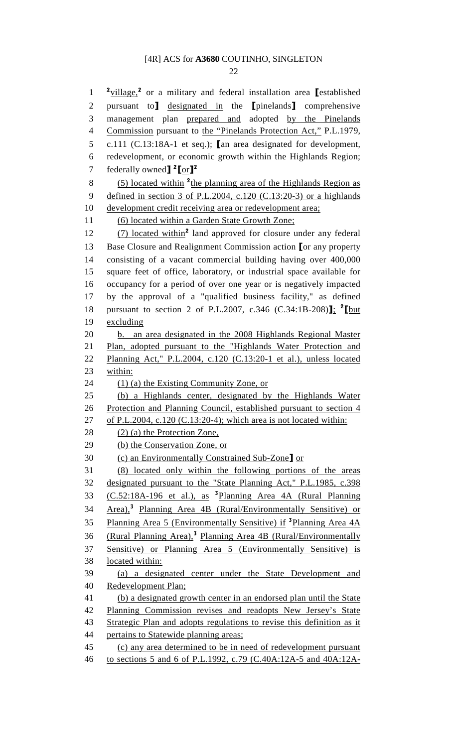22

 $\frac{2 \text{village}}{2}$  or a military and federal installation area [established 2 pursuant to] designated in the [pinelands] comprehensive 3 management plan prepared and adopted by the Pinelands 4 Commission pursuant to the "Pinelands Protection Act," P.L.1979, 5 c.111 (C.13:18A-1 et seq.); [an area designated for development, 6 redevelopment, or economic growth within the Highlands Region; 7 federally owned $\int_0^2 \frac{\cosh 2}{\cosh 2}$ 8  $(5)$  located within <sup>2</sup> the planning area of the Highlands Region as 9 defined in section 3 of P.L.2004, c.120 (C.13:20-3) or a highlands 10 development credit receiving area or redevelopment area; 11 (6) located within a Garden State Growth Zone;  $(7)$  located within<sup>2</sup> land approved for closure under any federal 13 Base Closure and Realignment Commission action [or any property 14 consisting of a vacant commercial building having over 400,000 15 square feet of office, laboratory, or industrial space available for 16 occupancy for a period of over one year or is negatively impacted 17 by the approval of a "qualified business facility," as defined 18 pursuant to section 2 of P.L.2007, c.346 (C.34:1B-208)]; <sup>2</sup>[but] 19 excluding 20 b. an area designated in the 2008 Highlands Regional Master 21 Plan, adopted pursuant to the "Highlands Water Protection and 22 Planning Act," P.L.2004, c.120 (C.13:20-1 et al.), unless located 23 within: 24 (1) (a) the Existing Community Zone, or 25 (b) a Highlands center, designated by the Highlands Water 26 Protection and Planning Council, established pursuant to section 4 27 of P.L.2004, c.120 (C.13:20-4); which area is not located within: 28 (2) (a) the Protection Zone, 29 (b) the Conservation Zone, or 30 (c) an Environmentally Constrained Sub-Zone] or 31 (8) located only within the following portions of the areas 32 designated pursuant to the "State Planning Act," P.L.1985, c.398 33 (C.52:18A-196 et al.), as <sup>3</sup>Planning Area 4A (Rural Planning 34 Area),<sup>3</sup> Planning Area 4B (Rural/Environmentally Sensitive) or 35 Planning Area 5 (Environmentally Sensitive) if <sup>3</sup>Planning Area 4A 36 (Rural Planning Area),<sup>3</sup> Planning Area 4B (Rural/Environmentally 37 Sensitive) or Planning Area 5 (Environmentally Sensitive) is 38 located within: 39 (a) a designated center under the State Development and 40 Redevelopment Plan; 41 (b) a designated growth center in an endorsed plan until the State 42 Planning Commission revises and readopts New Jersey's State 43 Strategic Plan and adopts regulations to revise this definition as it 44 pertains to Statewide planning areas; 45 (c) any area determined to be in need of redevelopment pursuant 46 to sections 5 and 6 of P.L.1992, c.79 (C.40A:12A-5 and 40A:12A-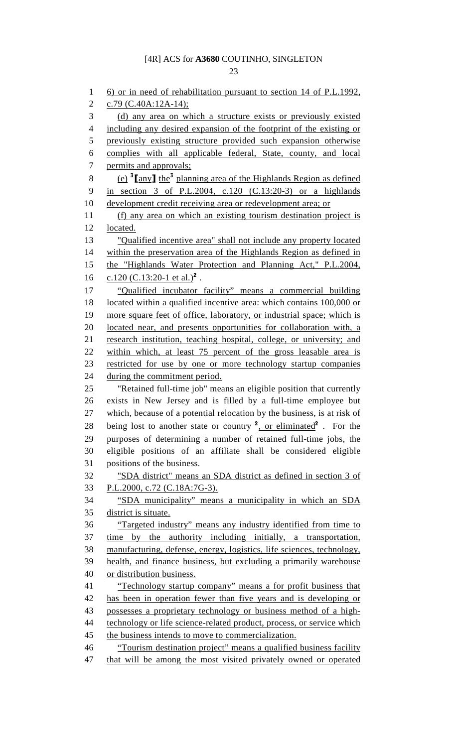1 6) or in need of rehabilitation pursuant to section 14 of P.L.1992, 2 c.79 (C.40A:12A-14); 3 (d) any area on which a structure exists or previously existed 4 including any desired expansion of the footprint of the existing or 5 previously existing structure provided such expansion otherwise 6 complies with all applicable federal, State, county, and local 7 permits and approvals; 8 (e)  $\frac{3}{2}$  [any] the<sup>3</sup> planning area of the Highlands Region as defined 9 in section 3 of P.L.2004, c.120 (C.13:20-3) or a highlands 10 development credit receiving area or redevelopment area; or 11 (f) any area on which an existing tourism destination project is 12 located. 13 "Qualified incentive area" shall not include any property located 14 within the preservation area of the Highlands Region as defined in 15 the "Highlands Water Protection and Planning Act," P.L.2004, 16  $c.120$  (C.13:20-1 et al.)<sup>2</sup>. 17 "Qualified incubator facility" means a commercial building 18 located within a qualified incentive area: which contains 100,000 or 19 more square feet of office, laboratory, or industrial space; which is 20 located near, and presents opportunities for collaboration with, a 21 research institution, teaching hospital, college, or university; and 22 within which, at least 75 percent of the gross leasable area is 23 restricted for use by one or more technology startup companies 24 during the commitment period. 25 "Retained full-time job" means an eligible position that currently 26 exists in New Jersey and is filled by a full-time employee but 27 which, because of a potential relocation by the business, is at risk of 28 being lost to another state or country  $\frac{2}{x}$ , or eliminated  $\frac{2}{x}$ . For the 29 purposes of determining a number of retained full-time jobs, the 30 eligible positions of an affiliate shall be considered eligible 31 positions of the business. 32 "SDA district" means an SDA district as defined in section 3 of 33 P.L.2000, c.72 (C.18A:7G-3). 34 "SDA municipality" means a municipality in which an SDA 35 district is situate. 36 "Targeted industry" means any industry identified from time to 37 time by the authority including initially, a transportation, 38 manufacturing, defense, energy, logistics, life sciences, technology, 39 health, and finance business, but excluding a primarily warehouse 40 or distribution business. 41 "Technology startup company" means a for profit business that 42 has been in operation fewer than five years and is developing or 43 possesses a proprietary technology or business method of a high-44 technology or life science-related product, process, or service which 45 the business intends to move to commercialization. 46 "Tourism destination project" means a qualified business facility

47 that will be among the most visited privately owned or operated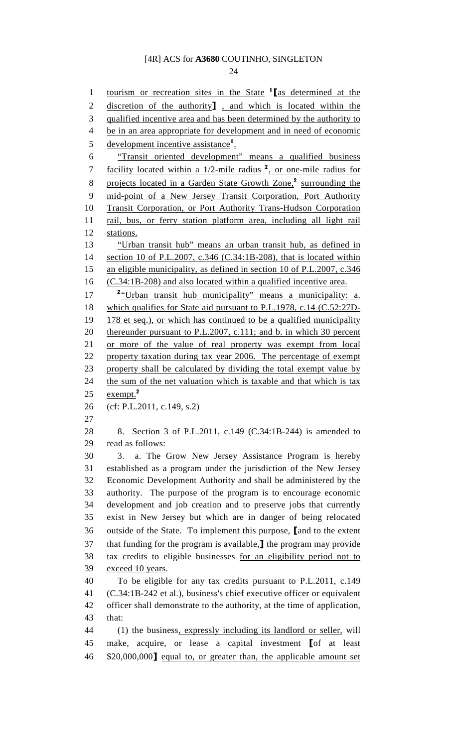24

1 tourism or recreation sites in the State <sup>1</sup> [as determined at the 2 discretion of the authority<sup>]</sup>, and which is located within the 3 qualified incentive area and has been determined by the authority to 4 be in an area appropriate for development and in need of economic 5 development incentive assistance<sup>1</sup>. 6 "Transit oriented development" means a qualified business 7 facility located within a  $1/2$ -mile radius  $^2$ , or one-mile radius for 8 projects located in a Garden State Growth Zone,<sup>2</sup> surrounding the 9 mid-point of a New Jersey Transit Corporation, Port Authority 10 Transit Corporation, or Port Authority Trans-Hudson Corporation 11 rail, bus, or ferry station platform area, including all light rail 12 stations. 13 "Urban transit hub" means an urban transit hub, as defined in 14 section 10 of P.L.2007, c.346 (C.34:1B-208), that is located within 15 an eligible municipality, as defined in section 10 of P.L.2007, c.346 16 (C.34:1B-208) and also located within a qualified incentive area. 17 <sup>2</sup> "Urban transit hub municipality" means a municipality: a. 18 which qualifies for State aid pursuant to P.L.1978, c.14 (C.52:27D-19 178 et seq.), or which has continued to be a qualified municipality 20 thereunder pursuant to P.L.2007, c.111; and b. in which 30 percent 21 or more of the value of real property was exempt from local 22 property taxation during tax year 2006. The percentage of exempt 23 property shall be calculated by dividing the total exempt value by 24 the sum of the net valuation which is taxable and that which is tax 25  $exempt.<sup>2</sup>$ 26 (cf: P.L.2011, c.149, s.2) 27 28 8. Section 3 of P.L.2011, c.149 (C.34:1B-244) is amended to 29 read as follows: 30 3. a. The Grow New Jersey Assistance Program is hereby 31 established as a program under the jurisdiction of the New Jersey 32 Economic Development Authority and shall be administered by the 33 authority. The purpose of the program is to encourage economic 34 development and job creation and to preserve jobs that currently 35 exist in New Jersey but which are in danger of being relocated 36 outside of the State. To implement this purpose, [and to the extent 37 that funding for the program is available,] the program may provide 38 tax credits to eligible businesses for an eligibility period not to 39 exceed 10 years. 40 To be eligible for any tax credits pursuant to P.L.2011, c.149 41 (C.34:1B-242 et al.), business's chief executive officer or equivalent 42 officer shall demonstrate to the authority, at the time of application, 43 that: 44 (1) the business, expressly including its landlord or seller, will 45 make, acquire, or lease a capital investment [of at least 46 \$20,000,000] equal to, or greater than, the applicable amount set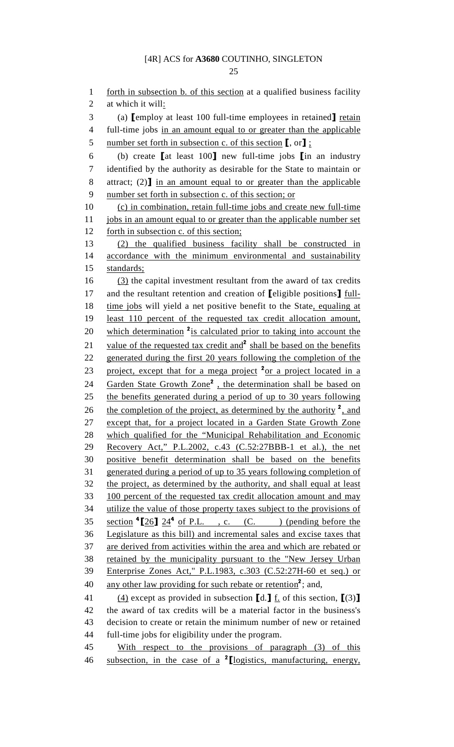25

1 forth in subsection b. of this section at a qualified business facility 2 at which it will: 3 (a) **[employ at least 100 full-time employees in retained]** retain 4 full-time jobs in an amount equal to or greater than the applicable 5 number set forth in subsection c. of this section  $\llbracket$ , or $\rrbracket$ ; 6 (b) create [at least 100] new full-time jobs [in an industry 7 identified by the authority as desirable for the State to maintain or 8 attract; (2) in an amount equal to or greater than the applicable 9 number set forth in subsection c. of this section; or 10 (c) in combination, retain full-time jobs and create new full-time 11 jobs in an amount equal to or greater than the applicable number set 12 forth in subsection c. of this section; 13 (2) the qualified business facility shall be constructed in 14 accordance with the minimum environmental and sustainability 15 standards; 16 (3) the capital investment resultant from the award of tax credits 17 and the resultant retention and creation of **[eligible positions]** full-18 time jobs will yield a net positive benefit to the State, equaling at 19 least 110 percent of the requested tax credit allocation amount, 20 which determination  $2_{is}$  calculated prior to taking into account the 21 value of the requested tax credit and<sup>2</sup> shall be based on the benefits 22 generated during the first 20 years following the completion of the 23 project, except that for a mega project  $2$ <sup>2</sup> or a project located in a 24 Garden State Growth Zone<sup>2</sup>, the determination shall be based on 25 the benefits generated during a period of up to 30 years following 26 the completion of the project, as determined by the authority  $2$ , and 27 except that, for a project located in a Garden State Growth Zone 28 which qualified for the "Municipal Rehabilitation and Economic 29 Recovery Act," P.L.2002, c.43 (C.52:27BBB-1 et al.), the net 30 positive benefit determination shall be based on the benefits 31 generated during a period of up to 35 years following completion of 32 the project, as determined by the authority, and shall equal at least 33 100 percent of the requested tax credit allocation amount and may 34 utilize the value of those property taxes subject to the provisions of 35 section  $\binom{4}{26}$   $\frac{24}{9}$  of P.L., c. (C. ) (pending before the 36 Legislature as this bill) and incremental sales and excise taxes that 37 are derived from activities within the area and which are rebated or 38 retained by the municipality pursuant to the "New Jersey Urban 39 Enterprise Zones Act," P.L.1983, c.303 (C.52:27H-60 et seq.) or 40 any other law providing for such rebate or retention<sup>2</sup>; and, 41 (4) except as provided in subsection  $[d.]\underline{f}$  of this section,  $[(3)]$ 42 the award of tax credits will be a material factor in the business's 43 decision to create or retain the minimum number of new or retained 44 full-time jobs for eligibility under the program. 45 With respect to the provisions of paragraph (3) of this 46 subsection, in the case of a <sup>2</sup> [logistics, manufacturing, energy,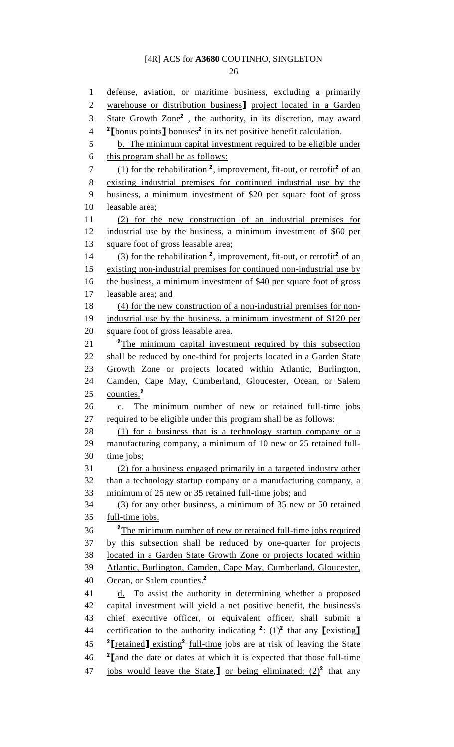26

1 defense, aviation, or maritime business, excluding a primarily 2 warehouse or distribution business] project located in a Garden 3 State Growth Zone<sup>2</sup>, the authority, in its discretion, may award <sup>2</sup>[bonus points] bonuses<sup>2</sup> in its net positive benefit calculation. 5 b. The minimum capital investment required to be eligible under 6 this program shall be as follows:  $(1)$  for the rehabilitation  $^2$ , improvement, fit-out, or retrofit<sup>2</sup> of an 8 existing industrial premises for continued industrial use by the 9 business, a minimum investment of \$20 per square foot of gross 10 leasable area; 11 (2) for the new construction of an industrial premises for 12 industrial use by the business, a minimum investment of \$60 per 13 square foot of gross leasable area; 14 (3) for the rehabilitation  $2$ , improvement, fit-out, or retrofit<sup>2</sup> of an 15 existing non-industrial premises for continued non-industrial use by 16 the business, a minimum investment of \$40 per square foot of gross 17 leasable area; and 18 (4) for the new construction of a non-industrial premises for non-19 industrial use by the business, a minimum investment of \$120 per 20 square foot of gross leasable area. 21 <sup>2</sup>The minimum capital investment required by this subsection 22 shall be reduced by one-third for projects located in a Garden State 23 Growth Zone or projects located within Atlantic, Burlington, 24 Camden, Cape May, Cumberland, Gloucester, Ocean, or Salem 25 counties.<sup>2</sup> 26 c. The minimum number of new or retained full-time jobs 27 required to be eligible under this program shall be as follows: 28 (1) for a business that is a technology startup company or a 29 manufacturing company, a minimum of 10 new or 25 retained full-30 time jobs; 31 (2) for a business engaged primarily in a targeted industry other 32 than a technology startup company or a manufacturing company, a 33 minimum of 25 new or 35 retained full-time jobs; and 34 (3) for any other business, a minimum of 35 new or 50 retained 35 full-time jobs. <sup>2</sup>The minimum number of new or retained full-time jobs required 37 by this subsection shall be reduced by one-quarter for projects 38 located in a Garden State Growth Zone or projects located within 39 Atlantic, Burlington, Camden, Cape May, Cumberland, Gloucester, 40 Ocean, or Salem counties.<sup>2</sup>  $41$  d. To assist the authority in determining whether a proposed 42 capital investment will yield a net positive benefit, the business's 43 chief executive officer, or equivalent officer, shall submit a 44 certification to the authority indicating  $2: (1)^2$  that any [existing] 45  $\mathrm{P}_\text{I}$   $\mathrm{P}_\text{I}$   $\mathrm{P}_\text{I}$   $\mathrm{P}_\text{I}$   $\mathrm{P}_\text{I}$   $\mathrm{P}_\text{2}$   $\mathrm{P}_\text{I}$   $\mathrm{P}_\text{I}$   $\mathrm{P}_\text{I}$   $\mathrm{P}_\text{I}$   $\mathrm{P}_\text{I}$   $\mathrm{P}_\text{I}$   $\mathrm{P}_\text{I}$   $\mathrm{P}_\text{I}$   $\mathrm{P}_\text{I}$   $\mathrm{P}_\text{I}$   $\mathrm{P}_\text{I$  $46$   $^2$  [and the date or dates at which it is expected that those full-time 47 jobs would leave the State,  $\int$  or being eliminated; (2)<sup>2</sup> that any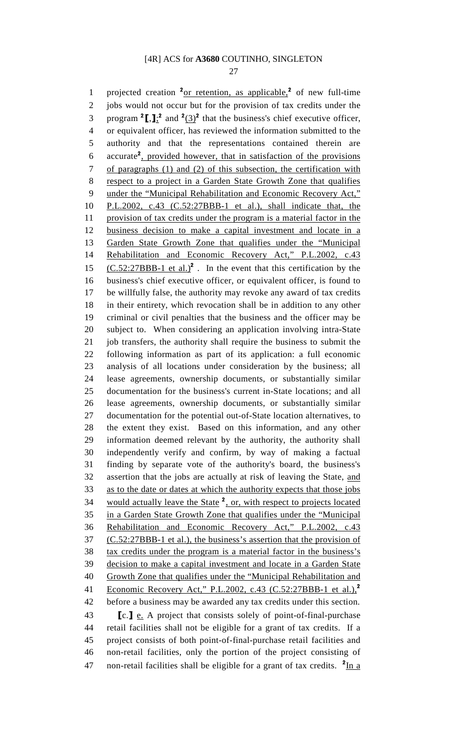27

1 projected creation  $2_{\text{or}}$  retention, as applicable,  $2$  of new full-time 2 jobs would not occur but for the provision of tax credits under the 3 program  $2[\cdot]$ ; and  $2(3)^2$  that the business's chief executive officer, 4 or equivalent officer, has reviewed the information submitted to the 5 authority and that the representations contained therein are 6 accurate<sup>2</sup>, provided however, that in satisfaction of the provisions 7 of paragraphs (1) and (2) of this subsection, the certification with 8 respect to a project in a Garden State Growth Zone that qualifies 9 under the "Municipal Rehabilitation and Economic Recovery Act," 10 P.L.2002, c.43 (C.52:27BBB-1 et al.), shall indicate that, the 11 provision of tax credits under the program is a material factor in the 12 business decision to make a capital investment and locate in a 13 Garden State Growth Zone that qualifies under the "Municipal 14 Rehabilitation and Economic Recovery Act," P.L.2002, c.43 15  $(C.52:27BBB-1$  et al.)<sup>2</sup>. In the event that this certification by the 16 business's chief executive officer, or equivalent officer, is found to 17 be willfully false, the authority may revoke any award of tax credits 18 in their entirety, which revocation shall be in addition to any other 19 criminal or civil penalties that the business and the officer may be 20 subject to. When considering an application involving intra-State 21 job transfers, the authority shall require the business to submit the 22 following information as part of its application: a full economic 23 analysis of all locations under consideration by the business; all 24 lease agreements, ownership documents, or substantially similar 25 documentation for the business's current in-State locations; and all 26 lease agreements, ownership documents, or substantially similar 27 documentation for the potential out-of-State location alternatives, to 28 the extent they exist. Based on this information, and any other 29 information deemed relevant by the authority, the authority shall 30 independently verify and confirm, by way of making a factual 31 finding by separate vote of the authority's board, the business's 32 assertion that the jobs are actually at risk of leaving the State, and 33 as to the date or dates at which the authority expects that those jobs 34 would actually leave the State  $2$ , or, with respect to projects located 35 in a Garden State Growth Zone that qualifies under the "Municipal 36 Rehabilitation and Economic Recovery Act," P.L.2002, c.43 37 (C.52:27BBB-1 et al.), the business's assertion that the provision of 38 tax credits under the program is a material factor in the business's 39 decision to make a capital investment and locate in a Garden State 40 Growth Zone that qualifies under the "Municipal Rehabilitation and 41 Economic Recovery Act," P.L.2002, c.43 (C.52:27BBB-1 et al.),<sup>2</sup> 42 before a business may be awarded any tax credits under this section. 43 **[c.] e.** A project that consists solely of point-of-final-purchase 44 retail facilities shall not be eligible for a grant of tax credits. If a 45 project consists of both point-of-final-purchase retail facilities and 46 non-retail facilities, only the portion of the project consisting of 47 non-retail facilities shall be eligible for a grant of tax credits.  $2 \text{In a}$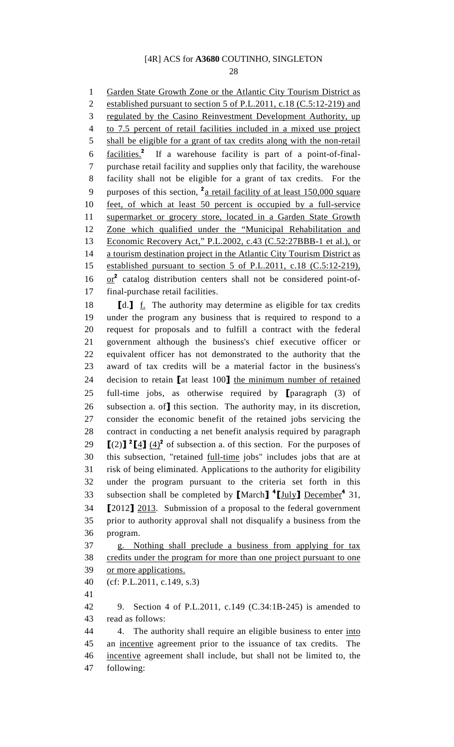28

1 Garden State Growth Zone or the Atlantic City Tourism District as 2 established pursuant to section 5 of P.L.2011, c.18 (C.5:12-219) and 3 regulated by the Casino Reinvestment Development Authority, up 4 to 7.5 percent of retail facilities included in a mixed use project 5 shall be eligible for a grant of tax credits along with the non-retail 6 facilities.<sup>2</sup> If a warehouse facility is part of a point-of-final-7 purchase retail facility and supplies only that facility, the warehouse 8 facility shall not be eligible for a grant of tax credits. For the 9 purposes of this section,  $\frac{2a}{a}$  retail facility of at least 150,000 square 10 feet, of which at least 50 percent is occupied by a full-service 11 supermarket or grocery store, located in a Garden State Growth 12 Zone which qualified under the "Municipal Rehabilitation and 13 Economic Recovery Act," P.L.2002, c.43 (C.52:27BBB-1 et al.), or 14 a tourism destination project in the Atlantic City Tourism District as 15 established pursuant to section 5 of P.L.2011, c.18 (C.5:12-219),  $16$  or<sup>2</sup> catalog distribution centers shall not be considered point-of-17 final-purchase retail facilities. 18  $\blacksquare$   $\blacksquare$   $\blacksquare$   $\blacksquare$   $\blacksquare$   $\blacksquare$   $\blacksquare$   $\blacksquare$   $\blacksquare$   $\blacksquare$   $\blacksquare$   $\blacksquare$   $\blacksquare$   $\blacksquare$   $\blacksquare$   $\blacksquare$   $\blacksquare$   $\blacksquare$   $\blacksquare$   $\blacksquare$   $\blacksquare$   $\blacksquare$   $\blacksquare$   $\blacksquare$   $\blacksquare$   $\blacksquare$   $\blacksquare$   $\blacksquare$   $\blacksquare$   $\blacksquare$   $\blacksquare$  19 under the program any business that is required to respond to a 20 request for proposals and to fulfill a contract with the federal 21 government although the business's chief executive officer or 22 equivalent officer has not demonstrated to the authority that the 23 award of tax credits will be a material factor in the business's 24 decision to retain [at least 100] the minimum number of retained 25 full-time jobs, as otherwise required by [paragraph (3) of 26 subsection a. of**]** this section. The authority may, in its discretion, 27 consider the economic benefit of the retained jobs servicing the 28 contract in conducting a net benefit analysis required by paragraph 29  $\left[\frac{2}{1} \cdot \frac{4}{1} \cdot \frac{4}{2} \cdot \frac{4}{2} \cdot \frac{4}{2} \cdot \frac{4}{2} \cdot \frac{4}{2} \cdot \frac{4}{2} \cdot \frac{4}{2} \cdot \frac{4}{2} \cdot \frac{4}{2} \cdot \frac{4}{2} \cdot \frac{4}{2} \cdot \frac{4}{2} \cdot \frac{4}{2} \cdot \frac{4}{2} \cdot \frac{4}{2} \cdot \frac{4}{2} \cdot \frac{4}{2} \cdot \frac{4}{2} \cdot \frac{4}{2} \cdot \frac{4}{2} \cdot \frac{4}{2} \cdot \frac{4}{2} \$ 30 this subsection, "retained full-time jobs" includes jobs that are at 31 risk of being eliminated. Applications to the authority for eligibility 32 under the program pursuant to the criteria set forth in this 33 subsection shall be completed by [March]<sup>4</sup>[July] December<sup>4</sup> 31, 34 [2012] 2013. Submission of a proposal to the federal government 35 prior to authority approval shall not disqualify a business from the 36 program. 37 g. Nothing shall preclude a business from applying for tax 38 credits under the program for more than one project pursuant to one 39 or more applications. 40 (cf: P.L.2011, c.149, s.3) 41 42 9. Section 4 of P.L.2011, c.149 (C.34:1B-245) is amended to 43 read as follows: 44 4. The authority shall require an eligible business to enter into 45 an incentive agreement prior to the issuance of tax credits. The 46 incentive agreement shall include, but shall not be limited to, the 47 following: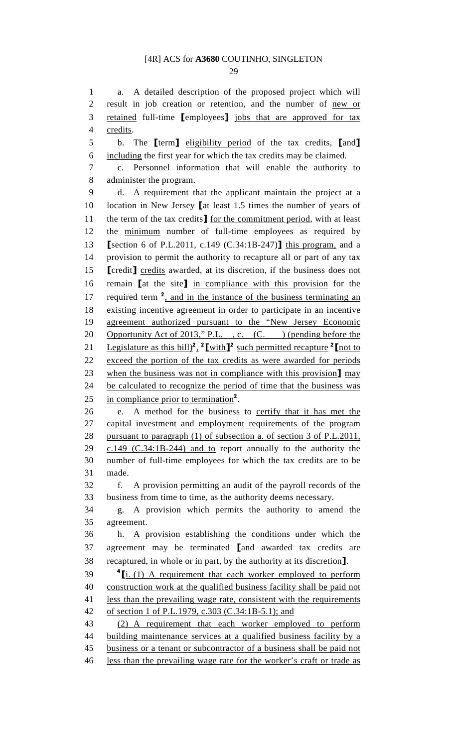29

1 a. A detailed description of the proposed project which will 2 result in job creation or retention, and the number of new or 3 retained full-time [employees] jobs that are approved for tax 4 credits.

5 b. The **[**term] eligibility period of the tax credits, [and] 6 including the first year for which the tax credits may be claimed.

7 c. Personnel information that will enable the authority to 8 administer the program.

9 d. A requirement that the applicant maintain the project at a 10 location in New Jersey [at least 1.5 times the number of years of 11 the term of the tax credits] for the commitment period, with at least 12 the minimum number of full-time employees as required by 13 [section 6 of P.L.2011, c.149 (C.34:1B-247)] this program, and a 14 provision to permit the authority to recapture all or part of any tax 15 **[**credit**]** credits awarded, at its discretion, if the business does not 16 remain [at the site] in compliance with this provision for the 17 required term  $2$ , and in the instance of the business terminating an 18 existing incentive agreement in order to participate in an incentive 19 agreement authorized pursuant to the "New Jersey Economic 20 Opportunity Act of 2013," P.L., c. (C. ) (pending before the 21 Legislature as this bill)<sup>2</sup>, <sup>2</sup>[with]<sup>2</sup> such permitted recapture <sup>2</sup>[not to 22 exceed the portion of the tax credits as were awarded for periods 23 when the business was not in compliance with this provision] may 24 be calculated to recognize the period of time that the business was 25 in compliance prior to termination<sup>2</sup>.

26 e. A method for the business to certify that it has met the 27 capital investment and employment requirements of the program 28 pursuant to paragraph (1) of subsection a. of section 3 of P.L.2011, 29 c.149 (C.34:1B-244) and to report annually to the authority the 30 number of full-time employees for which the tax credits are to be 31 made.

32 f. A provision permitting an audit of the payroll records of the 33 business from time to time, as the authority deems necessary.

34 g. A provision which permits the authority to amend the 35 agreement.

36 h. A provision establishing the conditions under which the 37 agreement may be terminated [and awarded tax credits are 38 recaptured, in whole or in part, by the authority at its discretion].

 $39 \frac{\text{4}}{\text{1}}$  (1) A requirement that each worker employed to perform 40 construction work at the qualified business facility shall be paid not 41 less than the prevailing wage rate, consistent with the requirements 42 of section 1 of P.L.1979, c.303 (C.34:1B-5.1); and

43 (2) A requirement that each worker employed to perform 44 building maintenance services at a qualified business facility by a 45 business or a tenant or subcontractor of a business shall be paid not 46 less than the prevailing wage rate for the worker's craft or trade as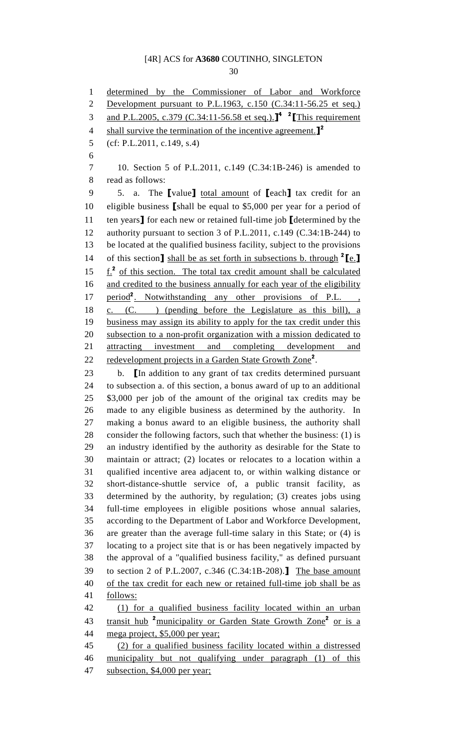30

1 determined by the Commissioner of Labor and Workforce 2 Development pursuant to P.L.1963, c.150 (C.34:11-56.25 et seq.) 3 and P.L.2005, c.379 (C.34:11-56.58 et seq.).<sup>14</sup> <sup>2</sup> [This requirement] 4 shall survive the termination of the incentive agreement.<sup>12</sup> 5 (cf: P.L.2011, c.149, s.4) 6 7 10. Section 5 of P.L.2011, c.149 (C.34:1B-246) is amended to 8 read as follows: 9 5. a. The [value] total amount of [each] tax credit for an 10 eligible business [shall be equal to \$5,000 per year for a period of 11 ten years] for each new or retained full-time job [determined by the 12 authority pursuant to section 3 of P.L.2011, c.149 (C.34:1B-244) to 13 be located at the qualified business facility, subject to the provisions 14 of this section] shall be as set forth in subsections b. through  $2 \leq$ . 15  $f_1^2$  of this section. The total tax credit amount shall be calculated 16 and credited to the business annually for each year of the eligibility 17 period<sup>2</sup>. Notwithstanding any other provisions of P.L. 18 c. (C. ) (pending before the Legislature as this bill), a 19 business may assign its ability to apply for the tax credit under this 20 subsection to a non-profit organization with a mission dedicated to 21 attracting investment and completing development and 22 redevelopment projects in a Garden State Growth Zone<sup>2</sup>. 23 b. [In addition to any grant of tax credits determined pursuant 24 to subsection a. of this section, a bonus award of up to an additional 25 \$3,000 per job of the amount of the original tax credits may be 26 made to any eligible business as determined by the authority. In 27 making a bonus award to an eligible business, the authority shall 28 consider the following factors, such that whether the business: (1) is 29 an industry identified by the authority as desirable for the State to 30 maintain or attract; (2) locates or relocates to a location within a 31 qualified incentive area adjacent to, or within walking distance or 32 short-distance-shuttle service of, a public transit facility, as 33 determined by the authority, by regulation; (3) creates jobs using 34 full-time employees in eligible positions whose annual salaries, 35 according to the Department of Labor and Workforce Development, 36 are greater than the average full-time salary in this State; or (4) is 37 locating to a project site that is or has been negatively impacted by 38 the approval of a "qualified business facility," as defined pursuant 39 to section 2 of P.L.2007, c.346 (C.34:1B-208).] The base amount 40 of the tax credit for each new or retained full-time job shall be as 41 follows: 42 (1) for a qualified business facility located within an urban 43 transit hub <sup>2</sup> municipality or Garden State Growth Zone<sup>2</sup> or is a 44 mega project, \$5,000 per year; 45 (2) for a qualified business facility located within a distressed 46 municipality but not qualifying under paragraph (1) of this 47 subsection, \$4,000 per year;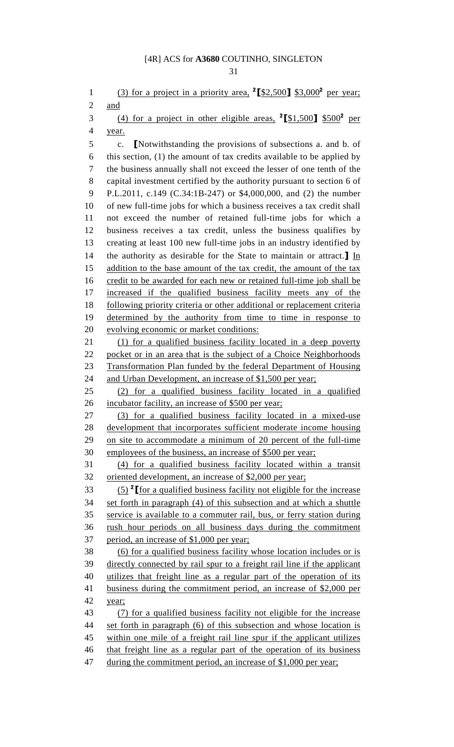1 (3) for a project in a priority area,  $2 \left[ \frac{2500}{12} \right]$  \$3,000<sup>2</sup> per year; 2 and 3 (4) for a project in other eligible areas,  $^{2}$ [\$1,500] \$500<sup>2</sup> per 4 year. 5 c. [Notwithstanding the provisions of subsections a. and b. of 6 this section, (1) the amount of tax credits available to be applied by 7 the business annually shall not exceed the lesser of one tenth of the 8 capital investment certified by the authority pursuant to section 6 of 9 P.L.2011, c.149 (C.34:1B-247) or \$4,000,000, and (2) the number 10 of new full-time jobs for which a business receives a tax credit shall 11 not exceed the number of retained full-time jobs for which a 12 business receives a tax credit, unless the business qualifies by 13 creating at least 100 new full-time jobs in an industry identified by 14 the authority as desirable for the State to maintain or attract.  $\mathbf{I}$  In 15 addition to the base amount of the tax credit, the amount of the tax 16 credit to be awarded for each new or retained full-time job shall be 17 increased if the qualified business facility meets any of the 18 following priority criteria or other additional or replacement criteria 19 determined by the authority from time to time in response to 20 evolving economic or market conditions: 21 (1) for a qualified business facility located in a deep poverty 22 pocket or in an area that is the subject of a Choice Neighborhoods 23 Transformation Plan funded by the federal Department of Housing 24 and Urban Development, an increase of \$1,500 per year; 25 (2) for a qualified business facility located in a qualified 26 incubator facility, an increase of \$500 per year; 27 (3) for a qualified business facility located in a mixed-use 28 development that incorporates sufficient moderate income housing 29 on site to accommodate a minimum of 20 percent of the full-time 30 employees of the business, an increase of \$500 per year; 31 (4) for a qualified business facility located within a transit 32 oriented development, an increase of \$2,000 per year;  $(5)$  <sup>2</sup> [for a qualified business facility not eligible for the increase 34 set forth in paragraph (4) of this subsection and at which a shuttle 35 service is available to a commuter rail, bus, or ferry station during 36 rush hour periods on all business days during the commitment 37 period, an increase of \$1,000 per year; 38 (6) for a qualified business facility whose location includes or is 39 directly connected by rail spur to a freight rail line if the applicant 40 utilizes that freight line as a regular part of the operation of its 41 business during the commitment period, an increase of \$2,000 per 42 year; 43 (7) for a qualified business facility not eligible for the increase 44 set forth in paragraph (6) of this subsection and whose location is 45 within one mile of a freight rail line spur if the applicant utilizes 46 that freight line as a regular part of the operation of its business 47 during the commitment period, an increase of \$1,000 per year;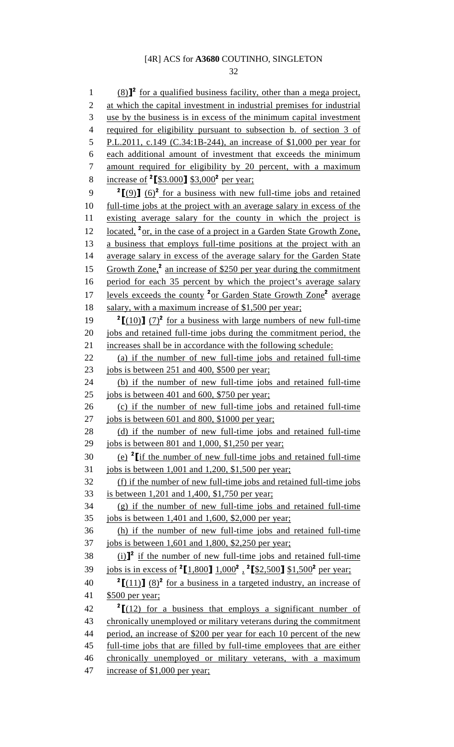32

 $(8)$ <sup>2</sup> for a qualified business facility, other than a mega project, 2 at which the capital investment in industrial premises for industrial 3 use by the business is in excess of the minimum capital investment 4 required for eligibility pursuant to subsection b. of section 3 of 5 P.L.2011, c.149 (C.34:1B-244), an increase of \$1,000 per year for 6 each additional amount of investment that exceeds the minimum 7 amount required for eligibility by 20 percent, with a maximum 8 increase of  $25.000$ ] \$3,000<sup>2</sup> per year; 9  ${}^{2}$ [(9)] (6)<sup>2</sup> for a business with new full-time jobs and retained 10 full-time jobs at the project with an average salary in excess of the 11 existing average salary for the county in which the project is 12 located,  $\frac{2}{3}$  or, in the case of a project in a Garden State Growth Zone, 13 a business that employs full-time positions at the project with an 14 average salary in excess of the average salary for the Garden State 15 Growth Zone,<sup>2</sup> an increase of \$250 per year during the commitment 16 period for each 35 percent by which the project's average salary 17 levels exceeds the county <sup>2</sup> or Garden State Growth Zone<sup>2</sup> average 18 salary, with a maximum increase of \$1,500 per year; 19  ${}^{2}$ [(10)] (7)<sup>2</sup> for a business with large numbers of new full-time 20 jobs and retained full-time jobs during the commitment period, the 21 increases shall be in accordance with the following schedule: 22 (a) if the number of new full-time jobs and retained full-time 23 jobs is between 251 and 400, \$500 per year; 24 (b) if the number of new full-time jobs and retained full-time 25 jobs is between 401 and 600, \$750 per year; 26 (c) if the number of new full-time jobs and retained full-time 27 jobs is between 601 and 800, \$1000 per year; 28 (d) if the number of new full-time jobs and retained full-time 29 jobs is between 801 and 1,000, \$1,250 per year; 30 (e)  $2$  if the number of new full-time jobs and retained full-time 31 jobs is between 1,001 and 1,200, \$1,500 per year; 32 (f) if the number of new full-time jobs and retained full-time jobs 33 is between 1,201 and 1,400, \$1,750 per year; 34 (g) if the number of new full-time jobs and retained full-time 35 jobs is between 1,401 and 1,600, \$2,000 per year; 36 (h) if the number of new full-time jobs and retained full-time 37 jobs is between 1,601 and 1,800, \$2,250 per year; 38 iii)<sup>2</sup> if the number of new full-time jobs and retained full-time 39 jobs is in excess of  $^{2}[1,800]$  1,000<sup>2</sup>,  $^{2}[$2,500]$  \$1,500<sup>2</sup> per year; 40  ${}^{2}$ [(11)] (8)<sup>2</sup> for a business in a targeted industry, an increase of 41 \$500 per year;  $2^2$   $\left[\frac{12}{12}\right]$  for a business that employs a significant number of 43 chronically unemployed or military veterans during the commitment 44 period, an increase of \$200 per year for each 10 percent of the new 45 full-time jobs that are filled by full-time employees that are either 46 chronically unemployed or military veterans, with a maximum 47 increase of \$1,000 per year;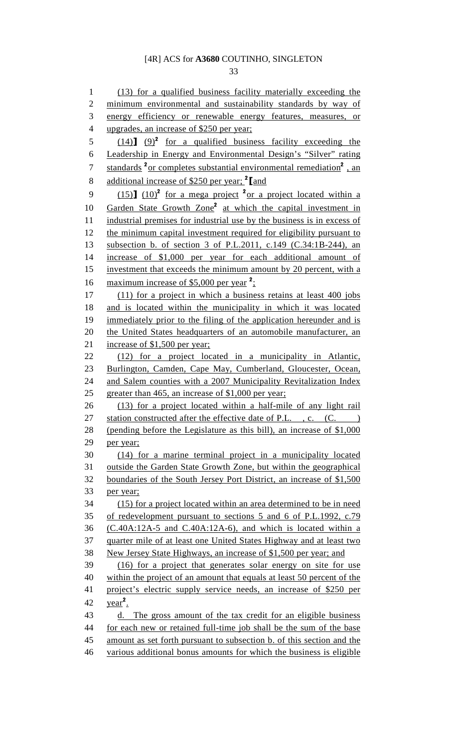33

1 (13) for a qualified business facility materially exceeding the 2 minimum environmental and sustainability standards by way of 3 energy efficiency or renewable energy features, measures, or 4 upgrades, an increase of \$250 per year;  $(14)$   $(9)^2$  for a qualified business facility exceeding the 6 Leadership in Energy and Environmental Design's "Silver" rating 7 standards <sup>2</sup> or completes substantial environmental remediation<sup>2</sup>, an 8 additional increase of \$250 per year;  $^2$  [and 9  $(15)$   $(10)^2$  for a mega project <sup>2</sup> or a project located within a 10 Garden State Growth Zone<sup>2</sup> at which the capital investment in 11 industrial premises for industrial use by the business is in excess of 12 the minimum capital investment required for eligibility pursuant to 13 subsection b. of section 3 of P.L.2011, c.149 (C.34:1B-244), an 14 increase of \$1,000 per year for each additional amount of 15 investment that exceeds the minimum amount by 20 percent, with a 16 maximum increase of \$5,000 per year  $2$ ; 17 (11) for a project in which a business retains at least 400 jobs 18 and is located within the municipality in which it was located 19 immediately prior to the filing of the application hereunder and is 20 the United States headquarters of an automobile manufacturer, an 21 increase of \$1,500 per year; 22 (12) for a project located in a municipality in Atlantic, 23 Burlington, Camden, Cape May, Cumberland, Gloucester, Ocean, 24 and Salem counties with a 2007 Municipality Revitalization Index 25 greater than 465, an increase of \$1,000 per year; 26 (13) for a project located within a half-mile of any light rail 27 station constructed after the effective date of P.L., c. (C. ) 28 (pending before the Legislature as this bill), an increase of \$1,000 29 per year; 30 (14) for a marine terminal project in a municipality located 31 outside the Garden State Growth Zone, but within the geographical 32 boundaries of the South Jersey Port District, an increase of \$1,500 33 per year; 34 (15) for a project located within an area determined to be in need 35 of redevelopment pursuant to sections 5 and 6 of P.L.1992, c.79 36 (C.40A:12A-5 and C.40A:12A-6), and which is located within a 37 quarter mile of at least one United States Highway and at least two 38 New Jersey State Highways, an increase of \$1,500 per year; and 39 (16) for a project that generates solar energy on site for use 40 within the project of an amount that equals at least 50 percent of the 41 project's electric supply service needs, an increase of \$250 per 42  $year<sup>2</sup>$ . 43 d. The gross amount of the tax credit for an eligible business 44 for each new or retained full-time job shall be the sum of the base 45 amount as set forth pursuant to subsection b. of this section and the 46 various additional bonus amounts for which the business is eligible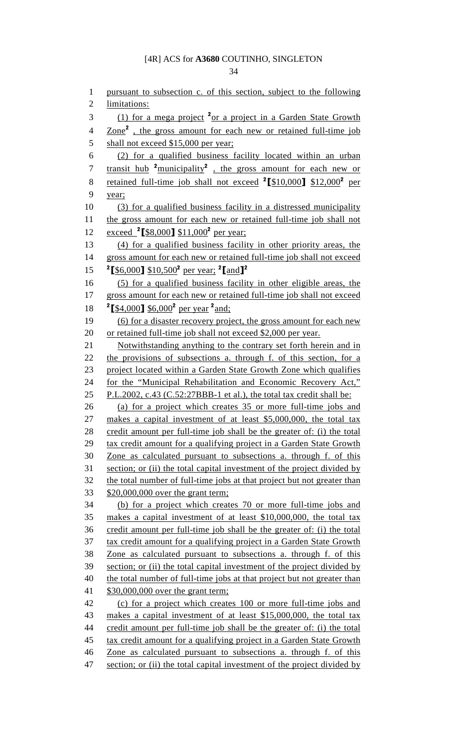34

1 pursuant to subsection c. of this section, subject to the following 2 limitations: (1) for a mega project <sup>2</sup> or a project in a Garden State Growth 4 Zone<sup>2</sup>, the gross amount for each new or retained full-time job 5 shall not exceed \$15,000 per year; 6 (2) for a qualified business facility located within an urban 7 transit hub <sup>2</sup> municipality<sup>2</sup>, the gross amount for each new or 8 retained full-time job shall not exceed  $\textdegree$  [\$10,000] \$12,000<sup>2</sup> per 9 year; 10 (3) for a qualified business facility in a distressed municipality 11 the gross amount for each new or retained full-time job shall not <u>exceed <sup>2</sup> [\$8,000] \$11,000</u><sup>2</sup> 12 exceed  $^{2}$  [\$8,000] \$11,000<sup>2</sup> per year;<br>13 (4) for a qualified business facility in other priority areas, the 14 gross amount for each new or retained full-time job shall not exceed 15  ${}^{2}$  [\$6,000] \$10,500<sup>2</sup> per year; <sup>2</sup> [and]<sup>2</sup> 16 (5) for a qualified business facility in other eligible areas, the 17 gross amount for each new or retained full-time job shall not exceed 18 <sup>2</sup>[\$4,000] \$6,000<sup>2</sup> per year <sup>2</sup> and; 19 (6) for a disaster recovery project, the gross amount for each new 20 or retained full-time job shall not exceed \$2,000 per year. 21 Notwithstanding anything to the contrary set forth herein and in 22 the provisions of subsections a. through f. of this section, for a 23 project located within a Garden State Growth Zone which qualifies 24 for the "Municipal Rehabilitation and Economic Recovery Act," 25 P.L.2002, c.43 (C.52:27BBB-1 et al.), the total tax credit shall be: 26 (a) for a project which creates 35 or more full-time jobs and 27 makes a capital investment of at least \$5,000,000, the total tax 28 credit amount per full-time job shall be the greater of: (i) the total 29 tax credit amount for a qualifying project in a Garden State Growth 30 Zone as calculated pursuant to subsections a. through f. of this 31 section; or (ii) the total capital investment of the project divided by 32 the total number of full-time jobs at that project but not greater than 33 \$20,000,000 over the grant term; 34 (b) for a project which creates 70 or more full-time jobs and 35 makes a capital investment of at least \$10,000,000, the total tax 36 credit amount per full-time job shall be the greater of: (i) the total 37 tax credit amount for a qualifying project in a Garden State Growth 38 Zone as calculated pursuant to subsections a. through f. of this 39 section; or (ii) the total capital investment of the project divided by 40 the total number of full-time jobs at that project but not greater than 41 \$30,000,000 over the grant term; 42 (c) for a project which creates 100 or more full-time jobs and 43 makes a capital investment of at least \$15,000,000, the total tax 44 credit amount per full-time job shall be the greater of: (i) the total 45 tax credit amount for a qualifying project in a Garden State Growth 46 Zone as calculated pursuant to subsections a. through f. of this 47 section; or (ii) the total capital investment of the project divided by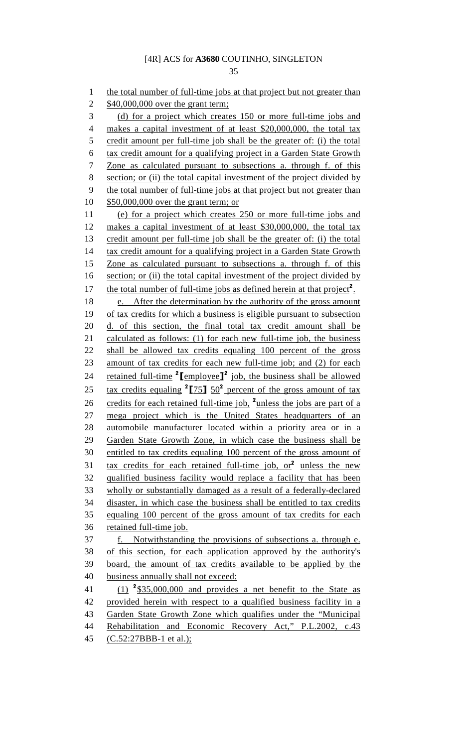35

1 the total number of full-time jobs at that project but not greater than 2 \$40,000,000 over the grant term; 3 (d) for a project which creates 150 or more full-time jobs and 4 makes a capital investment of at least \$20,000,000, the total tax 5 credit amount per full-time job shall be the greater of: (i) the total 6 tax credit amount for a qualifying project in a Garden State Growth 7 Zone as calculated pursuant to subsections a. through f. of this 8 section; or (ii) the total capital investment of the project divided by 9 the total number of full-time jobs at that project but not greater than 10 \$50,000,000 over the grant term; or 11 (e) for a project which creates 250 or more full-time jobs and 12 makes a capital investment of at least \$30,000,000, the total tax 13 credit amount per full-time job shall be the greater of: (i) the total 14 tax credit amount for a qualifying project in a Garden State Growth 15 Zone as calculated pursuant to subsections a. through f. of this 16 section; or (ii) the total capital investment of the project divided by 17 the total number of full-time jobs as defined herein at that project<sup>2</sup>. 18 e. After the determination by the authority of the gross amount 19 of tax credits for which a business is eligible pursuant to subsection 20 d. of this section, the final total tax credit amount shall be 21 calculated as follows: (1) for each new full-time job, the business 22 shall be allowed tax credits equaling 100 percent of the gross 23 amount of tax credits for each new full-time job; and (2) for each 24 retained full-time  $2\text{[employee]}^2$  job, the business shall be allowed 25 tax credits equaling  $25/75$ ]  $50<sup>2</sup>$  percent of the gross amount of tax 26 credits for each retained full-time job,  $^2$  unless the jobs are part of a 27 mega project which is the United States headquarters of an 28 automobile manufacturer located within a priority area or in a 29 Garden State Growth Zone, in which case the business shall be 30 entitled to tax credits equaling 100 percent of the gross amount of 31 tax credits for each retained full-time job,  $or^2$  unless the new 32 qualified business facility would replace a facility that has been 33 wholly or substantially damaged as a result of a federally-declared 34 disaster, in which case the business shall be entitled to tax credits 35 equaling 100 percent of the gross amount of tax credits for each 36 retained full-time job. 37 f. Notwithstanding the provisions of subsections a. through e. 38 of this section, for each application approved by the authority's 39 board, the amount of tax credits available to be applied by the 40 business annually shall not exceed: 41  $(1)$  <sup>2</sup>\$35,000,000 and provides a net benefit to the State as 42 provided herein with respect to a qualified business facility in a 43 Garden State Growth Zone which qualifies under the "Municipal 44 Rehabilitation and Economic Recovery Act," P.L.2002, c.43 45 (C.52:27BBB-1 et al.);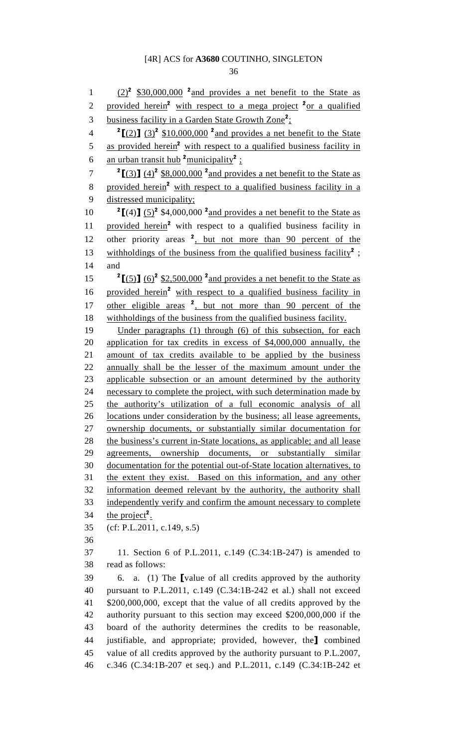36

 $(2)^2$  \$30,000,000 <sup>2</sup> and provides a net benefit to the State as 2 provided herein<sup>2</sup> with respect to a mega project <sup>2</sup> or a qualified 3 business facility in a Garden State Growth Zone<sup>2</sup>; 4  ${}^{2}$ [(2)] (3)<sup>2</sup> \$10,000,000 <sup>2</sup> and provides a net benefit to the State 5 as provided herein<sup>2</sup> with respect to a qualified business facility in 6 an urban transit hub  $\frac{2}{3}$  municipality  $\frac{2}{3}$ :  $\frac{2}{3}$   $\left[\frac{(3)}{(4)^2}\frac{88,000,000}{8}\right]$  and provides a net benefit to the State as 8 provided herein<sup>2</sup> with respect to a qualified business facility in a 9 distressed municipality; 10  ${}^{2}$ [(4)] (5)<sup>2</sup> \$4,000,000<sup>2</sup> and provides a net benefit to the State as 11 provided herein<sup>2</sup> with respect to a qualified business facility in 12 other priority areas  $2$ , but not more than 90 percent of the 13 withholdings of the business from the qualified business facility<sup>2</sup>; 14 and 15  ${}^{2}$ [(5)] (6)<sup>2</sup> \$2,500,000<sup>2</sup> and provides a net benefit to the State as 16 provided herein<sup>2</sup> with respect to a qualified business facility in 17 other eligible areas  $2$ , but not more than 90 percent of the 18 withholdings of the business from the qualified business facility. 19 Under paragraphs (1) through (6) of this subsection, for each 20 application for tax credits in excess of \$4,000,000 annually, the 21 amount of tax credits available to be applied by the business 22 annually shall be the lesser of the maximum amount under the 23 applicable subsection or an amount determined by the authority 24 necessary to complete the project, with such determination made by 25 the authority's utilization of a full economic analysis of all 26 locations under consideration by the business; all lease agreements, 27 ownership documents, or substantially similar documentation for 28 the business's current in-State locations, as applicable; and all lease 29 agreements, ownership documents, or substantially similar 30 documentation for the potential out-of-State location alternatives, to 31 the extent they exist. Based on this information, and any other 32 information deemed relevant by the authority, the authority shall 33 independently verify and confirm the amount necessary to complete 34 the project<sup>2</sup>. 35 (cf: P.L.2011, c.149, s.5) 36 37 11. Section 6 of P.L.2011, c.149 (C.34:1B-247) is amended to 38 read as follows: 39 6. a. (1) The [value of all credits approved by the authority 40 pursuant to P.L.2011, c.149 (C.34:1B-242 et al.) shall not exceed 41 \$200,000,000, except that the value of all credits approved by the 42 authority pursuant to this section may exceed \$200,000,000 if the 43 board of the authority determines the credits to be reasonable, 44 justifiable, and appropriate; provided, however, the] combined 45 value of all credits approved by the authority pursuant to P.L.2007, 46 c.346 (C.34:1B-207 et seq.) and P.L.2011, c.149 (C.34:1B-242 et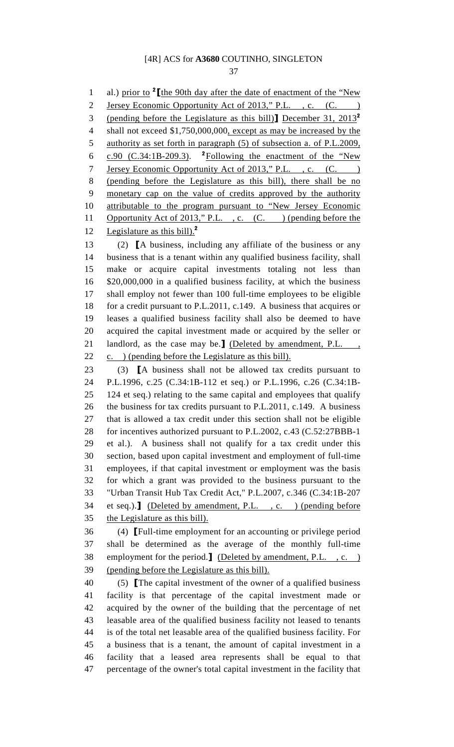37

1 al.) prior to  $2$  [the 90th day after the date of enactment of the "New 2 Jersey Economic Opportunity Act of 2013," P.L., c. (C. 3 (pending before the Legislature as this bill) December 31,  $2013^2$ 4 shall not exceed \$1,750,000,000, except as may be increased by the 5 authority as set forth in paragraph (5) of subsection a. of P.L.2009, 6 c.90 (C.34:1B-209.3). <sup>2</sup> Following the enactment of the "New 7 Jersey Economic Opportunity Act of 2013," P.L., c. (C.) 8 (pending before the Legislature as this bill), there shall be no 9 monetary cap on the value of credits approved by the authority 10 attributable to the program pursuant to "New Jersey Economic 11 Opportunity Act of 2013," P.L., c. (C.) (pending before the 12 Legislature as this bill). $^2$ 13 (2) [A business, including any affiliate of the business or any 14 business that is a tenant within any qualified business facility, shall 15 make or acquire capital investments totaling not less than 16 \$20,000,000 in a qualified business facility, at which the business 17 shall employ not fewer than 100 full-time employees to be eligible 18 for a credit pursuant to P.L.2011, c.149. A business that acquires or 19 leases a qualified business facility shall also be deemed to have 20 acquired the capital investment made or acquired by the seller or 21 landlord, as the case may be.] (Deleted by amendment, P.L., 22 c. ) (pending before the Legislature as this bill). 23 (3) [A business shall not be allowed tax credits pursuant to 24 P.L.1996, c.25 (C.34:1B-112 et seq.) or P.L.1996, c.26 (C.34:1B-25 124 et seq.) relating to the same capital and employees that qualify 26 the business for tax credits pursuant to P.L.2011, c.149. A business 27 that is allowed a tax credit under this section shall not be eligible 28 for incentives authorized pursuant to P.L.2002, c.43 (C.52:27BBB-1 29 et al.). A business shall not qualify for a tax credit under this 30 section, based upon capital investment and employment of full-time 31 employees, if that capital investment or employment was the basis 32 for which a grant was provided to the business pursuant to the 33 "Urban Transit Hub Tax Credit Act," P.L.2007, c.346 (C.34:1B-207 34 et seq.).] (Deleted by amendment, P.L. , c. ) (pending before 35 the Legislature as this bill). 36 (4) [Full-time employment for an accounting or privilege period 37 shall be determined as the average of the monthly full-time 38 employment for the period.] (Deleted by amendment, P.L. , c. ) 39 (pending before the Legislature as this bill). 40 (5) [The capital investment of the owner of a qualified business 41 facility is that percentage of the capital investment made or 42 acquired by the owner of the building that the percentage of net 43 leasable area of the qualified business facility not leased to tenants 44 is of the total net leasable area of the qualified business facility. For 45 a business that is a tenant, the amount of capital investment in a 46 facility that a leased area represents shall be equal to that 47 percentage of the owner's total capital investment in the facility that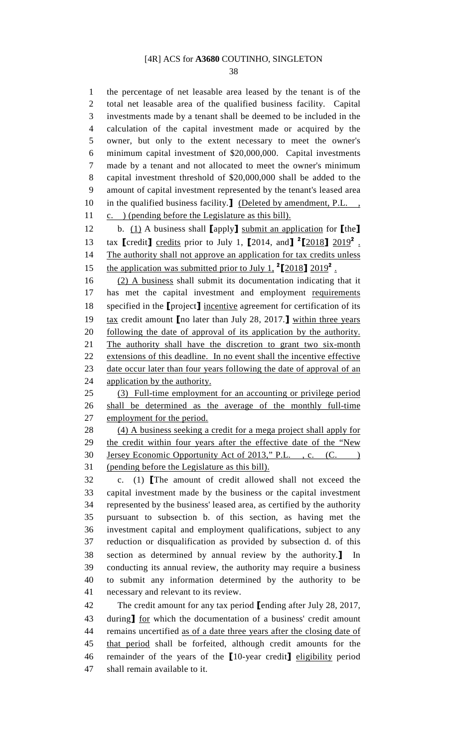38

1 the percentage of net leasable area leased by the tenant is of the 2 total net leasable area of the qualified business facility. Capital 3 investments made by a tenant shall be deemed to be included in the 4 calculation of the capital investment made or acquired by the 5 owner, but only to the extent necessary to meet the owner's 6 minimum capital investment of \$20,000,000. Capital investments 7 made by a tenant and not allocated to meet the owner's minimum 8 capital investment threshold of \$20,000,000 shall be added to the 9 amount of capital investment represented by the tenant's leased area 10 in the qualified business facility.] (Deleted by amendment, P.L., 11 c. ) (pending before the Legislature as this bill).

12 b. (1) A business shall [apply] submit an application for [the] 13 tax  $\text{[credit]}$  credits prior to July 1,  $\text{[}2014$ , and  $\text{[}2 \text{[}2018 \text{]}\text{]}$   $\frac{2019^2}{\text{.}}$ 14 The authority shall not approve an application for tax credits unless 15 the application was submitted prior to July 1,  $^{2}[2018]$   $2019^{2}$ .

16 (2) A business shall submit its documentation indicating that it 17 has met the capital investment and employment requirements 18 specified in the [project] incentive agreement for certification of its 19 tax credit amount **[**no later than July 28, 2017.**]** within three years 20 following the date of approval of its application by the authority. 21 The authority shall have the discretion to grant two six-month 22 extensions of this deadline. In no event shall the incentive effective 23 date occur later than four years following the date of approval of an 24 application by the authority.

25 (3) Full-time employment for an accounting or privilege period 26 shall be determined as the average of the monthly full-time 27 employment for the period.

28 (4) A business seeking a credit for a mega project shall apply for 29 the credit within four years after the effective date of the "New 30 Jersey Economic Opportunity Act of 2013," P.L., c. (C.) 31 (pending before the Legislature as this bill).

32 c. (1) [The amount of credit allowed shall not exceed the 33 capital investment made by the business or the capital investment 34 represented by the business' leased area, as certified by the authority 35 pursuant to subsection b. of this section, as having met the 36 investment capital and employment qualifications, subject to any 37 reduction or disqualification as provided by subsection d. of this 38 section as determined by annual review by the authority.] In 39 conducting its annual review, the authority may require a business 40 to submit any information determined by the authority to be 41 necessary and relevant to its review.

42 The credit amount for any tax period [ending after July 28, 2017, 43 during] for which the documentation of a business' credit amount 44 remains uncertified as of a date three years after the closing date of 45 that period shall be forfeited, although credit amounts for the 46 remainder of the years of the [10-year credit] eligibility period 47 shall remain available to it.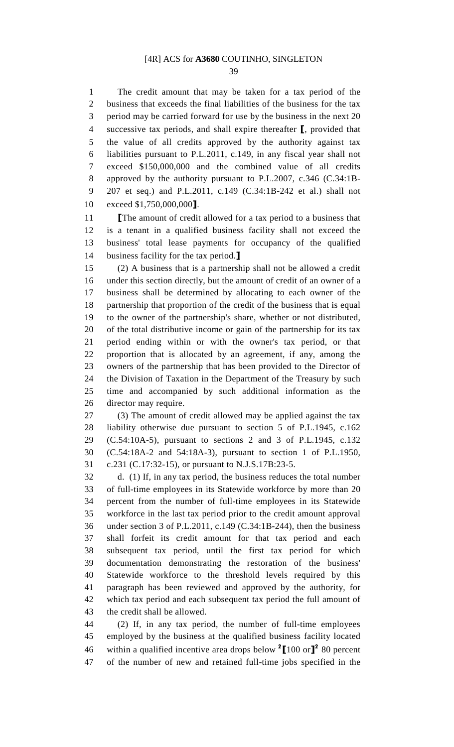39

1 The credit amount that may be taken for a tax period of the 2 business that exceeds the final liabilities of the business for the tax 3 period may be carried forward for use by the business in the next 20 4 successive tax periods, and shall expire thereafter [, provided that 5 the value of all credits approved by the authority against tax 6 liabilities pursuant to P.L.2011, c.149, in any fiscal year shall not 7 exceed \$150,000,000 and the combined value of all credits 8 approved by the authority pursuant to P.L.2007, c.346 (C.34:1B-9 207 et seq.) and P.L.2011, c.149 (C.34:1B-242 et al.) shall not 10 exceed \$1,750,000,000].

11 **[The amount of credit allowed for a tax period to a business that** 12 is a tenant in a qualified business facility shall not exceed the 13 business' total lease payments for occupancy of the qualified 14 business facility for the tax period.

15 (2) A business that is a partnership shall not be allowed a credit 16 under this section directly, but the amount of credit of an owner of a 17 business shall be determined by allocating to each owner of the 18 partnership that proportion of the credit of the business that is equal 19 to the owner of the partnership's share, whether or not distributed, 20 of the total distributive income or gain of the partnership for its tax 21 period ending within or with the owner's tax period, or that 22 proportion that is allocated by an agreement, if any, among the 23 owners of the partnership that has been provided to the Director of 24 the Division of Taxation in the Department of the Treasury by such 25 time and accompanied by such additional information as the 26 director may require.

27 (3) The amount of credit allowed may be applied against the tax 28 liability otherwise due pursuant to section 5 of P.L.1945, c.162 29 (C.54:10A-5), pursuant to sections 2 and 3 of P.L.1945, c.132 30 (C.54:18A-2 and 54:18A-3), pursuant to section 1 of P.L.1950, 31 c.231 (C.17:32-15), or pursuant to N.J.S.17B:23-5.

32 d. (1) If, in any tax period, the business reduces the total number 33 of full-time employees in its Statewide workforce by more than 20 34 percent from the number of full-time employees in its Statewide 35 workforce in the last tax period prior to the credit amount approval 36 under section 3 of P.L.2011, c.149 (C.34:1B-244), then the business 37 shall forfeit its credit amount for that tax period and each 38 subsequent tax period, until the first tax period for which 39 documentation demonstrating the restoration of the business' 40 Statewide workforce to the threshold levels required by this 41 paragraph has been reviewed and approved by the authority, for 42 which tax period and each subsequent tax period the full amount of 43 the credit shall be allowed.

44 (2) If, in any tax period, the number of full-time employees 45 employed by the business at the qualified business facility located 46 within a qualified incentive area drops below  $2[100 \text{ or}]^2$  80 percent 47 of the number of new and retained full-time jobs specified in the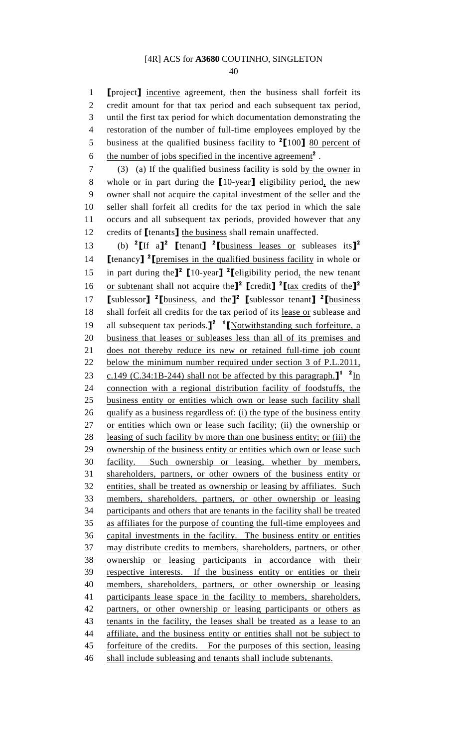40

1 **[project]** incentive agreement, then the business shall forfeit its 2 credit amount for that tax period and each subsequent tax period, 3 until the first tax period for which documentation demonstrating the 4 restoration of the number of full-time employees employed by the 5 business at the qualified business facility to  $2$  [100] 80 percent of 6 the number of jobs specified in the incentive agreement<sup>2</sup>.

7 (3) (a) If the qualified business facility is sold by the owner in 8 whole or in part during the [10-year] eligibility period, the new 9 owner shall not acquire the capital investment of the seller and the 10 seller shall forfeit all credits for the tax period in which the sale 11 occurs and all subsequent tax periods, provided however that any 12 credits of **[tenants]** the business shall remain unaffected.

13 (b) <sup>2</sup>[If a]<sup>2</sup> [tenant] <sup>2</sup>[business leases or subleases its]<sup>2</sup> 14 **[**tenancy**]** <sup>2</sup> [premises in the qualified business facility in whole or 15 in part during the<sup>12</sup> [10-year] <sup>2</sup> [eligibility period, the new tenant 16 or subtenant shall not acquire the<sup>1</sup> [credit] <sup>2</sup> [tax credits of the<sup>12</sup> 17  $\left[\text{sublessor}\right]$  <sup>2</sup> $\left[\text{business}, \text{and the}\right]$ <sup>2</sup> $\left[\text{sublessor tenant}\right]$  <sup>2</sup> $\left[\text{business}\right]$ 18 shall forfeit all credits for the tax period of its lease or sublease and 19 all subsequent tax periods. $\mathbf{I}^2$   $\mathbf{I}$  [Notwithstanding such forfeiture, a 20 business that leases or subleases less than all of its premises and 21 does not thereby reduce its new or retained full-time job count 22 below the minimum number required under section 3 of P.L.2011, 23 c.149 (C.34:1B-244) shall not be affected by this paragraph.  $\mathbf{I}^1$  <sup>2</sup>In 24 connection with a regional distribution facility of foodstuffs, the 25 business entity or entities which own or lease such facility shall 26 qualify as a business regardless of: (i) the type of the business entity 27 or entities which own or lease such facility; (ii) the ownership or 28 leasing of such facility by more than one business entity; or (iii) the 29 ownership of the business entity or entities which own or lease such 30 facility. Such ownership or leasing, whether by members, 31 shareholders, partners, or other owners of the business entity or 32 entities, shall be treated as ownership or leasing by affiliates. Such 33 members, shareholders, partners, or other ownership or leasing 34 participants and others that are tenants in the facility shall be treated 35 as affiliates for the purpose of counting the full-time employees and 36 capital investments in the facility. The business entity or entities 37 may distribute credits to members, shareholders, partners, or other 38 ownership or leasing participants in accordance with their 39 respective interests. If the business entity or entities or their 40 members, shareholders, partners, or other ownership or leasing 41 participants lease space in the facility to members, shareholders, 42 partners, or other ownership or leasing participants or others as 43 tenants in the facility, the leases shall be treated as a lease to an 44 affiliate, and the business entity or entities shall not be subject to 45 forfeiture of the credits. For the purposes of this section, leasing 46 shall include subleasing and tenants shall include subtenants.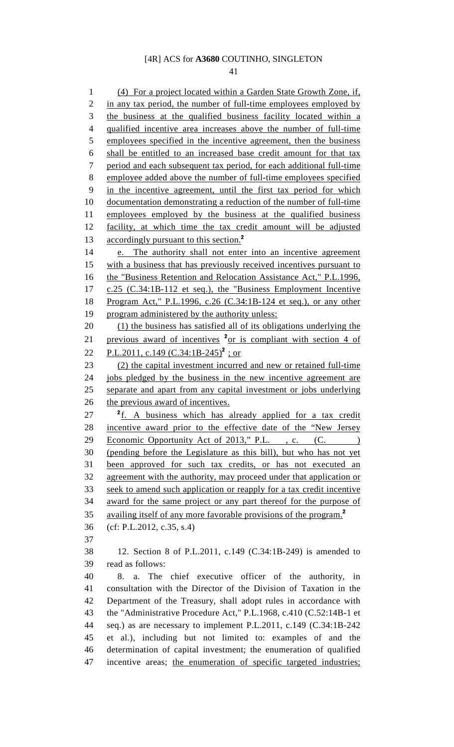41

1 (4) For a project located within a Garden State Growth Zone, if, 2 in any tax period, the number of full-time employees employed by 3 the business at the qualified business facility located within a 4 qualified incentive area increases above the number of full-time 5 employees specified in the incentive agreement, then the business 6 shall be entitled to an increased base credit amount for that tax 7 period and each subsequent tax period, for each additional full-time 8 employee added above the number of full-time employees specified 9 in the incentive agreement, until the first tax period for which 10 documentation demonstrating a reduction of the number of full-time 11 employees employed by the business at the qualified business 12 facility, at which time the tax credit amount will be adjusted 13 accordingly pursuant to this section.<sup>2</sup> 14 e. The authority shall not enter into an incentive agreement 15 with a business that has previously received incentives pursuant to 16 the "Business Retention and Relocation Assistance Act," P.L.1996, 17 c.25 (C.34:1B-112 et seq.), the "Business Employment Incentive 18 Program Act," P.L.1996, c.26 (C.34:1B-124 et seq.), or any other 19 program administered by the authority unless: 20 (1) the business has satisfied all of its obligations underlying the 21 previous award of incentives  $2$ <sup>2</sup> or is compliant with section 4 of 22 P.L.2011, c.149  $(C.34:1B-245)^2$ ; or 23 (2) the capital investment incurred and new or retained full-time 24 jobs pledged by the business in the new incentive agreement are 25 separate and apart from any capital investment or jobs underlying 26 the previous award of incentives.  $27$   $\frac{2}{1}$ . A business which has already applied for a tax credit 28 incentive award prior to the effective date of the "New Jersey 29 Economic Opportunity Act of 2013," P.L., c. (C. 30 (pending before the Legislature as this bill), but who has not yet 31 been approved for such tax credits, or has not executed an 32 agreement with the authority, may proceed under that application or 33 seek to amend such application or reapply for a tax credit incentive 34 award for the same project or any part thereof for the purpose of 35 availing itself of any more favorable provisions of the program.<sup>2</sup> 36 (cf: P.L.2012, c.35, s.4) 37 38 12. Section 8 of P.L.2011, c.149 (C.34:1B-249) is amended to 39 read as follows: 40 8. a. The chief executive officer of the authority, in 41 consultation with the Director of the Division of Taxation in the 42 Department of the Treasury, shall adopt rules in accordance with 43 the "Administrative Procedure Act," P.L.1968, c.410 (C.52:14B-1 et 44 seq.) as are necessary to implement P.L.2011, c.149 (C.34:1B-242 45 et al.), including but not limited to: examples of and the 46 determination of capital investment; the enumeration of qualified 47 incentive areas; the enumeration of specific targeted industries;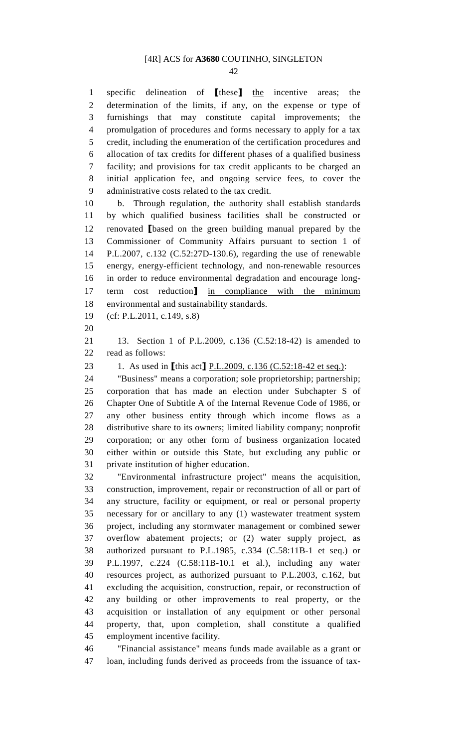42

1 specific delineation of [these] the incentive areas; the 2 determination of the limits, if any, on the expense or type of 3 furnishings that may constitute capital improvements; the 4 promulgation of procedures and forms necessary to apply for a tax 5 credit, including the enumeration of the certification procedures and 6 allocation of tax credits for different phases of a qualified business 7 facility; and provisions for tax credit applicants to be charged an 8 initial application fee, and ongoing service fees, to cover the 9 administrative costs related to the tax credit.

10 b. Through regulation, the authority shall establish standards 11 by which qualified business facilities shall be constructed or 12 renovated [based on the green building manual prepared by the 13 Commissioner of Community Affairs pursuant to section 1 of 14 P.L.2007, c.132 (C.52:27D-130.6), regarding the use of renewable 15 energy, energy-efficient technology, and non-renewable resources 16 in order to reduce environmental degradation and encourage long-17 term cost reduction] in compliance with the minimum 18 environmental and sustainability standards.

19 (cf: P.L.2011, c.149, s.8)

20

21 13. Section 1 of P.L.2009, c.136 (C.52:18-42) is amended to 22 read as follows:

23 1. As used in [this act] P.L.2009, c.136 (C.52:18-42 et seq.):

24 "Business" means a corporation; sole proprietorship; partnership; 25 corporation that has made an election under Subchapter S of 26 Chapter One of Subtitle A of the Internal Revenue Code of 1986, or 27 any other business entity through which income flows as a 28 distributive share to its owners; limited liability company; nonprofit 29 corporation; or any other form of business organization located 30 either within or outside this State, but excluding any public or 31 private institution of higher education.

32 "Environmental infrastructure project" means the acquisition, 33 construction, improvement, repair or reconstruction of all or part of 34 any structure, facility or equipment, or real or personal property 35 necessary for or ancillary to any (1) wastewater treatment system 36 project, including any stormwater management or combined sewer 37 overflow abatement projects; or (2) water supply project, as 38 authorized pursuant to P.L.1985, c.334 (C.58:11B-1 et seq.) or 39 P.L.1997, c.224 (C.58:11B-10.1 et al.), including any water 40 resources project, as authorized pursuant to P.L.2003, c.162, but 41 excluding the acquisition, construction, repair, or reconstruction of 42 any building or other improvements to real property, or the 43 acquisition or installation of any equipment or other personal 44 property, that, upon completion, shall constitute a qualified 45 employment incentive facility.

46 "Financial assistance" means funds made available as a grant or 47 loan, including funds derived as proceeds from the issuance of tax-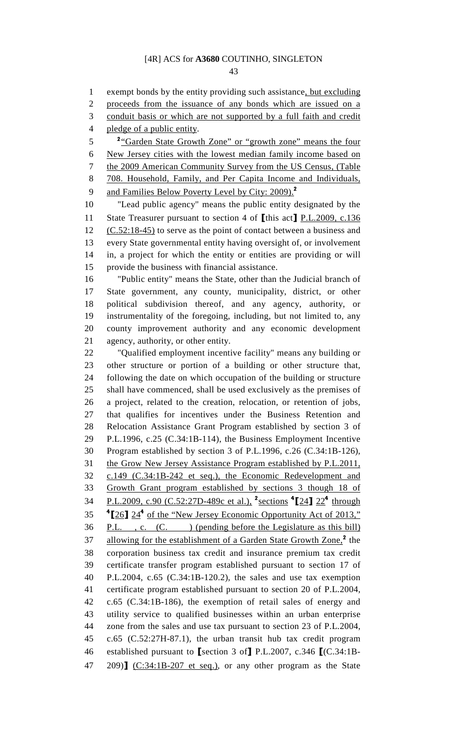43

1 exempt bonds by the entity providing such assistance, but excluding 2 proceeds from the issuance of any bonds which are issued on a 3 conduit basis or which are not supported by a full faith and credit 4 pledge of a public entity. <sup>2</sup> <sup>2</sup> Garden State Growth Zone" or "growth zone" means the four 6 New Jersey cities with the lowest median family income based on 7 the 2009 American Community Survey from the US Census, (Table 8 708. Household, Family, and Per Capita Income and Individuals, 9 and Families Below Poverty Level by City: 2009).<sup>2</sup> 10 "Lead public agency" means the public entity designated by the 11 State Treasurer pursuant to section 4 of [this act] P.L.2009, c.136 12 (C.52:18-45) to serve as the point of contact between a business and 13 every State governmental entity having oversight of, or involvement 14 in, a project for which the entity or entities are providing or will 15 provide the business with financial assistance. 16 "Public entity" means the State, other than the Judicial branch of 17 State government, any county, municipality, district, or other 18 political subdivision thereof, and any agency, authority, or 19 instrumentality of the foregoing, including, but not limited to, any 20 county improvement authority and any economic development 21 agency, authority, or other entity. 22 "Qualified employment incentive facility" means any building or 23 other structure or portion of a building or other structure that, 24 following the date on which occupation of the building or structure 25 shall have commenced, shall be used exclusively as the premises of 26 a project, related to the creation, relocation, or retention of jobs, 27 that qualifies for incentives under the Business Retention and 28 Relocation Assistance Grant Program established by section 3 of 29 P.L.1996, c.25 (C.34:1B-114), the Business Employment Incentive 30 Program established by section 3 of P.L.1996, c.26 (C.34:1B-126), 31 the Grow New Jersey Assistance Program established by P.L.2011, 32 c.149 (C.34:1B-242 et seq.), the Economic Redevelopment and 33 Growth Grant program established by sections 3 though 18 of P.L.2009, c.90 (C.52:27D-489c et al.), <sup>2</sup> sections <sup>4</sup> [24] 22<sup>4</sup> 34 through  $35$   $4$  [26]  $24<sup>4</sup>$  of the "New Jersey Economic Opportunity Act of 2013," 36 P.L. , c. (C. ) (pending before the Legislature as this bill) 37 allowing for the establishment of a Garden State Growth Zone,<sup>2</sup> the 38 corporation business tax credit and insurance premium tax credit 39 certificate transfer program established pursuant to section 17 of 40 P.L.2004, c.65 (C.34:1B-120.2), the sales and use tax exemption 41 certificate program established pursuant to section 20 of P.L.2004, 42 c.65 (C.34:1B-186), the exemption of retail sales of energy and 43 utility service to qualified businesses within an urban enterprise 44 zone from the sales and use tax pursuant to section 23 of P.L.2004, 45 c.65 (C.52:27H-87.1), the urban transit hub tax credit program 46 established pursuant to [section 3 of] P.L.2007, c.346 [(C.34:1B-47 209)]  $(C:34:1B-207$  et seq.), or any other program as the State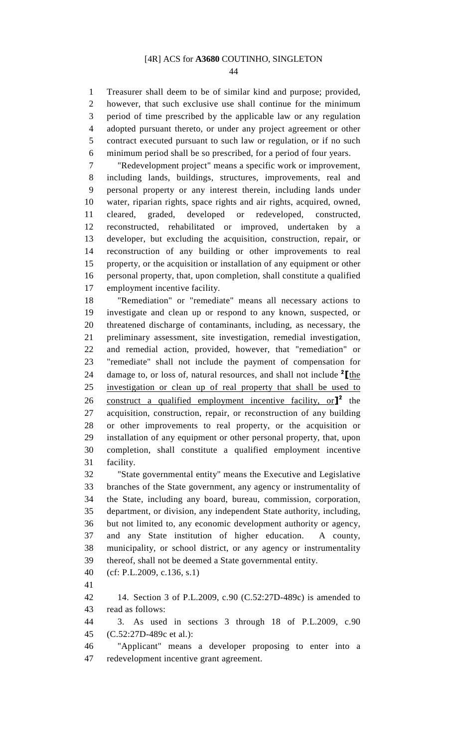44

1 Treasurer shall deem to be of similar kind and purpose; provided, 2 however, that such exclusive use shall continue for the minimum 3 period of time prescribed by the applicable law or any regulation 4 adopted pursuant thereto, or under any project agreement or other 5 contract executed pursuant to such law or regulation, or if no such 6 minimum period shall be so prescribed, for a period of four years.

7 "Redevelopment project" means a specific work or improvement, 8 including lands, buildings, structures, improvements, real and 9 personal property or any interest therein, including lands under 10 water, riparian rights, space rights and air rights, acquired, owned, 11 cleared, graded, developed or redeveloped, constructed, 12 reconstructed, rehabilitated or improved, undertaken by a 13 developer, but excluding the acquisition, construction, repair, or 14 reconstruction of any building or other improvements to real 15 property, or the acquisition or installation of any equipment or other 16 personal property, that, upon completion, shall constitute a qualified 17 employment incentive facility.

18 "Remediation" or "remediate" means all necessary actions to 19 investigate and clean up or respond to any known, suspected, or 20 threatened discharge of contaminants, including, as necessary, the 21 preliminary assessment, site investigation, remedial investigation, 22 and remedial action, provided, however, that "remediation" or 23 "remediate" shall not include the payment of compensation for 24 damage to, or loss of, natural resources, and shall not include  $2 \mathcal{L}_{the}$ 25 investigation or clean up of real property that shall be used to 26 construct a qualified employment incentive facility, or $\mathbf{I}^2$  the 27 acquisition, construction, repair, or reconstruction of any building 28 or other improvements to real property, or the acquisition or 29 installation of any equipment or other personal property, that, upon 30 completion, shall constitute a qualified employment incentive 31 facility.

32 "State governmental entity" means the Executive and Legislative 33 branches of the State government, any agency or instrumentality of 34 the State, including any board, bureau, commission, corporation, 35 department, or division, any independent State authority, including, 36 but not limited to, any economic development authority or agency, 37 and any State institution of higher education. A county, 38 municipality, or school district, or any agency or instrumentality 39 thereof, shall not be deemed a State governmental entity.

40 (cf: P.L.2009, c.136, s.1)

41

42 14. Section 3 of P.L.2009, c.90 (C.52:27D-489c) is amended to 43 read as follows:

44 3. As used in sections 3 through 18 of P.L.2009, c.90 45 (C.52:27D-489c et al.):

46 "Applicant" means a developer proposing to enter into a 47 redevelopment incentive grant agreement.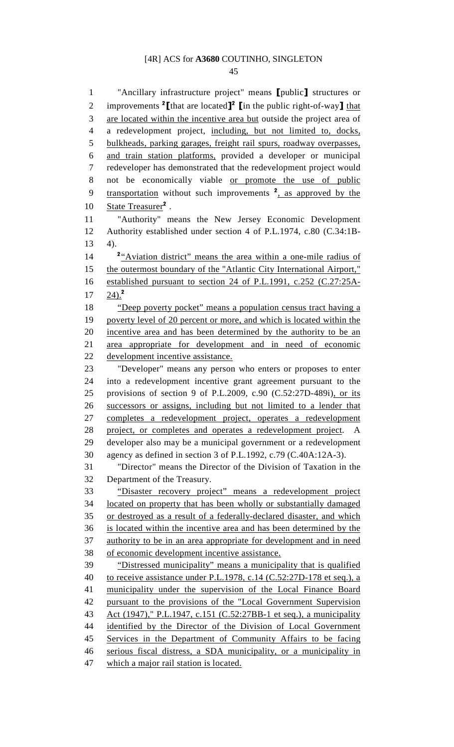45

1 "Ancillary infrastructure project" means [public] structures or 2 improvements <sup>2</sup> [that are located]<sup>2</sup> [in the public right-of-way] that 3 are located within the incentive area but outside the project area of 4 a redevelopment project, including, but not limited to, docks, 5 bulkheads, parking garages, freight rail spurs, roadway overpasses, 6 and train station platforms, provided a developer or municipal 7 redeveloper has demonstrated that the redevelopment project would 8 not be economically viable or promote the use of public 9 transportation without such improvements  $2$ , as approved by the 10 State Treasurer<sup>2</sup>. 11 "Authority" means the New Jersey Economic Development 12 Authority established under section 4 of P.L.1974, c.80 (C.34:1B-13 4). 14 <sup>2</sup>"Aviation district" means the area within a one-mile radius of 15 the outermost boundary of the "Atlantic City International Airport," 16 established pursuant to section 24 of P.L.1991, c.252 (C.27:25A- $17 \t24$ .<sup>2</sup> 18 "Deep poverty pocket" means a population census tract having a 19 poverty level of 20 percent or more, and which is located within the 20 incentive area and has been determined by the authority to be an 21 area appropriate for development and in need of economic 22 development incentive assistance. 23 "Developer" means any person who enters or proposes to enter 24 into a redevelopment incentive grant agreement pursuant to the 25 provisions of section 9 of P.L.2009, c.90 (C.52:27D-489i), or its 26 successors or assigns, including but not limited to a lender that 27 completes a redevelopment project, operates a redevelopment 28 project, or completes and operates a redevelopment project. A 29 developer also may be a municipal government or a redevelopment 30 agency as defined in section 3 of P.L.1992, c.79 (C.40A:12A-3). 31 "Director" means the Director of the Division of Taxation in the 32 Department of the Treasury. 33 "Disaster recovery project" means a redevelopment project 34 located on property that has been wholly or substantially damaged 35 or destroyed as a result of a federally-declared disaster, and which 36 is located within the incentive area and has been determined by the 37 authority to be in an area appropriate for development and in need 38 of economic development incentive assistance. 39 "Distressed municipality" means a municipality that is qualified 40 to receive assistance under P.L.1978, c.14 (C.52:27D-178 et seq.), a 41 municipality under the supervision of the Local Finance Board 42 pursuant to the provisions of the "Local Government Supervision 43 Act (1947)," P.L.1947, c.151 (C.52:27BB-1 et seq.), a municipality 44 identified by the Director of the Division of Local Government 45 Services in the Department of Community Affairs to be facing 46 serious fiscal distress, a SDA municipality, or a municipality in 47 which a major rail station is located.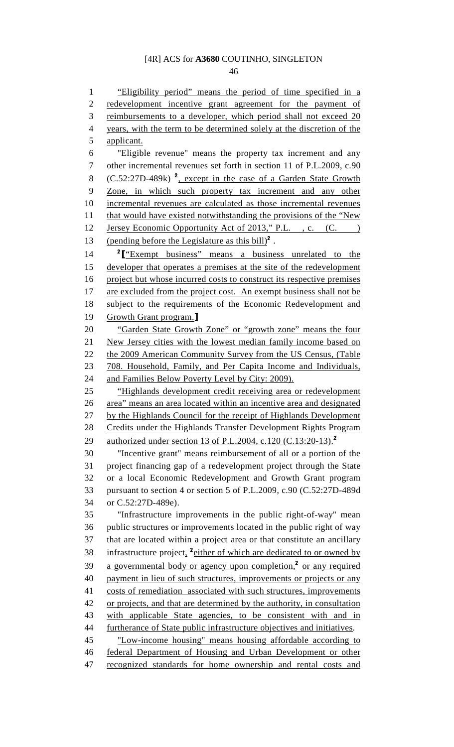46

1 "Eligibility period" means the period of time specified in a 2 redevelopment incentive grant agreement for the payment of 3 reimbursements to a developer, which period shall not exceed 20 4 years, with the term to be determined solely at the discretion of the 5 applicant. 6 "Eligible revenue" means the property tax increment and any 7 other incremental revenues set forth in section 11 of P.L.2009, c.90 8 (C.52:27D-489k)<sup>2</sup>, except in the case of a Garden State Growth 9 Zone, in which such property tax increment and any other 10 incremental revenues are calculated as those incremental revenues 11 that would have existed notwithstanding the provisions of the "New 12 Jersey Economic Opportunity Act of 2013," P.L., c. (C. ) 13 (pending before the Legislature as this bill)<sup>2</sup>. 14 <sup>2</sup> L<sup>\*</sup>Exempt business" means a business unrelated to the 15 developer that operates a premises at the site of the redevelopment 16 project but whose incurred costs to construct its respective premises 17 are excluded from the project cost. An exempt business shall not be 18 subject to the requirements of the Economic Redevelopment and 19 Growth Grant program. 20 "Garden State Growth Zone" or "growth zone" means the four 21 New Jersey cities with the lowest median family income based on 22 the 2009 American Community Survey from the US Census, (Table 23 708. Household, Family, and Per Capita Income and Individuals, 24 and Families Below Poverty Level by City: 2009). 25 "Highlands development credit receiving area or redevelopment 26 area" means an area located within an incentive area and designated 27 by the Highlands Council for the receipt of Highlands Development 28 Credits under the Highlands Transfer Development Rights Program 29 authorized under section 13 of P.L.2004, c.120 (C.13:20-13).<sup>2</sup> 30 "Incentive grant" means reimbursement of all or a portion of the 31 project financing gap of a redevelopment project through the State 32 or a local Economic Redevelopment and Growth Grant program 33 pursuant to section 4 or section 5 of P.L.2009, c.90 (C.52:27D-489d 34 or C.52:27D-489e). 35 "Infrastructure improvements in the public right-of-way" mean 36 public structures or improvements located in the public right of way 37 that are located within a project area or that constitute an ancillary 38 infrastructure project, <sup>2</sup> either of which are dedicated to or owned by 39 a governmental body or agency upon completion,<sup>2</sup> or any required 40 payment in lieu of such structures, improvements or projects or any 41 costs of remediation associated with such structures, improvements 42 or projects, and that are determined by the authority, in consultation 43 with applicable State agencies, to be consistent with and in 44 furtherance of State public infrastructure objectives and initiatives. 45 "Low-income housing" means housing affordable according to 46 federal Department of Housing and Urban Development or other 47 recognized standards for home ownership and rental costs and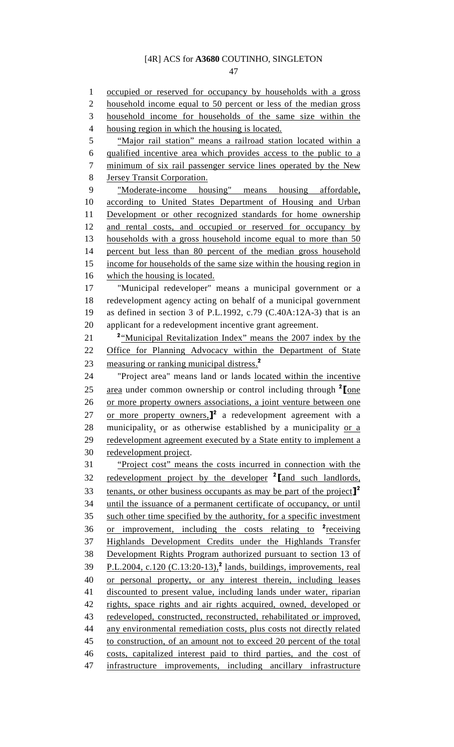47

1 occupied or reserved for occupancy by households with a gross 2 household income equal to 50 percent or less of the median gross 3 household income for households of the same size within the 4 housing region in which the housing is located. 5 "Major rail station" means a railroad station located within a 6 qualified incentive area which provides access to the public to a 7 minimum of six rail passenger service lines operated by the New 8 Jersey Transit Corporation. 9 "Moderate-income housing" means housing affordable, 10 according to United States Department of Housing and Urban 11 Development or other recognized standards for home ownership 12 and rental costs, and occupied or reserved for occupancy by 13 households with a gross household income equal to more than 50 14 percent but less than 80 percent of the median gross household 15 income for households of the same size within the housing region in 16 which the housing is located. 17 "Municipal redeveloper" means a municipal government or a 18 redevelopment agency acting on behalf of a municipal government 19 as defined in section 3 of P.L.1992, c.79 (C.40A:12A-3) that is an 20 applicant for a redevelopment incentive grant agreement. 21 <sup>2</sup> <u>"Municipal Revitalization Index" means the 2007 index by the</u> 22 Office for Planning Advocacy within the Department of State 23 measuring or ranking municipal distress.<sup>2</sup> 24 "Project area" means land or lands located within the incentive 25 area under common ownership or control including through  $2$  [one 26 or more property owners associations, a joint venture between one 27 or more property owners, $\mathbf{I}^2$  a redevelopment agreement with a 28 municipality, or as otherwise established by a municipality or a 29 redevelopment agreement executed by a State entity to implement a 30 redevelopment project. 31 "Project cost" means the costs incurred in connection with the 32 redevelopment project by the developer <sup>2</sup> [and such landlords, 33 tenants, or other business occupants as may be part of the project<sup> $]^2$ </sup> 34 until the issuance of a permanent certificate of occupancy, or until 35 such other time specified by the authority, for a specific investment 36 or improvement, including the costs relating to  $2\frac{\text{receiving}}{\text{c}}$ 37 Highlands Development Credits under the Highlands Transfer 38 Development Rights Program authorized pursuant to section 13 of 39 P.L.2004, c.120 (C.13:20-13),<sup>2</sup> lands, buildings, improvements, real 40 or personal property, or any interest therein, including leases 41 discounted to present value, including lands under water, riparian 42 rights, space rights and air rights acquired, owned, developed or 43 redeveloped, constructed, reconstructed, rehabilitated or improved, 44 any environmental remediation costs, plus costs not directly related 45 to construction, of an amount not to exceed 20 percent of the total 46 costs, capitalized interest paid to third parties, and the cost of 47 infrastructure improvements, including ancillary infrastructure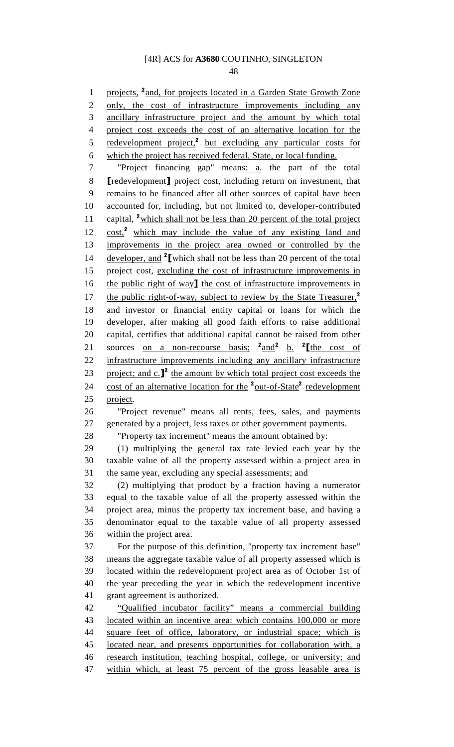48

1 projects, <sup>2</sup> and, for projects located in a Garden State Growth Zone 2 only, the cost of infrastructure improvements including any 3 ancillary infrastructure project and the amount by which total 4 project cost exceeds the cost of an alternative location for the 5 redevelopment project,<sup>2</sup> but excluding any particular costs for 6 which the project has received federal, State, or local funding. 7 "Project financing gap" means: a. the part of the total 8 [redevelopment] project cost, including return on investment, that 9 remains to be financed after all other sources of capital have been 10 accounted for, including, but not limited to, developer-contributed 11 capital, <sup>2</sup> which shall not be less than 20 percent of the total project  $12 \quad \text{cost}$ ,<sup>2</sup> which may include the value of any existing land and 13 improvements in the project area owned or controlled by the 14 developer, and  $2\mathbf{I}$  which shall not be less than 20 percent of the total 15 project cost, excluding the cost of infrastructure improvements in 16 the public right of way] the cost of infrastructure improvements in 17 the public right-of-way, subject to review by the State Treasurer,<sup>2</sup> 18 and investor or financial entity capital or loans for which the 19 developer, after making all good faith efforts to raise additional 20 capital, certifies that additional capital cannot be raised from other 21 sources <u>on a non-recourse basis;</u> <sup>2</sup> and<sup>2</sup> b. <sup>2</sup> [the cost of 22 infrastructure improvements including any ancillary infrastructure 23 project; and  $c.\mathbf{I}^2$  the amount by which total project cost exceeds the 24 cost of an alternative location for the <sup>2</sup>out-of-State<sup>2</sup> redevelopment 25 project. 26 "Project revenue" means all rents, fees, sales, and payments 27 generated by a project, less taxes or other government payments. 28 "Property tax increment" means the amount obtained by: 29 (1) multiplying the general tax rate levied each year by the 30 taxable value of all the property assessed within a project area in 31 the same year, excluding any special assessments; and 32 (2) multiplying that product by a fraction having a numerator 33 equal to the taxable value of all the property assessed within the 34 project area, minus the property tax increment base, and having a 35 denominator equal to the taxable value of all property assessed 36 within the project area. 37 For the purpose of this definition, "property tax increment base" 38 means the aggregate taxable value of all property assessed which is 39 located within the redevelopment project area as of October 1st of 40 the year preceding the year in which the redevelopment incentive 41 grant agreement is authorized. 42 "Qualified incubator facility" means a commercial building 43 located within an incentive area: which contains 100,000 or more 44 square feet of office, laboratory, or industrial space; which is 45 located near, and presents opportunities for collaboration with, a 46 research institution, teaching hospital, college, or university; and 47 within which, at least 75 percent of the gross leasable area is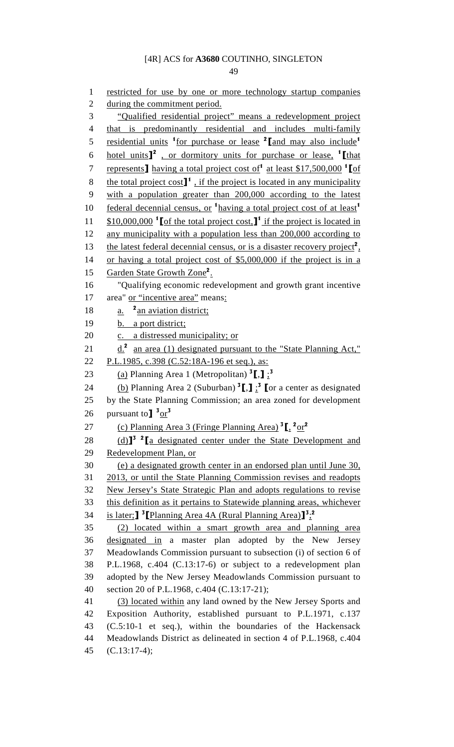49

1 restricted for use by one or more technology startup companies 2 during the commitment period. 3 "Qualified residential project" means a redevelopment project 4 that is predominantly residential and includes multi-family 5 residential units <sup>1</sup> for purchase or lease <sup>2</sup> [and may also include<sup>1</sup> 6 hotel units $\mathbf{I}^2$ , or dormitory units for purchase or lease,  $\mathbf{I}$  [that 7 represents having a total project cost of at least \$17,500,000  $^1$  of 8 the total project cost $\mathbf{J}^1$ , if the project is located in any municipality 9 with a population greater than 200,000 according to the latest 10 federal decennial census, or <sup>1</sup> having a total project cost of at least<sup>1</sup> 11  $$10,000,000$   $^1$  of the total project cost,  $^1$  if the project is located in 12 any municipality with a population less than 200,000 according to 13 the latest federal decennial census, or is a disaster recovery project<sup>2</sup>, 14 or having a total project cost of \$5,000,000 if the project is in a 15 Garden State Growth Zone<sup>2</sup>. 16 "Qualifying economic redevelopment and growth grant incentive 17 area" or "incentive area" means: 18  $a.$  <sup>2</sup> an aviation district; 19 b. a port district; 20 c. a distressed municipality; or 21  $\underline{d}$ .<sup>2</sup> an area (1) designated pursuant to the "State Planning Act," 22 P.L.1985, c.398 (C.52:18A-196 et seq.), as: 23  $\qquad \qquad$  (a) Planning Area 1 (Metropolitan)  $^3$ [,]  $\frac{3}{2}$ 24 (b) Planning Area 2 (Suburban)  ${}^{3}$ [,]  ${}^{3}$  [or a center as designated 25 by the State Planning Commission; an area zoned for development 26 pursuant to  $\frac{3 \text{ or }^3}{ }$ 27 (c) Planning Area 3 (Fringe Planning Area)  ${}^{3}$ [,  ${}^{2}$ or<sup>2</sup> 28  $(d)$ <sup>3</sup> <sup>2</sup> [a designated center under the State Development and 29 Redevelopment Plan, or 30 (e) a designated growth center in an endorsed plan until June 30, 31 2013, or until the State Planning Commission revises and readopts 32 New Jersey's State Strategic Plan and adopts regulations to revise 33 this definition as it pertains to Statewide planning areas, whichever 34 is later; <sup>3</sup> Planning Area 4A (Rural Planning Area)<sup>3</sup><sup>3</sup>;<sup>2</sup> 35 (2) located within a smart growth area and planning area 36 designated in a master plan adopted by the New Jersey 37 Meadowlands Commission pursuant to subsection (i) of section 6 of 38 P.L.1968, c.404 (C.13:17-6) or subject to a redevelopment plan 39 adopted by the New Jersey Meadowlands Commission pursuant to 40 section 20 of P.L.1968, c.404 (C.13:17-21); 41 (3) located within any land owned by the New Jersey Sports and 42 Exposition Authority, established pursuant to P.L.1971, c.137 43 (C.5:10-1 et seq.), within the boundaries of the Hackensack 44 Meadowlands District as delineated in section 4 of P.L.1968, c.404 45 (C.13:17-4);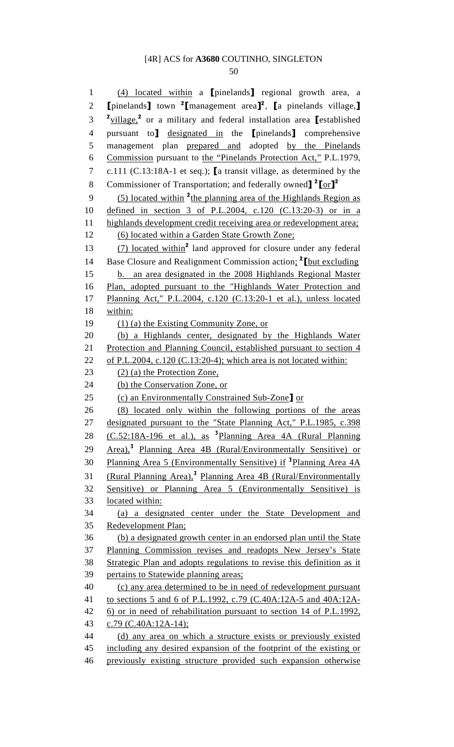50

1 (4) located within a [pinelands] regional growth area, a 2  $\Gamma$  [pinelands] town <sup>2</sup> [management area]<sup>2</sup>,  $\Gamma$ a pinelands village, <sup>2</sup> village,<sup>2</sup> or a military and federal installation area **[**established 4 pursuant to] designated in the [pinelands] comprehensive 5 management plan prepared and adopted by the Pinelands 6 Commission pursuant to the "Pinelands Protection Act," P.L.1979, 7 c.111 (C.13:18A-1 et seq.); [a transit village, as determined by the 8 Commissioner of Transportation; and federally owned]<sup>2</sup>[or]<sup>2</sup>  $(5)$  located within <sup>2</sup> the planning area of the Highlands Region as 10 defined in section 3 of P.L.2004, c.120 (C.13:20-3) or in a 11 highlands development credit receiving area or redevelopment area; 12 (6) located within a Garden State Growth Zone;  $(7)$  located within<sup>2</sup> land approved for closure under any federal 14 Base Closure and Realignment Commission action;  $^2$  [but excluding 15 b. an area designated in the 2008 Highlands Regional Master 16 Plan, adopted pursuant to the "Highlands Water Protection and 17 Planning Act," P.L.2004, c.120 (C.13:20-1 et al.), unless located 18 within: 19 (1) (a) the Existing Community Zone, or 20 (b) a Highlands center, designated by the Highlands Water 21 Protection and Planning Council, established pursuant to section 4 22 of P.L.2004, c.120 (C.13:20-4); which area is not located within: 23 (2) (a) the Protection Zone, 24 (b) the Conservation Zone, or 25 (c) an Environmentally Constrained Sub-Zone] or 26 (8) located only within the following portions of the areas 27 designated pursuant to the "State Planning Act," P.L.1985, c.398 28  $(C.52:18A-196$  et al.), as <sup>3</sup>Planning Area 4A (Rural Planning 29 Area),<sup>3</sup> Planning Area 4B (Rural/Environmentally Sensitive) or 30 Planning Area 5 (Environmentally Sensitive) if <sup>3</sup>Planning Area 4A 31 (Rural Planning Area),<sup>3</sup> Planning Area 4B (Rural/Environmentally 32 Sensitive) or Planning Area 5 (Environmentally Sensitive) is 33 located within: 34 (a) a designated center under the State Development and 35 Redevelopment Plan; 36 (b) a designated growth center in an endorsed plan until the State 37 Planning Commission revises and readopts New Jersey's State 38 Strategic Plan and adopts regulations to revise this definition as it 39 pertains to Statewide planning areas; 40 (c) any area determined to be in need of redevelopment pursuant 41 to sections 5 and 6 of P.L.1992, c.79 (C.40A:12A-5 and 40A:12A-42 6) or in need of rehabilitation pursuant to section 14 of P.L.1992, 43 c.79 (C.40A:12A-14); 44 (d) any area on which a structure exists or previously existed 45 including any desired expansion of the footprint of the existing or 46 previously existing structure provided such expansion otherwise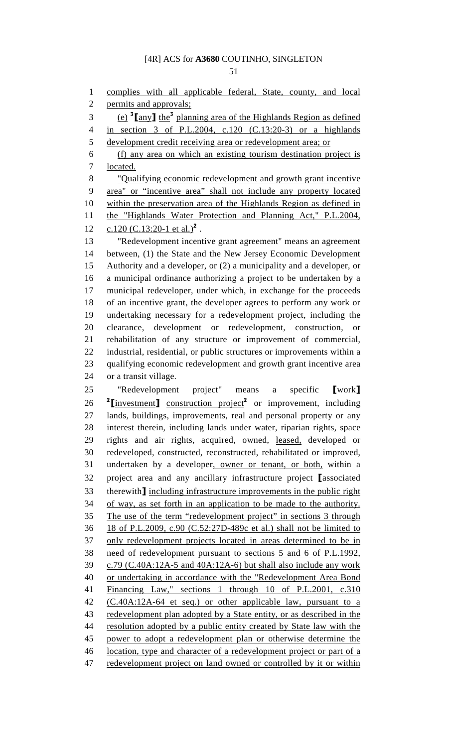51

1 complies with all applicable federal, State, county, and local

2 permits and approvals;

3 (e)  $\frac{3}{2}$  [any] the<sup>3</sup> planning area of the Highlands Region as defined 4 in section 3 of P.L.2004, c.120 (C.13:20-3) or a highlands 5 development credit receiving area or redevelopment area; or 6 (f) any area on which an existing tourism destination project is 7 located. 8 "Qualifying economic redevelopment and growth grant incentive 9 area" or "incentive area" shall not include any property located 10 within the preservation area of the Highlands Region as defined in 11 the "Highlands Water Protection and Planning Act," P.L.2004, 12 c.120 (C.13:20-1 et al.)<sup>2</sup>. 13 "Redevelopment incentive grant agreement" means an agreement 14 between, (1) the State and the New Jersey Economic Development 15 Authority and a developer, or (2) a municipality and a developer, or 16 a municipal ordinance authorizing a project to be undertaken by a 17 municipal redeveloper, under which, in exchange for the proceeds 18 of an incentive grant, the developer agrees to perform any work or 19 undertaking necessary for a redevelopment project, including the 20 clearance, development or redevelopment, construction, or 21 rehabilitation of any structure or improvement of commercial, 22 industrial, residential, or public structures or improvements within a 23 qualifying economic redevelopment and growth grant incentive area 24 or a transit village. 25 "Redevelopment project" means a specific [work] 26 <sup>2</sup>[investment] construction project<sup>2</sup> or improvement, including 27 lands, buildings, improvements, real and personal property or any 28 interest therein, including lands under water, riparian rights, space 29 rights and air rights, acquired, owned, leased, developed or 30 redeveloped, constructed, reconstructed, rehabilitated or improved, 31 undertaken by a developer, owner or tenant, or both, within a 32 project area and any ancillary infrastructure project [associated 33 therewith] including infrastructure improvements in the public right 34 of way, as set forth in an application to be made to the authority. 35 The use of the term "redevelopment project" in sections 3 through 36 18 of P.L.2009, c.90 (C.52:27D-489c et al.) shall not be limited to 37 only redevelopment projects located in areas determined to be in 38 need of redevelopment pursuant to sections 5 and 6 of P.L.1992,  $39$  c.79 (C.40A:12A-5 and 40A:12A-6) but shall also include any work 40 or undertaking in accordance with the "Redevelopment Area Bond 41 Financing Law," sections 1 through 10 of P.L.2001, c.310 42 (C.40A:12A-64 et seq.) or other applicable law, pursuant to a 43 redevelopment plan adopted by a State entity, or as described in the 44 resolution adopted by a public entity created by State law with the 45 power to adopt a redevelopment plan or otherwise determine the 46 location, type and character of a redevelopment project or part of a 47 redevelopment project on land owned or controlled by it or within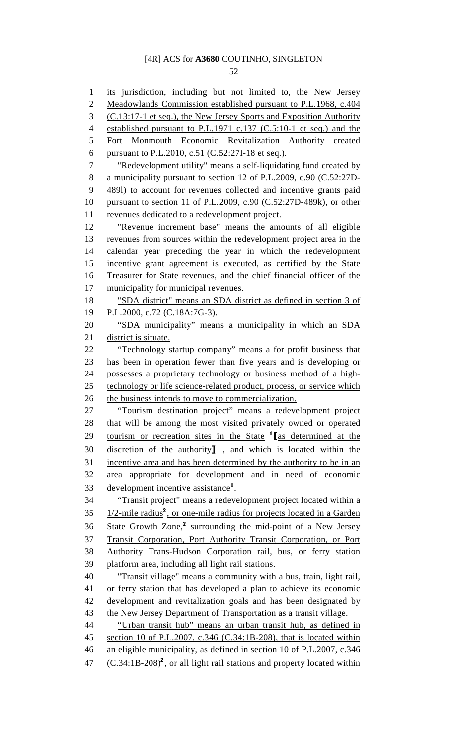52

1 its jurisdiction, including but not limited to, the New Jersey 2 Meadowlands Commission established pursuant to P.L.1968, c.404 3 (C.13:17-1 et seq.), the New Jersey Sports and Exposition Authority 4 established pursuant to P.L.1971 c.137 (C.5:10-1 et seq.) and the 5 Fort Monmouth Economic Revitalization Authority created 6 pursuant to P.L.2010, c.51 (C.52:27I-18 et seq.). 7 "Redevelopment utility" means a self-liquidating fund created by 8 a municipality pursuant to section 12 of P.L.2009, c.90 (C.52:27D-9 489l) to account for revenues collected and incentive grants paid 10 pursuant to section 11 of P.L.2009, c.90 (C.52:27D-489k), or other 11 revenues dedicated to a redevelopment project. 12 "Revenue increment base" means the amounts of all eligible 13 revenues from sources within the redevelopment project area in the 14 calendar year preceding the year in which the redevelopment 15 incentive grant agreement is executed, as certified by the State 16 Treasurer for State revenues, and the chief financial officer of the 17 municipality for municipal revenues. 18 "SDA district" means an SDA district as defined in section 3 of 19 P.L.2000, c.72 (C.18A:7G-3). 20 "SDA municipality" means a municipality in which an SDA 21 district is situate. 22 "Technology startup company" means a for profit business that 23 has been in operation fewer than five years and is developing or 24 possesses a proprietary technology or business method of a high-25 technology or life science-related product, process, or service which 26 the business intends to move to commercialization. 27 "Tourism destination project" means a redevelopment project 28 that will be among the most visited privately owned or operated 29 tourism or recreation sites in the State  $\frac{1}{2}$  as determined at the 30 discretion of the authority] , and which is located within the 31 incentive area and has been determined by the authority to be in an 32 area appropriate for development and in need of economic 33 development incentive assistance<sup>1</sup>. 34 "Transit project" means a redevelopment project located within a  $1/2$ -mile radius<sup>2</sup>, or one-mile radius for projects located in a Garden 36 State Growth Zone,<sup>2</sup> surrounding the mid-point of a New Jersey 37 Transit Corporation, Port Authority Transit Corporation, or Port 38 Authority Trans-Hudson Corporation rail, bus, or ferry station 39 platform area, including all light rail stations. 40 "Transit village" means a community with a bus, train, light rail, 41 or ferry station that has developed a plan to achieve its economic 42 development and revitalization goals and has been designated by 43 the New Jersey Department of Transportation as a transit village. 44 "Urban transit hub" means an urban transit hub, as defined in 45 section 10 of P.L.2007, c.346 (C.34:1B-208), that is located within 46 an eligible municipality, as defined in section 10 of P.L.2007, c.346 47  $(C.34:1B-208)^2$ , or all light rail stations and property located within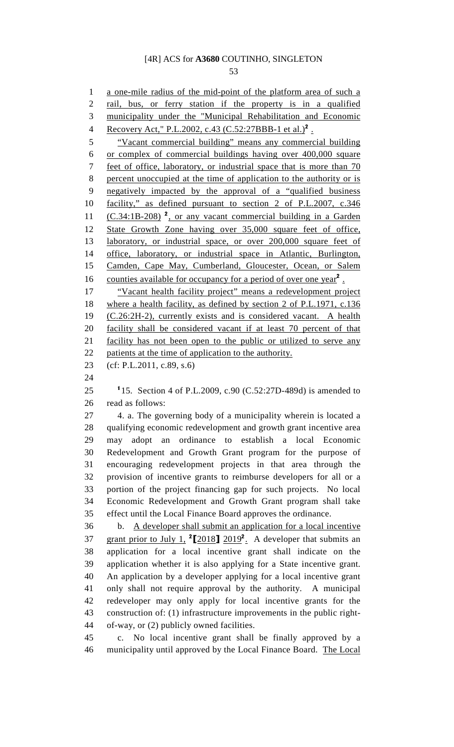53

1 a one-mile radius of the mid-point of the platform area of such a 2 rail, bus, or ferry station if the property is in a qualified 3 municipality under the "Municipal Rehabilitation and Economic 4 Recovery Act," P.L.2002, c.43 (C.52:27BBB-1 et al.)<sup>2</sup>. 5 "Vacant commercial building" means any commercial building 6 or complex of commercial buildings having over 400,000 square 7 feet of office, laboratory, or industrial space that is more than 70 8 percent unoccupied at the time of application to the authority or is 9 negatively impacted by the approval of a "qualified business 10 facility," as defined pursuant to section 2 of P.L.2007, c.346 11  $(C.34:1B-208)$  <sup>2</sup>, or any vacant commercial building in a Garden 12 State Growth Zone having over 35,000 square feet of office, 13 laboratory, or industrial space, or over 200,000 square feet of 14 office, laboratory, or industrial space in Atlantic, Burlington, 15 Camden, Cape May, Cumberland, Gloucester, Ocean, or Salem 16 counties available for occupancy for a period of over one year<sup>2</sup>. 17 "Vacant health facility project" means a redevelopment project 18 where a health facility, as defined by section 2 of P.L.1971, c.136 19 (C.26:2H-2), currently exists and is considered vacant. A health 20 facility shall be considered vacant if at least 70 percent of that 21 facility has not been open to the public or utilized to serve any 22 patients at the time of application to the authority. 23 (cf: P.L.2011, c.89, s.6) 24 25  $115.$  Section 4 of P.L.2009, c.90 (C.52:27D-489d) is amended to 26 read as follows: 27 4. a. The governing body of a municipality wherein is located a 28 qualifying economic redevelopment and growth grant incentive area 29 may adopt an ordinance to establish a local Economic 30 Redevelopment and Growth Grant program for the purpose of 31 encouraging redevelopment projects in that area through the 32 provision of incentive grants to reimburse developers for all or a 33 portion of the project financing gap for such projects. No local 34 Economic Redevelopment and Growth Grant program shall take 35 effect until the Local Finance Board approves the ordinance. 36 b. A developer shall submit an application for a local incentive 37 grant prior to July 1,  $2[2018]$   $2019^2$ . A developer that submits an 38 application for a local incentive grant shall indicate on the 39 application whether it is also applying for a State incentive grant. 40 An application by a developer applying for a local incentive grant 41 only shall not require approval by the authority. A municipal 42 redeveloper may only apply for local incentive grants for the 43 construction of: (1) infrastructure improvements in the public right-44 of-way, or (2) publicly owned facilities. 45 c. No local incentive grant shall be finally approved by a 46 municipality until approved by the Local Finance Board. The Local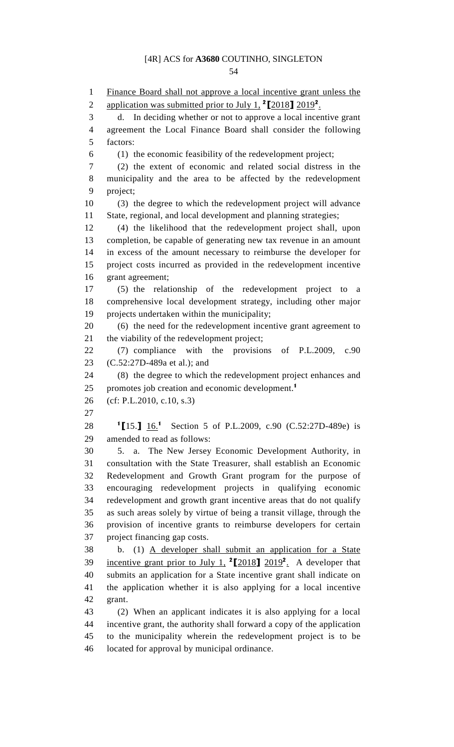54

1 Finance Board shall not approve a local incentive grant unless the 2 application was submitted prior to July 1,  $^{2}$ [2018] 2019<sup>2</sup>. 3 d. In deciding whether or not to approve a local incentive grant 4 agreement the Local Finance Board shall consider the following 5 factors: 6 (1) the economic feasibility of the redevelopment project; 7 (2) the extent of economic and related social distress in the 8 municipality and the area to be affected by the redevelopment 9 project; 10 (3) the degree to which the redevelopment project will advance 11 State, regional, and local development and planning strategies; 12 (4) the likelihood that the redevelopment project shall, upon 13 completion, be capable of generating new tax revenue in an amount 14 in excess of the amount necessary to reimburse the developer for 15 project costs incurred as provided in the redevelopment incentive 16 grant agreement; 17 (5) the relationship of the redevelopment project to a 18 comprehensive local development strategy, including other major 19 projects undertaken within the municipality; 20 (6) the need for the redevelopment incentive grant agreement to 21 the viability of the redevelopment project; 22 (7) compliance with the provisions of P.L.2009, c.90 23 (C.52:27D-489a et al.); and 24 (8) the degree to which the redevelopment project enhances and 25 promotes job creation and economic development.<sup>1</sup> 26 (cf: P.L.2010, c.10, s.3) 27 28 <sup>1</sup>[15.] 16<sup>1</sup> Section 5 of P.L.2009, c.90 (C.52:27D-489e) is 29 amended to read as follows: 30 5. a. The New Jersey Economic Development Authority, in 31 consultation with the State Treasurer, shall establish an Economic 32 Redevelopment and Growth Grant program for the purpose of 33 encouraging redevelopment projects in qualifying economic 34 redevelopment and growth grant incentive areas that do not qualify 35 as such areas solely by virtue of being a transit village, through the 36 provision of incentive grants to reimburse developers for certain 37 project financing gap costs. 38 b. (1) A developer shall submit an application for a State 39 incentive grant prior to July 1,  $2[2018]$   $2019^2$ . A developer that 40 submits an application for a State incentive grant shall indicate on 41 the application whether it is also applying for a local incentive 42 grant. 43 (2) When an applicant indicates it is also applying for a local 44 incentive grant, the authority shall forward a copy of the application 45 to the municipality wherein the redevelopment project is to be 46 located for approval by municipal ordinance.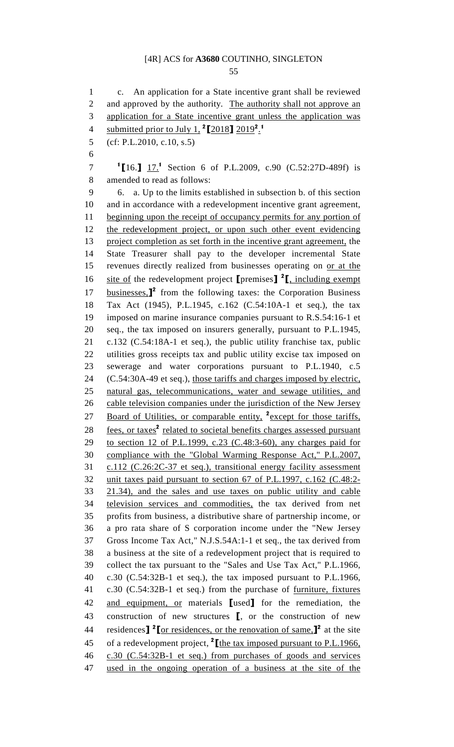55

1 c. An application for a State incentive grant shall be reviewed 2 and approved by the authority. The authority shall not approve an 3 application for a State incentive grant unless the application was 4 submitted prior to July 1,  $^2$ [2018]  $2019^2$ <sup>1</sup> 5 (cf: P.L.2010, c.10, s.5) 6 <sup>1</sup>[16.] <u>17.</u><sup>1</sup> Section 6 of P.L.2009, c.90 (C.52:27D-489f) is 8 amended to read as follows: 9 6. a. Up to the limits established in subsection b. of this section 10 and in accordance with a redevelopment incentive grant agreement, 11 beginning upon the receipt of occupancy permits for any portion of 12 the redevelopment project, or upon such other event evidencing 13 project completion as set forth in the incentive grant agreement, the 14 State Treasurer shall pay to the developer incremental State 15 revenues directly realized from businesses operating on or at the 16 site of the redevelopment project  $[$ premises $]$ <sup>2</sup> $[$ , including exempt 17 businesses,<sup>1</sup> from the following taxes: the Corporation Business 18 Tax Act (1945), P.L.1945, c.162 (C.54:10A-1 et seq.), the tax 19 imposed on marine insurance companies pursuant to R.S.54:16-1 et 20 seq., the tax imposed on insurers generally, pursuant to P.L.1945, 21 c.132 (C.54:18A-1 et seq.), the public utility franchise tax, public 22 utilities gross receipts tax and public utility excise tax imposed on 23 sewerage and water corporations pursuant to P.L.1940, c.5 24 (C.54:30A-49 et seq.), those tariffs and charges imposed by electric, 25 natural gas, telecommunications, water and sewage utilities, and 26 cable television companies under the jurisdiction of the New Jersey 27 Board of Utilities, or comparable entity, <sup>2</sup> except for those tariffs, 28 fees, or taxes<sup>2</sup> related to societal benefits charges assessed pursuant 29 to section 12 of P.L.1999, c.23 (C.48:3-60), any charges paid for 30 compliance with the "Global Warming Response Act," P.L.2007, 31 c.112 (C.26:2C-37 et seq.), transitional energy facility assessment 32 unit taxes paid pursuant to section 67 of P.L.1997, c.162 (C.48:2- 33 21.34), and the sales and use taxes on public utility and cable 34 television services and commodities, the tax derived from net 35 profits from business, a distributive share of partnership income, or 36 a pro rata share of S corporation income under the "New Jersey 37 Gross Income Tax Act," N.J.S.54A:1-1 et seq., the tax derived from 38 a business at the site of a redevelopment project that is required to 39 collect the tax pursuant to the "Sales and Use Tax Act," P.L.1966, 40 c.30 (C.54:32B-1 et seq.), the tax imposed pursuant to P.L.1966, 41 c.30 (C.54:32B-1 et seq.) from the purchase of furniture, fixtures 42 and equipment, or materials [used] for the remediation, the 43 construction of new structures [, or the construction of new 44 residences]  $\sqrt[2]{\text{for residues}}$ , or the renovation of same.]  $\sqrt[2]{\text{at}}$  the site 45 of a redevelopment project,  $^2$  [the tax imposed pursuant to P.L.1966, 46 c.30 (C.54:32B-1 et seq.) from purchases of goods and services 47 used in the ongoing operation of a business at the site of the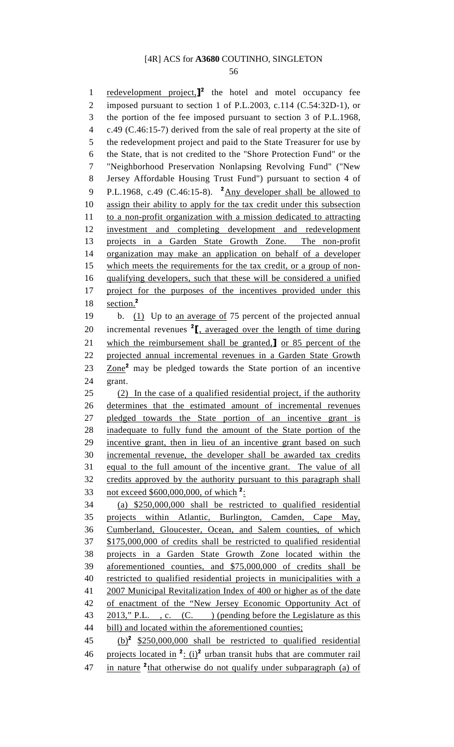56

1 redevelopment project, $\mathbf{I}^2$  the hotel and motel occupancy fee 2 imposed pursuant to section 1 of P.L.2003, c.114 (C.54:32D-1), or 3 the portion of the fee imposed pursuant to section 3 of P.L.1968, 4 c.49 (C.46:15-7) derived from the sale of real property at the site of 5 the redevelopment project and paid to the State Treasurer for use by 6 the State, that is not credited to the "Shore Protection Fund" or the 7 "Neighborhood Preservation Nonlapsing Revolving Fund" ("New 8 Jersey Affordable Housing Trust Fund") pursuant to section 4 of 9 P.L.1968, c.49 (C.46:15-8).  $^2$ Any developer shall be allowed to 10 assign their ability to apply for the tax credit under this subsection 11 to a non-profit organization with a mission dedicated to attracting 12 investment and completing development and redevelopment 13 projects in a Garden State Growth Zone. The non-profit 14 organization may make an application on behalf of a developer 15 which meets the requirements for the tax credit, or a group of non-16 qualifying developers, such that these will be considered a unified 17 project for the purposes of the incentives provided under this 18  $\text{section}^2$ 19 b. (1) Up to an average of 75 percent of the projected annual 20 incremental revenues  $2\left[\frac{\text{a}}{\text{b}}\right]$  averaged over the length of time during 21 which the reimbursement shall be granted,] or 85 percent of the 22 projected annual incremental revenues in a Garden State Growth 23 Zone<sup>2</sup> may be pledged towards the State portion of an incentive 24 grant. 25 (2) In the case of a qualified residential project, if the authority 26 determines that the estimated amount of incremental revenues 27 pledged towards the State portion of an incentive grant is 28 inadequate to fully fund the amount of the State portion of the 29 incentive grant, then in lieu of an incentive grant based on such 30 incremental revenue, the developer shall be awarded tax credits 31 equal to the full amount of the incentive grant. The value of all 32 credits approved by the authority pursuant to this paragraph shall 33 not exceed  $$600,000,000,$  of which  $2$ : 34 (a) \$250,000,000 shall be restricted to qualified residential 35 projects within Atlantic, Burlington, Camden, Cape May, 36 Cumberland, Gloucester, Ocean, and Salem counties, of which 37 \$175,000,000 of credits shall be restricted to qualified residential 38 projects in a Garden State Growth Zone located within the 39 aforementioned counties, and \$75,000,000 of credits shall be 40 restricted to qualified residential projects in municipalities with a 41 2007 Municipal Revitalization Index of 400 or higher as of the date 42 of enactment of the "New Jersey Economic Opportunity Act of 43 2013," P.L., c. (C.) (pending before the Legislature as this 44 bill) and located within the aforementioned counties;  $(45)$   $(b)^2$  \$250,000,000 shall be restricted to qualified residential 46 projects located in  $2: (i)^2$  urban transit hubs that are commuter rail 47 in nature  $\frac{2}{}$ that otherwise do not qualify under subparagraph (a) of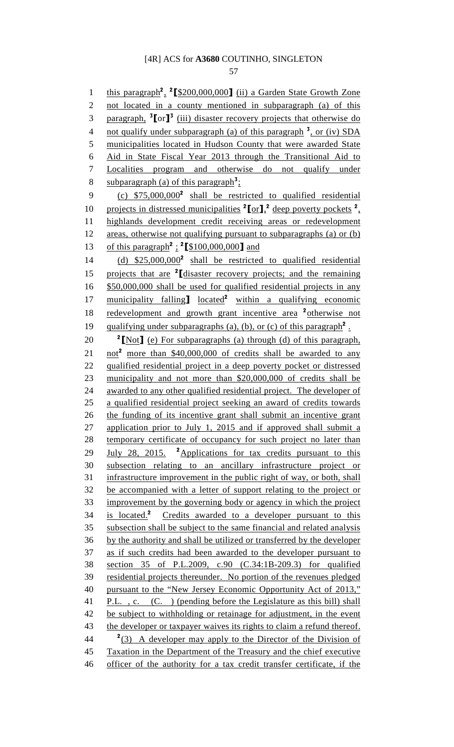57

1 this paragraph<sup>2</sup>, <sup>2</sup> [\$200,000,000] (ii) a Garden State Growth Zone 2 not located in a county mentioned in subparagraph (a) of this 3 paragraph, <sup>3</sup>[or]<sup>3</sup> (iii) disaster recovery projects that otherwise do 4 not qualify under subparagraph (a) of this paragraph  $\frac{3}{4}$ , or (iv) SDA 5 municipalities located in Hudson County that were awarded State 6 Aid in State Fiscal Year 2013 through the Transitional Aid to 7 Localities program and otherwise do not qualify under 8 subparagraph (a) of this paragraph<sup>3</sup>: 9  $(c)$  \$75,000,000<sup>2</sup> shall be restricted to qualified residential 10 projects in distressed municipalities  ${}^{2}$ [or],  ${}^{2}$  deep poverty pockets  ${}^{2}$ , 11 highlands development credit receiving areas or redevelopment 12 areas, otherwise not qualifying pursuant to subparagraphs (a) or (b) 13 of this paragraph<sup>2</sup>: <sup>2</sup>[\$100,000,000] and  $(14)$   $(25,000,000^2)$  shall be restricted to qualified residential 15 projects that are  $2$  [disaster recovery projects; and the remaining 16 \$50,000,000 shall be used for qualified residential projects in any 17 municipality falling  $\log$   $\frac{1}{2}$  within a qualifying economic 18 redevelopment and growth grant incentive area <sup>2</sup> otherwise not 19 qualifying under subparagraphs (a), (b), or (c) of this paragraph<sup>2</sup>. 20  $\frac{2 \text{Not}}{\text{Not}}$  (e) For subparagraphs (a) through (d) of this paragraph, 21 not<sup>2</sup> more than \$40,000,000 of credits shall be awarded to any 22 qualified residential project in a deep poverty pocket or distressed 23 municipality and not more than \$20,000,000 of credits shall be 24 awarded to any other qualified residential project. The developer of 25 a qualified residential project seeking an award of credits towards 26 the funding of its incentive grant shall submit an incentive grant 27 application prior to July 1, 2015 and if approved shall submit a 28 temporary certificate of occupancy for such project no later than 29 July 28, 2015. <sup>2</sup> Applications for tax credits pursuant to this 30 subsection relating to an ancillary infrastructure project or 31 infrastructure improvement in the public right of way, or both, shall 32 be accompanied with a letter of support relating to the project or 33 improvement by the governing body or agency in which the project is located.<sup>2</sup> 34 Credits awarded to a developer pursuant to this 35 subsection shall be subject to the same financial and related analysis 36 by the authority and shall be utilized or transferred by the developer 37 as if such credits had been awarded to the developer pursuant to 38 section 35 of P.L.2009, c.90 (C.34:1B-209.3) for qualified 39 residential projects thereunder. No portion of the revenues pledged 40 pursuant to the "New Jersey Economic Opportunity Act of 2013," 41 P.L., c. (C.) (pending before the Legislature as this bill) shall 42 be subject to withholding or retainage for adjustment, in the event 43 the developer or taxpayer waives its rights to claim a refund thereof.  $\frac{2}{3}$  A developer may apply to the Director of the Division of 45 Taxation in the Department of the Treasury and the chief executive 46 officer of the authority for a tax credit transfer certificate, if the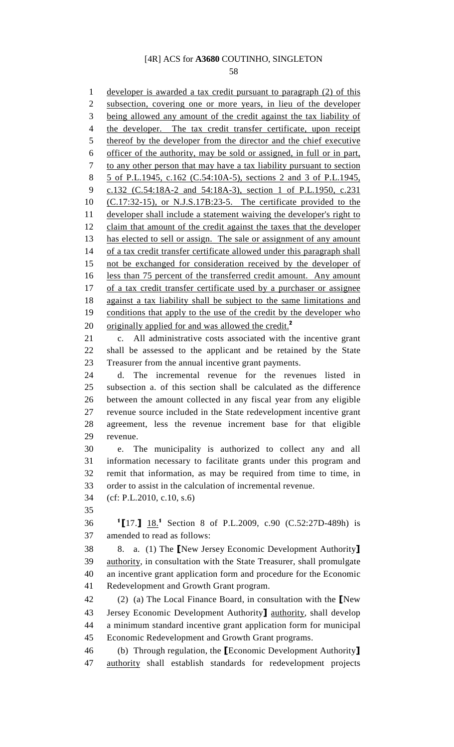58

1 developer is awarded a tax credit pursuant to paragraph (2) of this 2 subsection, covering one or more years, in lieu of the developer 3 being allowed any amount of the credit against the tax liability of 4 the developer. The tax credit transfer certificate, upon receipt 5 thereof by the developer from the director and the chief executive 6 officer of the authority, may be sold or assigned, in full or in part, 7 to any other person that may have a tax liability pursuant to section 8 5 of P.L.1945, c.162 (C.54:10A-5), sections 2 and 3 of P.L.1945, 9 c.132 (C.54:18A-2 and 54:18A-3), section 1 of P.L.1950, c.231 10 (C.17:32-15), or N.J.S.17B:23-5. The certificate provided to the 11 developer shall include a statement waiving the developer's right to 12 claim that amount of the credit against the taxes that the developer 13 has elected to sell or assign. The sale or assignment of any amount 14 of a tax credit transfer certificate allowed under this paragraph shall 15 not be exchanged for consideration received by the developer of 16 less than 75 percent of the transferred credit amount. Any amount 17 of a tax credit transfer certificate used by a purchaser or assignee 18 against a tax liability shall be subject to the same limitations and 19 conditions that apply to the use of the credit by the developer who 20 originally applied for and was allowed the credit.<sup>2</sup> 21 c. All administrative costs associated with the incentive grant 22 shall be assessed to the applicant and be retained by the State 23 Treasurer from the annual incentive grant payments. 24 d. The incremental revenue for the revenues listed in 25 subsection a. of this section shall be calculated as the difference 26 between the amount collected in any fiscal year from any eligible 27 revenue source included in the State redevelopment incentive grant 28 agreement, less the revenue increment base for that eligible 29 revenue. 30 e. The municipality is authorized to collect any and all 31 information necessary to facilitate grants under this program and 32 remit that information, as may be required from time to time, in 33 order to assist in the calculation of incremental revenue. 34 (cf: P.L.2010, c.10, s.6) 35 36 <sup>1</sup>[17.] <u>18.</u><sup>1</sup> Section 8 of P.L.2009, c.90 (C.52:27D-489h) is 37 amended to read as follows: 38 8. a. (1) The [New Jersey Economic Development Authority] 39 authority, in consultation with the State Treasurer, shall promulgate 40 an incentive grant application form and procedure for the Economic 41 Redevelopment and Growth Grant program. 42 (2) (a) The Local Finance Board, in consultation with the [New 43 Jersey Economic Development Authority] authority, shall develop 44 a minimum standard incentive grant application form for municipal 45 Economic Redevelopment and Growth Grant programs. 46 (b) Through regulation, the [Economic Development Authority] 47 authority shall establish standards for redevelopment projects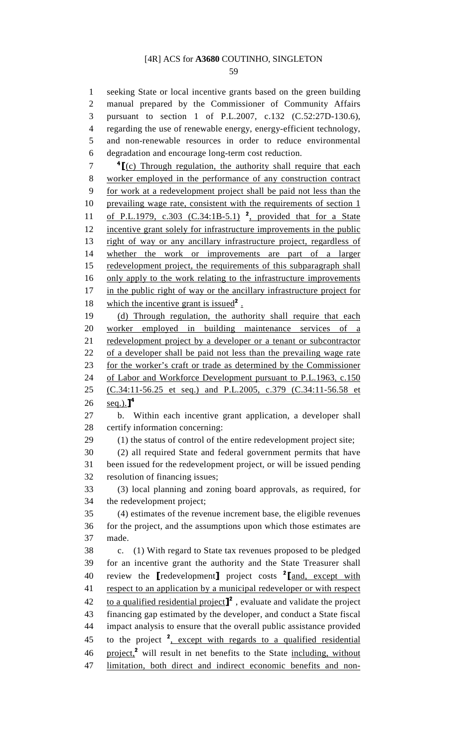59

1 seeking State or local incentive grants based on the green building 2 manual prepared by the Commissioner of Community Affairs 3 pursuant to section 1 of P.L.2007, c.132 (C.52:27D-130.6), 4 regarding the use of renewable energy, energy-efficient technology, 5 and non-renewable resources in order to reduce environmental 6 degradation and encourage long-term cost reduction.  $7 \cdot 4$   $\lceil \frac{4}{\ln 2} \rceil$  (c) Through regulation, the authority shall require that each 8 worker employed in the performance of any construction contract 9 for work at a redevelopment project shall be paid not less than the 10 prevailing wage rate, consistent with the requirements of section 1 11 of P.L.1979, c.303 (C.34:1B-5.1)<sup>2</sup>, provided that for a State 12 incentive grant solely for infrastructure improvements in the public 13 right of way or any ancillary infrastructure project, regardless of

14 whether the work or improvements are part of a larger 15 redevelopment project, the requirements of this subparagraph shall 16 only apply to the work relating to the infrastructure improvements 17 in the public right of way or the ancillary infrastructure project for 18 which the incentive grant is issued<sup>2</sup>.

19 (d) Through regulation, the authority shall require that each 20 worker employed in building maintenance services of a 21 redevelopment project by a developer or a tenant or subcontractor 22 of a developer shall be paid not less than the prevailing wage rate 23 for the worker's craft or trade as determined by the Commissioner 24 of Labor and Workforce Development pursuant to P.L.1963, c.150 25 (C.34:11-56.25 et seq.) and P.L.2005, c.379 (C.34:11-56.58 et 26 seq.). $]^{4}$ 

27 b. Within each incentive grant application, a developer shall 28 certify information concerning:

29 (1) the status of control of the entire redevelopment project site;

30 (2) all required State and federal government permits that have 31 been issued for the redevelopment project, or will be issued pending 32 resolution of financing issues;

33 (3) local planning and zoning board approvals, as required, for 34 the redevelopment project;

35 (4) estimates of the revenue increment base, the eligible revenues 36 for the project, and the assumptions upon which those estimates are 37 made.

38 c. (1) With regard to State tax revenues proposed to be pledged 39 for an incentive grant the authority and the State Treasurer shall 40 review the  $[redevelopment]$  project costs  $2$  $[$ and, except with 41 respect to an application by a municipal redeveloper or with respect 42 to a qualified residential project<sup> $\mathbf{I}^2$ </sup>, evaluate and validate the project 43 financing gap estimated by the developer, and conduct a State fiscal 44 impact analysis to ensure that the overall public assistance provided 45 to the project  $2$ , except with regards to a qualified residential 46 project, $^2$  will result in net benefits to the State including, without 47 limitation, both direct and indirect economic benefits and non-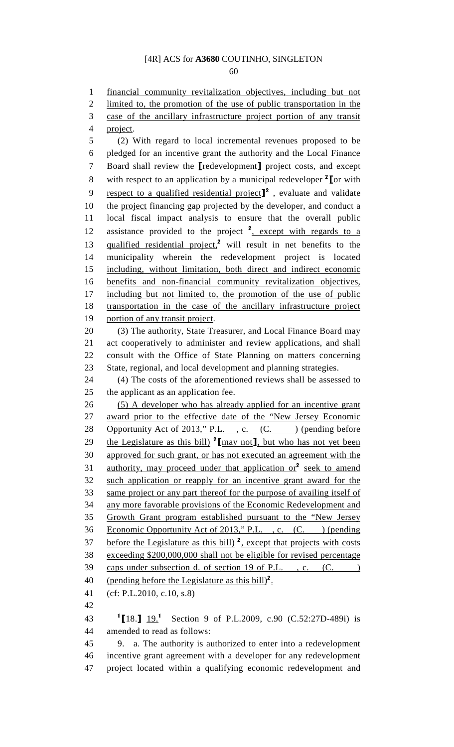60

1 financial community revitalization objectives, including but not 2 limited to, the promotion of the use of public transportation in the 3 case of the ancillary infrastructure project portion of any transit 4 project. 5 (2) With regard to local incremental revenues proposed to be 6 pledged for an incentive grant the authority and the Local Finance 7 Board shall review the [redevelopment] project costs, and except 8 with respect to an application by a municipal redeveloper  $2 \text{ for with}$ 9 respect to a qualified residential project<sup> $^2$ </sup>, evaluate and validate 10 the project financing gap projected by the developer, and conduct a 11 local fiscal impact analysis to ensure that the overall public 12 assistance provided to the project  $2$ , except with regards to a 13 qualified residential project,<sup>2</sup> will result in net benefits to the 14 municipality wherein the redevelopment project is located 15 including, without limitation, both direct and indirect economic 16 benefits and non-financial community revitalization objectives, 17 including but not limited to, the promotion of the use of public 18 transportation in the case of the ancillary infrastructure project 19 portion of any transit project. 20 (3) The authority, State Treasurer, and Local Finance Board may 21 act cooperatively to administer and review applications, and shall 22 consult with the Office of State Planning on matters concerning 23 State, regional, and local development and planning strategies. 24 (4) The costs of the aforementioned reviews shall be assessed to 25 the applicant as an application fee. 26 (5) A developer who has already applied for an incentive grant 27 award prior to the effective date of the "New Jersey Economic 28 Opportunity Act of 2013," P.L., c. (C.) (pending before 29 the Legislature as this bill)  $2 \text{[may not]}$ , but who has not yet been 30 approved for such grant, or has not executed an agreement with the 31 authority, may proceed under that application or  $2$  seek to amend 32 such application or reapply for an incentive grant award for the 33 same project or any part thereof for the purpose of availing itself of 34 any more favorable provisions of the Economic Redevelopment and 35 Growth Grant program established pursuant to the "New Jersey 36 Economic Opportunity Act of 2013," P.L., c. (C. ) (pending  $37$  before the Legislature as this bill)  $2$ , except that projects with costs 38 exceeding \$200,000,000 shall not be eligible for revised percentage 39 caps under subsection d. of section 19 of P.L., c. (C. ) 40 (pending before the Legislature as this bill)<sup>2</sup>. 41 (cf: P.L.2010, c.10, s.8) 42 43 <sup>1</sup>[18.]  $19.^1$  Section 9 of P.L.2009, c.90 (C.52:27D-489i) is 44 amended to read as follows: 45 9. a. The authority is authorized to enter into a redevelopment

46 incentive grant agreement with a developer for any redevelopment 47 project located within a qualifying economic redevelopment and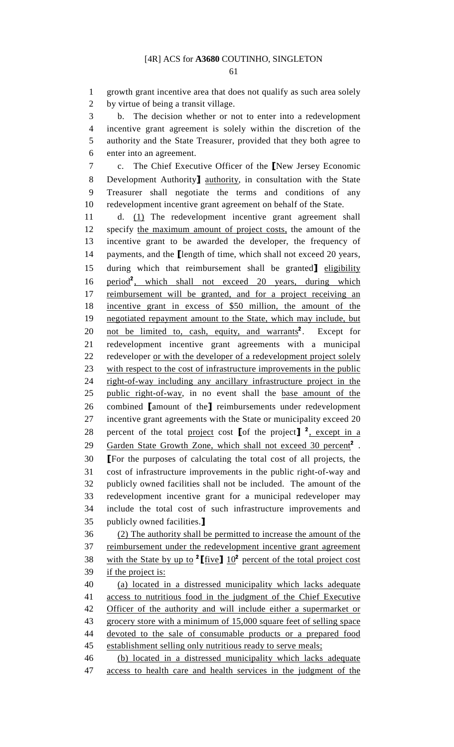61

1 growth grant incentive area that does not qualify as such area solely 2 by virtue of being a transit village.

3 b. The decision whether or not to enter into a redevelopment 4 incentive grant agreement is solely within the discretion of the 5 authority and the State Treasurer, provided that they both agree to 6 enter into an agreement.

7 c. The Chief Executive Officer of the [New Jersey Economic 8 Development Authority<sub>1</sub> authority, in consultation with the State 9 Treasurer shall negotiate the terms and conditions of any 10 redevelopment incentive grant agreement on behalf of the State.

11 d. (1) The redevelopment incentive grant agreement shall 12 specify the maximum amount of project costs, the amount of the 13 incentive grant to be awarded the developer, the frequency of 14 payments, and the [length of time, which shall not exceed 20 years, 15 during which that reimbursement shall be granted leligibility 16 period<sup>2</sup>, which shall not exceed 20 years, during which 17 reimbursement will be granted, and for a project receiving an 18 incentive grant in excess of \$50 million, the amount of the 19 negotiated repayment amount to the State, which may include, but 20 not be limited to, cash, equity, and warrants<sup>2</sup>. Except for 21 redevelopment incentive grant agreements with a municipal 22 redeveloper <u>or with the developer of a redevelopment project solely</u> 23 with respect to the cost of infrastructure improvements in the public 24 right-of-way including any ancillary infrastructure project in the 25 public right-of-way, in no event shall the base amount of the 26 combined [amount of the] reimbursements under redevelopment 27 incentive grant agreements with the State or municipality exceed 20 28 percent of the total project cost [of the project]  $^2$ , except in a 29 Garden State Growth Zone, which shall not exceed 30 percent<sup>2</sup>. 30 [For the purposes of calculating the total cost of all projects, the 31 cost of infrastructure improvements in the public right-of-way and 32 publicly owned facilities shall not be included. The amount of the 33 redevelopment incentive grant for a municipal redeveloper may 34 include the total cost of such infrastructure improvements and 35 publicly owned facilities.]

36 (2) The authority shall be permitted to increase the amount of the 37 reimbursement under the redevelopment incentive grant agreement 38 with the State by up to <sup>2</sup> [five]  $10^2$  percent of the total project cost 39 if the project is:

40 (a) located in a distressed municipality which lacks adequate 41 access to nutritious food in the judgment of the Chief Executive 42 Officer of the authority and will include either a supermarket or 43 grocery store with a minimum of 15,000 square feet of selling space 44 devoted to the sale of consumable products or a prepared food 45 establishment selling only nutritious ready to serve meals;

46 (b) located in a distressed municipality which lacks adequate 47 access to health care and health services in the judgment of the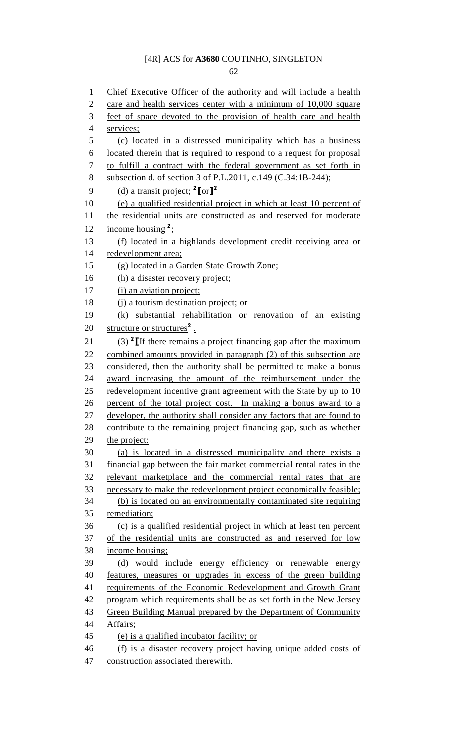62

1 Chief Executive Officer of the authority and will include a health 2 care and health services center with a minimum of 10,000 square 3 feet of space devoted to the provision of health care and health 4 services; 5 (c) located in a distressed municipality which has a business 6 located therein that is required to respond to a request for proposal 7 to fulfill a contract with the federal government as set forth in 8 subsection d. of section 3 of P.L.2011, c.149 (C.34:1B-244); 9 (d) a transit project;  $^{2}$ [or]<sup>2</sup> 10 (e) a qualified residential project in which at least 10 percent of 11 the residential units are constructed as and reserved for moderate 12 income housing  $2$ ; 13 (f) located in a highlands development credit receiving area or 14 redevelopment area; 15 (g) located in a Garden State Growth Zone; 16 (h) a disaster recovery project; 17 (i) an aviation project; 18 (j) a tourism destination project; or 19 (k) substantial rehabilitation or renovation of an existing 20 structure or structures<sup>2</sup>. 21  $(3)$  <sup>2</sup> If there remains a project financing gap after the maximum 22 combined amounts provided in paragraph (2) of this subsection are 23 considered, then the authority shall be permitted to make a bonus 24 award increasing the amount of the reimbursement under the 25 redevelopment incentive grant agreement with the State by up to 10 26 percent of the total project cost. In making a bonus award to a 27 developer, the authority shall consider any factors that are found to 28 contribute to the remaining project financing gap, such as whether 29 the project: 30 (a) is located in a distressed municipality and there exists a 31 financial gap between the fair market commercial rental rates in the 32 relevant marketplace and the commercial rental rates that are 33 necessary to make the redevelopment project economically feasible; 34 (b) is located on an environmentally contaminated site requiring 35 remediation; 36 (c) is a qualified residential project in which at least ten percent 37 of the residential units are constructed as and reserved for low 38 income housing; 39 (d) would include energy efficiency or renewable energy 40 features, measures or upgrades in excess of the green building 41 requirements of the Economic Redevelopment and Growth Grant 42 program which requirements shall be as set forth in the New Jersey 43 Green Building Manual prepared by the Department of Community 44 Affairs; 45 (e) is a qualified incubator facility; or 46 (f) is a disaster recovery project having unique added costs of 47 construction associated therewith.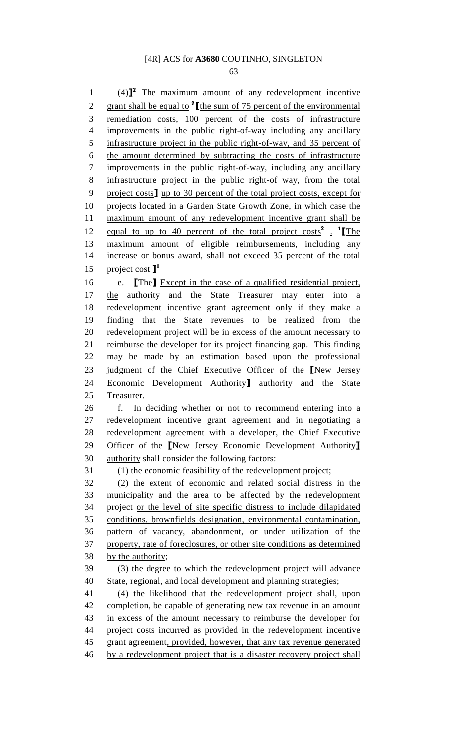63

 $(4)$ <sup>2</sup> The maximum amount of any redevelopment incentive 2 grant shall be equal to  $2 \times 2$  if the sum of 75 percent of the environmental 3 remediation costs, 100 percent of the costs of infrastructure 4 improvements in the public right-of-way including any ancillary 5 infrastructure project in the public right-of-way, and 35 percent of 6 the amount determined by subtracting the costs of infrastructure 7 improvements in the public right-of-way, including any ancillary 8 infrastructure project in the public right-of way, from the total 9 project costs] up to 30 percent of the total project costs, except for 10 projects located in a Garden State Growth Zone, in which case the 11 maximum amount of any redevelopment incentive grant shall be 12 equal to up to 40 percent of the total project costs<sup>2</sup>. <sup>1</sup> [The 13 maximum amount of eligible reimbursements, including any 14 increase or bonus award, shall not exceed 35 percent of the total 15 project cost. $\mathbf{I}^1$ 16 e. **[The]** Except in the case of a qualified residential project, 17 the authority and the State Treasurer may enter into a 18 redevelopment incentive grant agreement only if they make a 19 finding that the State revenues to be realized from the 20 redevelopment project will be in excess of the amount necessary to 21 reimburse the developer for its project financing gap. This finding 22 may be made by an estimation based upon the professional 23 judgment of the Chief Executive Officer of the [New Jersey 24 Economic Development Authority] authority and the State 25 Treasurer. 26 f. In deciding whether or not to recommend entering into a 27 redevelopment incentive grant agreement and in negotiating a 28 redevelopment agreement with a developer, the Chief Executive 29 Officer of the [New Jersey Economic Development Authority] 30 authority shall consider the following factors: 31 (1) the economic feasibility of the redevelopment project; 32 (2) the extent of economic and related social distress in the 33 municipality and the area to be affected by the redevelopment 34 project or the level of site specific distress to include dilapidated 35 conditions, brownfields designation, environmental contamination, 36 pattern of vacancy, abandonment, or under utilization of the 37 property, rate of foreclosures, or other site conditions as determined 38 by the authority; 39 (3) the degree to which the redevelopment project will advance 40 State, regional, and local development and planning strategies; 41 (4) the likelihood that the redevelopment project shall, upon 42 completion, be capable of generating new tax revenue in an amount 43 in excess of the amount necessary to reimburse the developer for 44 project costs incurred as provided in the redevelopment incentive 45 grant agreement, provided, however, that any tax revenue generated 46 by a redevelopment project that is a disaster recovery project shall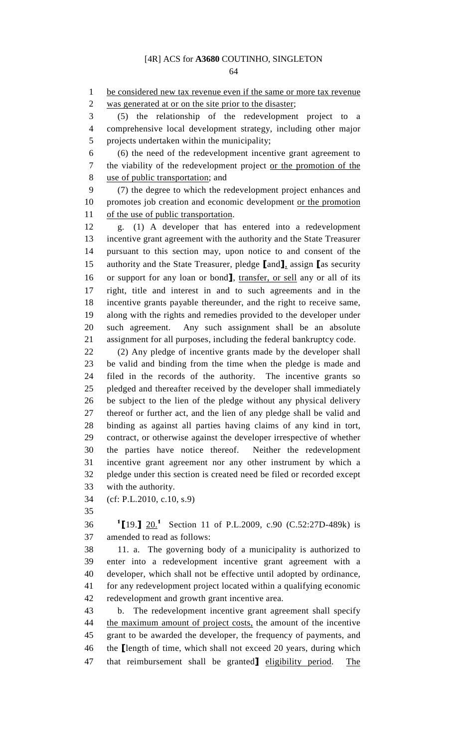64

1 be considered new tax revenue even if the same or more tax revenue 2 was generated at or on the site prior to the disaster;

3 (5) the relationship of the redevelopment project to a 4 comprehensive local development strategy, including other major 5 projects undertaken within the municipality;

6 (6) the need of the redevelopment incentive grant agreement to 7 the viability of the redevelopment project or the promotion of the 8 use of public transportation; and

9 (7) the degree to which the redevelopment project enhances and 10 promotes job creation and economic development or the promotion 11 of the use of public transportation.

12 g. (1) A developer that has entered into a redevelopment 13 incentive grant agreement with the authority and the State Treasurer 14 pursuant to this section may, upon notice to and consent of the 15 authority and the State Treasurer, pledge [and], assign [as security 16 or support for any loan or bond], transfer, or sell any or all of its 17 right, title and interest in and to such agreements and in the 18 incentive grants payable thereunder, and the right to receive same, 19 along with the rights and remedies provided to the developer under 20 such agreement. Any such assignment shall be an absolute 21 assignment for all purposes, including the federal bankruptcy code.

22 (2) Any pledge of incentive grants made by the developer shall 23 be valid and binding from the time when the pledge is made and 24 filed in the records of the authority. The incentive grants so 25 pledged and thereafter received by the developer shall immediately 26 be subject to the lien of the pledge without any physical delivery 27 thereof or further act, and the lien of any pledge shall be valid and 28 binding as against all parties having claims of any kind in tort, 29 contract, or otherwise against the developer irrespective of whether 30 the parties have notice thereof. Neither the redevelopment 31 incentive grant agreement nor any other instrument by which a 32 pledge under this section is created need be filed or recorded except 33 with the authority.

34 (cf: P.L.2010, c.10, s.9)

35

36 <sup>1</sup>[19.] 20.<sup>1</sup> Section 11 of P.L.2009, c.90 (C.52:27D-489k) is 37 amended to read as follows:

38 11. a. The governing body of a municipality is authorized to 39 enter into a redevelopment incentive grant agreement with a 40 developer, which shall not be effective until adopted by ordinance, 41 for any redevelopment project located within a qualifying economic 42 redevelopment and growth grant incentive area.

43 b. The redevelopment incentive grant agreement shall specify 44 the maximum amount of project costs, the amount of the incentive 45 grant to be awarded the developer, the frequency of payments, and 46 the [length of time, which shall not exceed 20 years, during which 47 that reimbursement shall be granted] eligibility period. The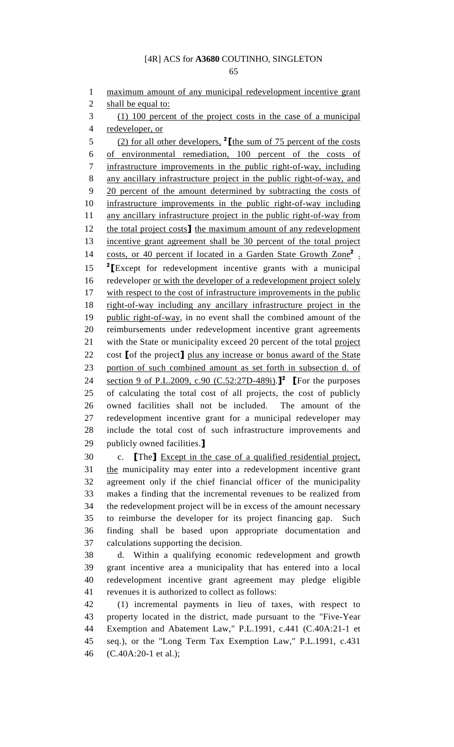1 maximum amount of any municipal redevelopment incentive grant 2 shall be equal to: 3 (1) 100 percent of the project costs in the case of a municipal 4 redeveloper, or  $(2)$  for all other developers, <sup>2</sup> [the sum of 75 percent of the costs 6 of environmental remediation, 100 percent of the costs of 7 infrastructure improvements in the public right-of-way, including 8 any ancillary infrastructure project in the public right-of-way, and 9 20 percent of the amount determined by subtracting the costs of 10 infrastructure improvements in the public right-of-way including 11 any ancillary infrastructure project in the public right-of-way from 12 the total project costs] the maximum amount of any redevelopment 13 incentive grant agreement shall be 30 percent of the total project 14 costs, or 40 percent if located in a Garden State Growth Zone<sup>2</sup> .  $15$  <sup>2</sup> [Except for redevelopment incentive grants with a municipal 16 redeveloper <u>or with the developer of a redevelopment project solely</u> 17 with respect to the cost of infrastructure improvements in the public 18 right-of-way including any ancillary infrastructure project in the 19 public right-of-way, in no event shall the combined amount of the 20 reimbursements under redevelopment incentive grant agreements 21 with the State or municipality exceed 20 percent of the total project 22 cost [of the project] plus any increase or bonus award of the State 23 portion of such combined amount as set forth in subsection d. of 24 section 9 of P.L.2009, c.90 (C.52:27D-489i).<sup>2</sup> [For the purposes] 25 of calculating the total cost of all projects, the cost of publicly 26 owned facilities shall not be included. The amount of the 27 redevelopment incentive grant for a municipal redeveloper may 28 include the total cost of such infrastructure improvements and 29 publicly owned facilities.] 30 c. [The] Except in the case of a qualified residential project,

31 the municipality may enter into a redevelopment incentive grant 32 agreement only if the chief financial officer of the municipality 33 makes a finding that the incremental revenues to be realized from 34 the redevelopment project will be in excess of the amount necessary 35 to reimburse the developer for its project financing gap. Such 36 finding shall be based upon appropriate documentation and 37 calculations supporting the decision.

38 d. Within a qualifying economic redevelopment and growth 39 grant incentive area a municipality that has entered into a local 40 redevelopment incentive grant agreement may pledge eligible 41 revenues it is authorized to collect as follows:

42 (1) incremental payments in lieu of taxes, with respect to 43 property located in the district, made pursuant to the "Five-Year 44 Exemption and Abatement Law," P.L.1991, c.441 (C.40A:21-1 et 45 seq.), or the "Long Term Tax Exemption Law," P.L.1991, c.431 46 (C.40A:20-1 et al.);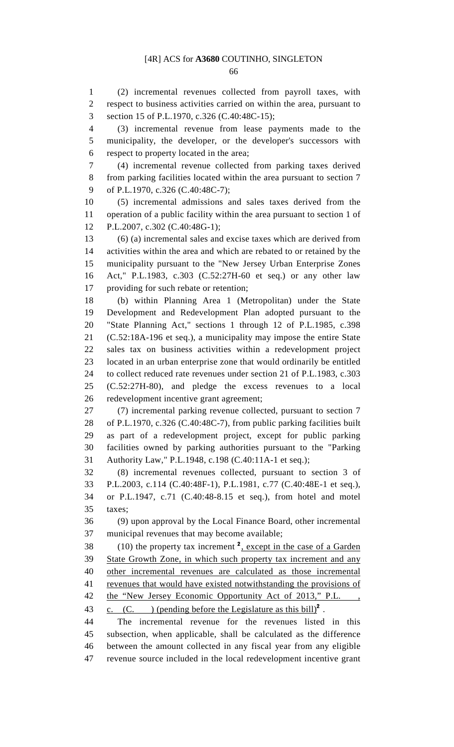66

1 (2) incremental revenues collected from payroll taxes, with 2 respect to business activities carried on within the area, pursuant to 3 section 15 of P.L.1970, c.326 (C.40:48C-15);

4 (3) incremental revenue from lease payments made to the 5 municipality, the developer, or the developer's successors with 6 respect to property located in the area;

7 (4) incremental revenue collected from parking taxes derived 8 from parking facilities located within the area pursuant to section 7 9 of P.L.1970, c.326 (C.40:48C-7);

10 (5) incremental admissions and sales taxes derived from the 11 operation of a public facility within the area pursuant to section 1 of 12 P.L.2007, c.302 (C.40:48G-1);

13 (6) (a) incremental sales and excise taxes which are derived from 14 activities within the area and which are rebated to or retained by the 15 municipality pursuant to the "New Jersey Urban Enterprise Zones 16 Act," P.L.1983, c.303 (C.52:27H-60 et seq.) or any other law 17 providing for such rebate or retention;

18 (b) within Planning Area 1 (Metropolitan) under the State 19 Development and Redevelopment Plan adopted pursuant to the 20 "State Planning Act," sections 1 through 12 of P.L.1985, c.398 21 (C.52:18A-196 et seq.), a municipality may impose the entire State 22 sales tax on business activities within a redevelopment project 23 located in an urban enterprise zone that would ordinarily be entitled 24 to collect reduced rate revenues under section 21 of P.L.1983, c.303 25 (C.52:27H-80), and pledge the excess revenues to a local 26 redevelopment incentive grant agreement;

27 (7) incremental parking revenue collected, pursuant to section 7 28 of P.L.1970, c.326 (C.40:48C-7), from public parking facilities built 29 as part of a redevelopment project, except for public parking 30 facilities owned by parking authorities pursuant to the "Parking 31 Authority Law," P.L.1948, c.198 (C.40:11A-1 et seq.);

32 (8) incremental revenues collected, pursuant to section 3 of 33 P.L.2003, c.114 (C.40:48F-1), P.L.1981, c.77 (C.40:48E-1 et seq.), 34 or P.L.1947, c.71 (C.40:48-8.15 et seq.), from hotel and motel 35 taxes;

36 (9) upon approval by the Local Finance Board, other incremental 37 municipal revenues that may become available;

 $(10)$  the property tax increment  $\frac{2}{x}$ , except in the case of a Garden 39 State Growth Zone, in which such property tax increment and any 40 other incremental revenues are calculated as those incremental 41 revenues that would have existed notwithstanding the provisions of 42 the "New Jersey Economic Opportunity Act of 2013," P.L. 43 c. (C. ) (pending before the Legislature as this bill)<sup>2</sup>.

44 The incremental revenue for the revenues listed in this 45 subsection, when applicable, shall be calculated as the difference 46 between the amount collected in any fiscal year from any eligible 47 revenue source included in the local redevelopment incentive grant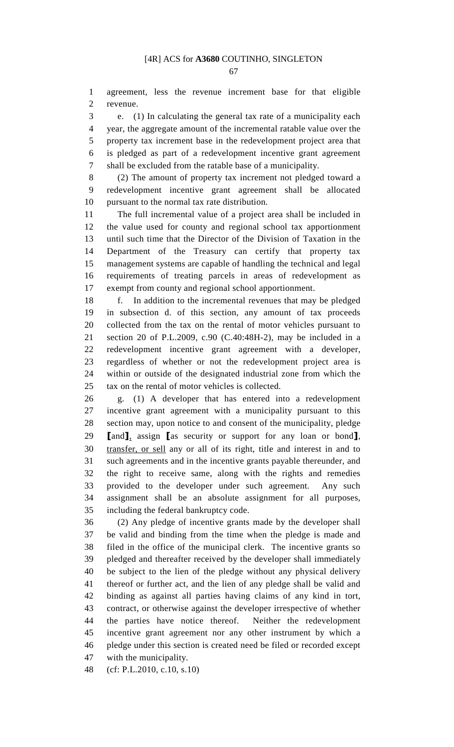1 agreement, less the revenue increment base for that eligible 2 revenue.

3 e. (1) In calculating the general tax rate of a municipality each 4 year, the aggregate amount of the incremental ratable value over the 5 property tax increment base in the redevelopment project area that 6 is pledged as part of a redevelopment incentive grant agreement 7 shall be excluded from the ratable base of a municipality.

8 (2) The amount of property tax increment not pledged toward a 9 redevelopment incentive grant agreement shall be allocated 10 pursuant to the normal tax rate distribution.

11 The full incremental value of a project area shall be included in 12 the value used for county and regional school tax apportionment 13 until such time that the Director of the Division of Taxation in the 14 Department of the Treasury can certify that property tax 15 management systems are capable of handling the technical and legal 16 requirements of treating parcels in areas of redevelopment as 17 exempt from county and regional school apportionment.

18 f. In addition to the incremental revenues that may be pledged 19 in subsection d. of this section, any amount of tax proceeds 20 collected from the tax on the rental of motor vehicles pursuant to 21 section 20 of P.L.2009, c.90 (C.40:48H-2), may be included in a 22 redevelopment incentive grant agreement with a developer, 23 regardless of whether or not the redevelopment project area is 24 within or outside of the designated industrial zone from which the 25 tax on the rental of motor vehicles is collected.

26 g. (1) A developer that has entered into a redevelopment 27 incentive grant agreement with a municipality pursuant to this 28 section may, upon notice to and consent of the municipality, pledge 29 [and], assign [as security or support for any loan or bond], 30 transfer, or sell any or all of its right, title and interest in and to 31 such agreements and in the incentive grants payable thereunder, and 32 the right to receive same, along with the rights and remedies 33 provided to the developer under such agreement. Any such 34 assignment shall be an absolute assignment for all purposes, 35 including the federal bankruptcy code.

36 (2) Any pledge of incentive grants made by the developer shall 37 be valid and binding from the time when the pledge is made and 38 filed in the office of the municipal clerk. The incentive grants so 39 pledged and thereafter received by the developer shall immediately 40 be subject to the lien of the pledge without any physical delivery 41 thereof or further act, and the lien of any pledge shall be valid and 42 binding as against all parties having claims of any kind in tort, 43 contract, or otherwise against the developer irrespective of whether 44 the parties have notice thereof. Neither the redevelopment 45 incentive grant agreement nor any other instrument by which a 46 pledge under this section is created need be filed or recorded except 47 with the municipality.

48 (cf: P.L.2010, c.10, s.10)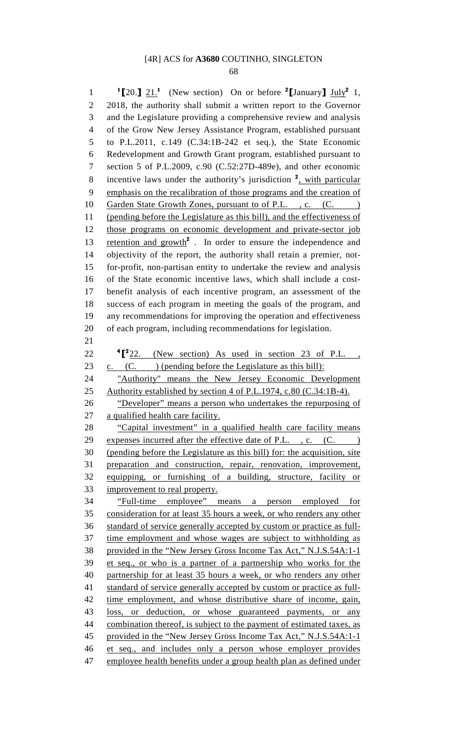68

1  $\text{I}[20.]\, 21.1$  (New section) On or before  $\text{I}[J]$  July<sup>2</sup> 1, 2 2018, the authority shall submit a written report to the Governor 3 and the Legislature providing a comprehensive review and analysis 4 of the Grow New Jersey Assistance Program, established pursuant 5 to P.L.2011, c.149 (C.34:1B-242 et seq.), the State Economic 6 Redevelopment and Growth Grant program, established pursuant to 7 section 5 of P.L.2009, c.90 (C.52:27D-489e), and other economic 8 incentive laws under the authority's jurisdiction  $2$ , with particular 9 emphasis on the recalibration of those programs and the creation of 10 Garden State Growth Zones, pursuant to of P.L., c. (C. 11 (pending before the Legislature as this bill), and the effectiveness of 12 those programs on economic development and private-sector job 13 retention and growth<sup>2</sup>. In order to ensure the independence and 14 objectivity of the report, the authority shall retain a premier, not-15 for-profit, non-partisan entity to undertake the review and analysis 16 of the State economic incentive laws, which shall include a cost-17 benefit analysis of each incentive program, an assessment of the 18 success of each program in meeting the goals of the program, and 19 any recommendations for improving the operation and effectiveness 20 of each program, including recommendations for legislation. 21  $22 \qquad$  <sup>4</sup> $\llbracket^2$   $22 \qquad$  (New section) As used in section 23 of P.L., 23 c. (C. ) (pending before the Legislature as this bill): 24 "Authority" means the New Jersey Economic Development 25 Authority established by section 4 of P.L.1974, c.80 (C.34:1B-4). 26 "Developer" means a person who undertakes the repurposing of 27 a qualified health care facility. 28 "Capital investment" in a qualified health care facility means 29 expenses incurred after the effective date of P.L., c. (C.) 30 (pending before the Legislature as this bill) for: the acquisition, site 31 preparation and construction, repair, renovation, improvement, 32 equipping, or furnishing of a building, structure, facility or 33 improvement to real property. 34 "Full-time employee" means a person employed for 35 consideration for at least 35 hours a week, or who renders any other 36 standard of service generally accepted by custom or practice as full-37 time employment and whose wages are subject to withholding as 38 provided in the "New Jersey Gross Income Tax Act," N.J.S.54A:1-1 39 et seq., or who is a partner of a partnership who works for the 40 partnership for at least 35 hours a week, or who renders any other 41 standard of service generally accepted by custom or practice as full-42 time employment, and whose distributive share of income, gain, 43 loss, or deduction, or whose guaranteed payments, or any 44 combination thereof, is subject to the payment of estimated taxes, as 45 provided in the "New Jersey Gross Income Tax Act," N.J.S.54A:1-1 46 et seq., and includes only a person whose employer provides 47 employee health benefits under a group health plan as defined under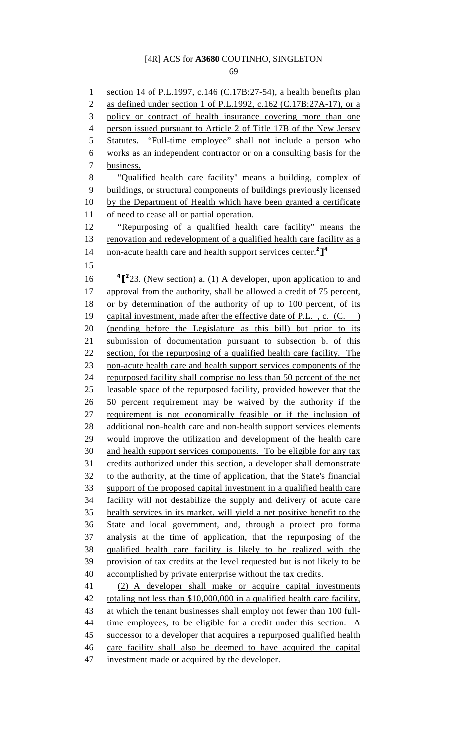69

1 section 14 of P.L.1997, c.146 (C.17B:27-54), a health benefits plan 2 as defined under section 1 of P.L.1992, c.162 (C.17B:27A-17), or a 3 policy or contract of health insurance covering more than one 4 person issued pursuant to Article 2 of Title 17B of the New Jersey 5 Statutes. "Full-time employee" shall not include a person who 6 works as an independent contractor or on a consulting basis for the 7 business. 8 "Qualified health care facility" means a building, complex of 9 buildings, or structural components of buildings previously licensed 10 by the Department of Health which have been granted a certificate 11 of need to cease all or partial operation. 12 "Repurposing of a qualified health care facility" means the 13 renovation and redevelopment of a qualified health care facility as a 14 non-acute health care and health support services center.<sup>2</sup>]<sup>4</sup> 15 16  $\int_{0}^{4}$   $\int_{0}^{2}$  23. (New section) a. (1) A developer, upon application to and 17 approval from the authority, shall be allowed a credit of 75 percent, 18 or by determination of the authority of up to 100 percent, of its 19 capital investment, made after the effective date of P.L. , c. (C. ) 20 (pending before the Legislature as this bill) but prior to its 21 submission of documentation pursuant to subsection b. of this 22 section, for the repurposing of a qualified health care facility. The 23 non-acute health care and health support services components of the 24 repurposed facility shall comprise no less than 50 percent of the net 25 leasable space of the repurposed facility, provided however that the 26 50 percent requirement may be waived by the authority if the 27 requirement is not economically feasible or if the inclusion of 28 additional non-health care and non-health support services elements 29 would improve the utilization and development of the health care 30 and health support services components. To be eligible for any tax 31 credits authorized under this section, a developer shall demonstrate 32 to the authority, at the time of application, that the State's financial 33 support of the proposed capital investment in a qualified health care 34 facility will not destabilize the supply and delivery of acute care 35 health services in its market, will yield a net positive benefit to the 36 State and local government, and, through a project pro forma 37 analysis at the time of application, that the repurposing of the 38 qualified health care facility is likely to be realized with the 39 provision of tax credits at the level requested but is not likely to be 40 accomplished by private enterprise without the tax credits. 41 (2) A developer shall make or acquire capital investments 42 totaling not less than \$10,000,000 in a qualified health care facility, 43 at which the tenant businesses shall employ not fewer than 100 full-44 time employees, to be eligible for a credit under this section. A 45 successor to a developer that acquires a repurposed qualified health 46 care facility shall also be deemed to have acquired the capital 47 investment made or acquired by the developer.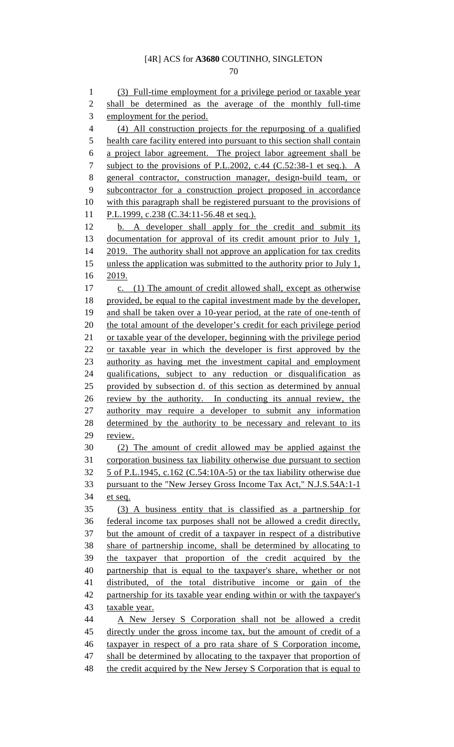1 (3) Full-time employment for a privilege period or taxable year 2 shall be determined as the average of the monthly full-time 3 employment for the period. 4 (4) All construction projects for the repurposing of a qualified 5 health care facility entered into pursuant to this section shall contain 6 a project labor agreement. The project labor agreement shall be 7 subject to the provisions of P.L.2002, c.44 (C.52:38-1 et seq.). A 8 general contractor, construction manager, design-build team, or 9 subcontractor for a construction project proposed in accordance 10 with this paragraph shall be registered pursuant to the provisions of 11 P.L.1999, c.238 (C.34:11-56.48 et seq.). 12 b. A developer shall apply for the credit and submit its 13 documentation for approval of its credit amount prior to July 1, 14 2019. The authority shall not approve an application for tax credits 15 unless the application was submitted to the authority prior to July 1, 16 2019. 17 c. (1) The amount of credit allowed shall, except as otherwise 18 provided, be equal to the capital investment made by the developer, 19 and shall be taken over a 10-year period, at the rate of one-tenth of 20 the total amount of the developer's credit for each privilege period 21 or taxable year of the developer, beginning with the privilege period 22 or taxable year in which the developer is first approved by the 23 authority as having met the investment capital and employment 24 qualifications, subject to any reduction or disqualification as 25 provided by subsection d. of this section as determined by annual 26 review by the authority. In conducting its annual review, the 27 authority may require a developer to submit any information 28 determined by the authority to be necessary and relevant to its 29 review. 30 (2) The amount of credit allowed may be applied against the 31 corporation business tax liability otherwise due pursuant to section 32 5 of P.L.1945, c.162 (C.54:10A-5) or the tax liability otherwise due 33 pursuant to the "New Jersey Gross Income Tax Act," N.J.S.54A:1-1 34 et seq. 35 (3) A business entity that is classified as a partnership for 36 federal income tax purposes shall not be allowed a credit directly, 37 but the amount of credit of a taxpayer in respect of a distributive 38 share of partnership income, shall be determined by allocating to 39 the taxpayer that proportion of the credit acquired by the 40 partnership that is equal to the taxpayer's share, whether or not 41 distributed, of the total distributive income or gain of the 42 partnership for its taxable year ending within or with the taxpayer's 43 taxable year. 44 A New Jersey S Corporation shall not be allowed a credit 45 directly under the gross income tax, but the amount of credit of a 46 taxpayer in respect of a pro rata share of S Corporation income, 47 shall be determined by allocating to the taxpayer that proportion of 48 the credit acquired by the New Jersey S Corporation that is equal to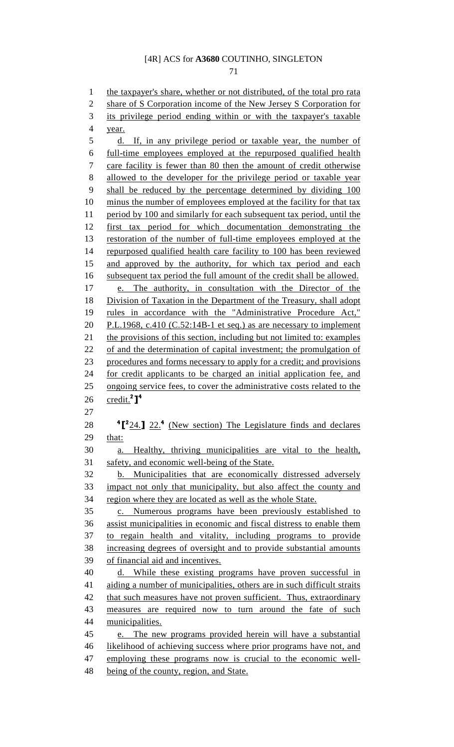71

1 the taxpayer's share, whether or not distributed, of the total pro rata 2 share of S Corporation income of the New Jersey S Corporation for 3 its privilege period ending within or with the taxpayer's taxable 4 year. 5 d. If, in any privilege period or taxable year, the number of 6 full-time employees employed at the repurposed qualified health 7 care facility is fewer than 80 then the amount of credit otherwise 8 allowed to the developer for the privilege period or taxable year 9 shall be reduced by the percentage determined by dividing 100 10 minus the number of employees employed at the facility for that tax 11 period by 100 and similarly for each subsequent tax period, until the 12 first tax period for which documentation demonstrating the 13 restoration of the number of full-time employees employed at the 14 repurposed qualified health care facility to 100 has been reviewed 15 and approved by the authority, for which tax period and each 16 subsequent tax period the full amount of the credit shall be allowed. 17 e. The authority, in consultation with the Director of the 18 Division of Taxation in the Department of the Treasury, shall adopt 19 rules in accordance with the "Administrative Procedure Act," 20 P.L.1968, c.410 (C.52:14B-1 et seq.) as are necessary to implement 21 the provisions of this section, including but not limited to: examples 22 of and the determination of capital investment; the promulgation of 23 procedures and forms necessary to apply for a credit; and provisions 24 for credit applicants to be charged an initial application fee, and 25 ongoing service fees, to cover the administrative costs related to the 26 credit.<sup>2</sup>]<sup>4</sup> 27 28  $\frac{4}[^{2}24.]$  22.<sup>4</sup> (New section) The Legislature finds and declares 29 that: 30 a. Healthy, thriving municipalities are vital to the health, 31 safety, and economic well-being of the State. 32 b. Municipalities that are economically distressed adversely 33 impact not only that municipality, but also affect the county and 34 region where they are located as well as the whole State. 35 c. Numerous programs have been previously established to 36 assist municipalities in economic and fiscal distress to enable them 37 to regain health and vitality, including programs to provide 38 increasing degrees of oversight and to provide substantial amounts 39 of financial aid and incentives. 40 d. While these existing programs have proven successful in 41 aiding a number of municipalities, others are in such difficult straits 42 that such measures have not proven sufficient. Thus, extraordinary 43 measures are required now to turn around the fate of such 44 municipalities. 45 e. The new programs provided herein will have a substantial 46 likelihood of achieving success where prior programs have not, and 47 employing these programs now is crucial to the economic well-48 being of the county, region, and State.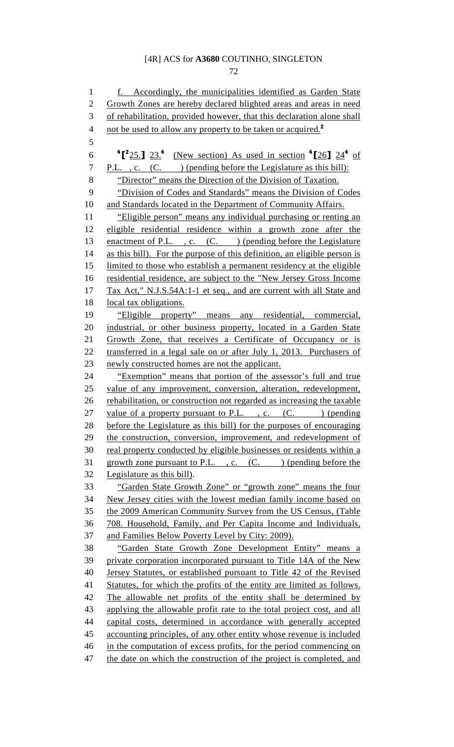72

1 f. Accordingly, the municipalities identified as Garden State 2 Growth Zones are hereby declared blighted areas and areas in need 3 of rehabilitation, provided however, that this declaration alone shall 4 not be used to allow any property to be taken or acquired.<sup>2</sup> 5  $\rm 6$   $\rm ^4$  [<sup>2</sup>25.] 23.<sup>4</sup> (New section) As used in section  $\rm ^4$  [26] 24<sup>4</sup> of 7 P.L., c. (C. ) (pending before the Legislature as this bill): 8 "Director" means the Direction of the Division of Taxation. 9 "Division of Codes and Standards" means the Division of Codes 10 and Standards located in the Department of Community Affairs. 11 "Eligible person" means any individual purchasing or renting an 12 eligible residential residence within a growth zone after the 13 enactment of P.L., c. (C.) (pending before the Legislature 14 as this bill). For the purpose of this definition, an eligible person is 15 limited to those who establish a permanent residency at the eligible 16 residential residence, are subject to the "New Jersey Gross Income 17 Tax Act," N.J.S.54A:1-1 et seq., and are current with all State and 18 local tax obligations. 19 "Eligible property" means any residential, commercial, 20 industrial, or other business property, located in a Garden State 21 Growth Zone, that receives a Certificate of Occupancy or is 22 transferred in a legal sale on or after July 1, 2013. Purchasers of 23 newly constructed homes are not the applicant. 24 "Exemption" means that portion of the assessor's full and true 25 value of any improvement, conversion, alteration, redevelopment, 26 rehabilitation, or construction not regarded as increasing the taxable 27 value of a property pursuant to P.L. , c.  $(C.$  ) (pending 28 before the Legislature as this bill) for the purposes of encouraging 29 the construction, conversion, improvement, and redevelopment of 30 real property conducted by eligible businesses or residents within a 31 growth zone pursuant to P.L., c.  $(C.$  ) (pending before the 32 Legislature as this bill). 33 "Garden State Growth Zone" or "growth zone" means the four 34 New Jersey cities with the lowest median family income based on 35 the 2009 American Community Survey from the US Census, (Table 36 708. Household, Family, and Per Capita Income and Individuals, 37 and Families Below Poverty Level by City: 2009). 38 "Garden State Growth Zone Development Entity" means a 39 private corporation incorporated pursuant to Title 14A of the New 40 Jersey Statutes, or established pursuant to Title 42 of the Revised 41 Statutes, for which the profits of the entity are limited as follows. 42 The allowable net profits of the entity shall be determined by 43 applying the allowable profit rate to the total project cost, and all 44 capital costs, determined in accordance with generally accepted 45 accounting principles, of any other entity whose revenue is included 46 in the computation of excess profits, for the period commencing on 47 the date on which the construction of the project is completed, and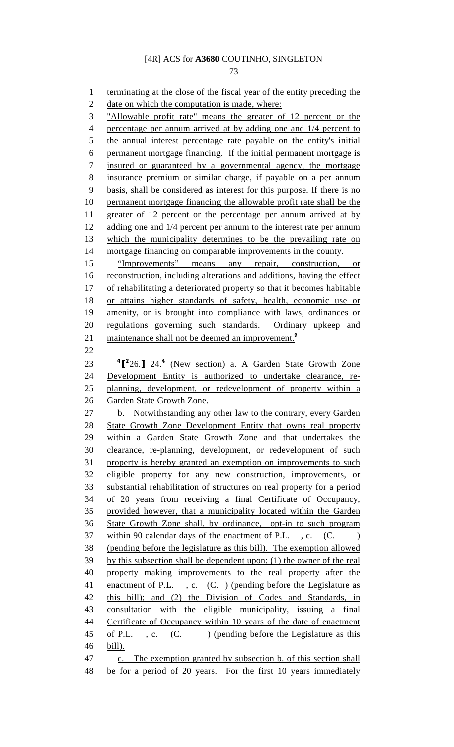73

1 terminating at the close of the fiscal year of the entity preceding the 2 date on which the computation is made, where: 3 "Allowable profit rate" means the greater of 12 percent or the 4 percentage per annum arrived at by adding one and 1/4 percent to 5 the annual interest percentage rate payable on the entity's initial 6 permanent mortgage financing. If the initial permanent mortgage is 7 insured or guaranteed by a governmental agency, the mortgage 8 insurance premium or similar charge, if payable on a per annum 9 basis, shall be considered as interest for this purpose. If there is no 10 permanent mortgage financing the allowable profit rate shall be the 11 greater of 12 percent or the percentage per annum arrived at by 12 adding one and 1/4 percent per annum to the interest rate per annum 13 which the municipality determines to be the prevailing rate on 14 mortgage financing on comparable improvements in the county. 15 "Improvements" means any repair, construction, or 16 reconstruction, including alterations and additions, having the effect 17 of rehabilitating a deteriorated property so that it becomes habitable 18 or attains higher standards of safety, health, economic use or 19 amenity, or is brought into compliance with laws, ordinances or 20 regulations governing such standards. Ordinary upkeep and 21 maintenance shall not be deemed an improvement.<sup>2</sup> 22 23  $\frac{4[^{2}26.]}{24.}$  (New section) a. A Garden State Growth Zone 24 Development Entity is authorized to undertake clearance, re-25 planning, development, or redevelopment of property within a 26 Garden State Growth Zone. 27 b. Notwithstanding any other law to the contrary, every Garden 28 State Growth Zone Development Entity that owns real property 29 within a Garden State Growth Zone and that undertakes the 30 clearance, re-planning, development, or redevelopment of such 31 property is hereby granted an exemption on improvements to such 32 eligible property for any new construction, improvements, or 33 substantial rehabilitation of structures on real property for a period 34 of 20 years from receiving a final Certificate of Occupancy, 35 provided however, that a municipality located within the Garden 36 State Growth Zone shall, by ordinance, opt-in to such program 37 within 90 calendar days of the enactment of P.L., c. (C.) 38 (pending before the legislature as this bill). The exemption allowed 39 by this subsection shall be dependent upon: (1) the owner of the real 40 property making improvements to the real property after the 41 enactment of P.L., c. (C.) (pending before the Legislature as 42 this bill); and (2) the Division of Codes and Standards, in 43 consultation with the eligible municipality, issuing a final 44 Certificate of Occupancy within 10 years of the date of enactment 45 of P.L., c. (C.) (pending before the Legislature as this 46 bill). 47 c. The exemption granted by subsection b. of this section shall 48 be for a period of 20 years. For the first 10 years immediately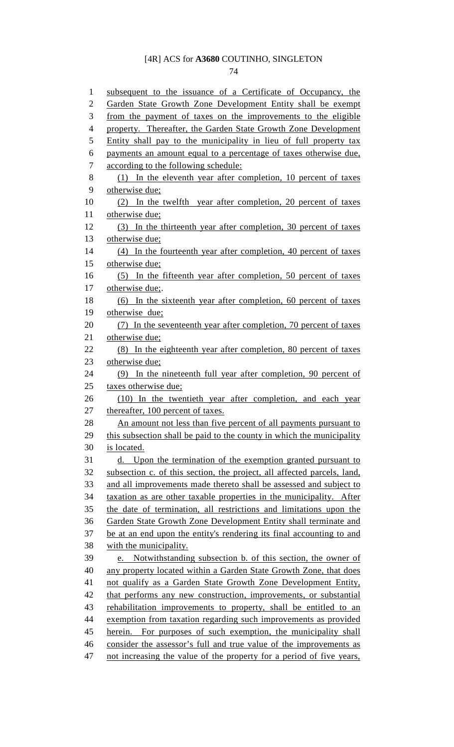74

| $\mathbf{1}$   | subsequent to the issuance of a Certificate of Occupancy, the           |
|----------------|-------------------------------------------------------------------------|
| $\overline{2}$ | Garden State Growth Zone Development Entity shall be exempt             |
| 3              | from the payment of taxes on the improvements to the eligible           |
| $\overline{4}$ | property. Thereafter, the Garden State Growth Zone Development          |
| 5              | Entity shall pay to the municipality in lieu of full property tax       |
| 6              | payments an amount equal to a percentage of taxes otherwise due,        |
| 7              | according to the following schedule:                                    |
| 8              | (1) In the eleventh year after completion, 10 percent of taxes          |
| 9              | otherwise due;                                                          |
| 10             | (2) In the twelfth year after completion, 20 percent of taxes           |
| 11             | otherwise due;                                                          |
| 12             | (3) In the thirteenth year after completion, 30 percent of taxes        |
| 13             | otherwise due;                                                          |
| 14             | (4) In the fourteenth year after completion, 40 percent of taxes        |
| 15             | otherwise due;                                                          |
| 16             | (5) In the fifteenth year after completion, 50 percent of taxes         |
| 17             | otherwise due;.                                                         |
| 18             | (6) In the sixteenth year after completion, 60 percent of taxes         |
| 19             | otherwise due;                                                          |
| 20             | (7) In the seventeenth year after completion, 70 percent of taxes       |
| 21             | otherwise due;                                                          |
| 22             | (8) In the eighteenth year after completion, 80 percent of taxes        |
| 23             | otherwise due;                                                          |
| 24             | In the nineteenth full year after completion, 90 percent of<br>(9)      |
| 25             | taxes otherwise due;                                                    |
| 26             | (10) In the twentieth year after completion, and each year              |
| 27             | thereafter, 100 percent of taxes.                                       |
| 28             | An amount not less than five percent of all payments pursuant to        |
| 29             | this subsection shall be paid to the county in which the municipality   |
| 30             | is located.                                                             |
| 31             | d. Upon the termination of the exemption granted pursuant to            |
| 32             | subsection c. of this section, the project, all affected parcels, land, |
| 33             | and all improvements made thereto shall be assessed and subject to      |
| 34             | taxation as are other taxable properties in the municipality. After     |
| 35             | the date of termination, all restrictions and limitations upon the      |
| 36             | Garden State Growth Zone Development Entity shall terminate and         |
| 37             | be at an end upon the entity's rendering its final accounting to and    |
| 38             | with the municipality.                                                  |
| 39             | e. Notwithstanding subsection b. of this section, the owner of          |
| 40             | any property located within a Garden State Growth Zone, that does       |
| 41             | not qualify as a Garden State Growth Zone Development Entity,           |
| 42             | that performs any new construction, improvements, or substantial        |
| 43             | rehabilitation improvements to property, shall be entitled to an        |
| 44             | exemption from taxation regarding such improvements as provided         |
| 45             | For purposes of such exemption, the municipality shall<br>herein.       |
| 46             | consider the assessor's full and true value of the improvements as      |
| 47             | not increasing the value of the property for a period of five years,    |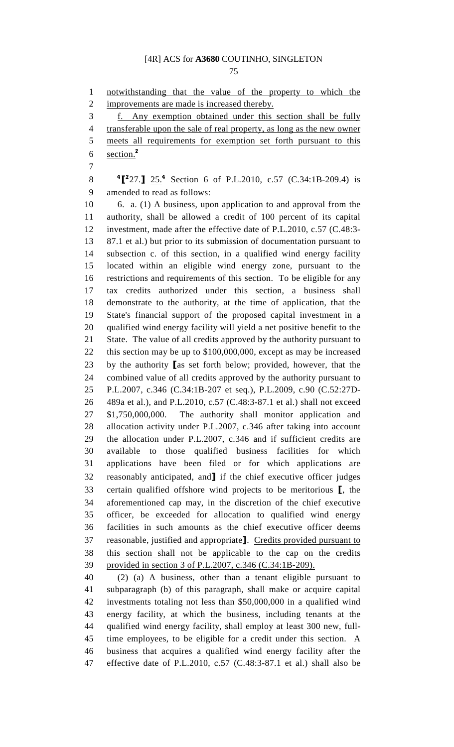75

1 notwithstanding that the value of the property to which the 2 improvements are made is increased thereby. 3 f. Any exemption obtained under this section shall be fully 4 transferable upon the sale of real property, as long as the new owner 5 meets all requirements for exemption set forth pursuant to this 6 section. $2$ 7 8  $\text{\textbf{4}}$   $\text{\textbf{27.}}$   $\text{\textbf{25.}}^4$  Section 6 of P.L.2010, c.57 (C.34:1B-209.4) is 9 amended to read as follows: 10 6. a. (1) A business, upon application to and approval from the 11 authority, shall be allowed a credit of 100 percent of its capital 12 investment, made after the effective date of P.L.2010, c.57 (C.48:3- 13 87.1 et al.) but prior to its submission of documentation pursuant to 14 subsection c. of this section, in a qualified wind energy facility 15 located within an eligible wind energy zone, pursuant to the 16 restrictions and requirements of this section. To be eligible for any 17 tax credits authorized under this section, a business shall 18 demonstrate to the authority, at the time of application, that the 19 State's financial support of the proposed capital investment in a 20 qualified wind energy facility will yield a net positive benefit to the 21 State. The value of all credits approved by the authority pursuant to 22 this section may be up to \$100,000,000, except as may be increased 23 by the authority [as set forth below; provided, however, that the 24 combined value of all credits approved by the authority pursuant to 25 P.L.2007, c.346 (C.34:1B-207 et seq.), P.L.2009, c.90 (C.52:27D-26 489a et al.), and P.L.2010, c.57 (C.48:3-87.1 et al.) shall not exceed 27 \$1,750,000,000. The authority shall monitor application and 28 allocation activity under P.L.2007, c.346 after taking into account 29 the allocation under P.L.2007, c.346 and if sufficient credits are 30 available to those qualified business facilities for which 31 applications have been filed or for which applications are 32 reasonably anticipated, and] if the chief executive officer judges 33 certain qualified offshore wind projects to be meritorious [, the 34 aforementioned cap may, in the discretion of the chief executive 35 officer, be exceeded for allocation to qualified wind energy 36 facilities in such amounts as the chief executive officer deems 37 reasonable, justified and appropriate]. Credits provided pursuant to 38 this section shall not be applicable to the cap on the credits 39 provided in section 3 of P.L.2007, c.346 (C.34:1B-209). 40 (2) (a) A business, other than a tenant eligible pursuant to 41 subparagraph (b) of this paragraph, shall make or acquire capital 42 investments totaling not less than \$50,000,000 in a qualified wind 43 energy facility, at which the business, including tenants at the 44 qualified wind energy facility, shall employ at least 300 new, full-45 time employees, to be eligible for a credit under this section. A 46 business that acquires a qualified wind energy facility after the

47 effective date of P.L.2010, c.57 (C.48:3-87.1 et al.) shall also be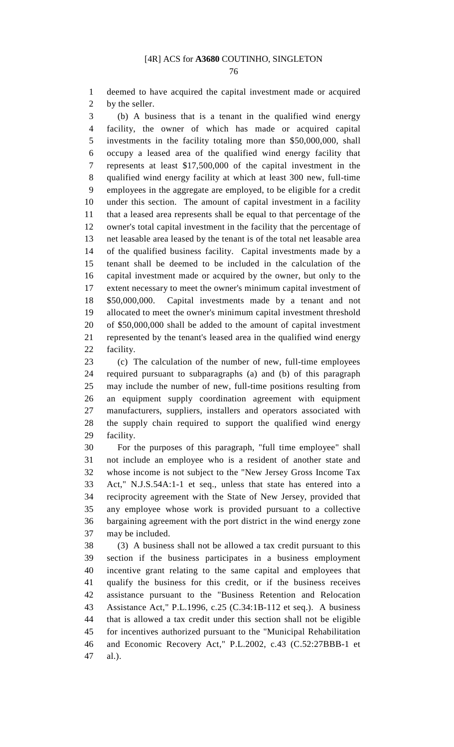76

1 deemed to have acquired the capital investment made or acquired 2 by the seller.

3 (b) A business that is a tenant in the qualified wind energy 4 facility, the owner of which has made or acquired capital 5 investments in the facility totaling more than \$50,000,000, shall 6 occupy a leased area of the qualified wind energy facility that 7 represents at least \$17,500,000 of the capital investment in the 8 qualified wind energy facility at which at least 300 new, full-time 9 employees in the aggregate are employed, to be eligible for a credit 10 under this section. The amount of capital investment in a facility 11 that a leased area represents shall be equal to that percentage of the 12 owner's total capital investment in the facility that the percentage of 13 net leasable area leased by the tenant is of the total net leasable area 14 of the qualified business facility. Capital investments made by a 15 tenant shall be deemed to be included in the calculation of the 16 capital investment made or acquired by the owner, but only to the 17 extent necessary to meet the owner's minimum capital investment of 18 \$50,000,000. Capital investments made by a tenant and not 19 allocated to meet the owner's minimum capital investment threshold 20 of \$50,000,000 shall be added to the amount of capital investment 21 represented by the tenant's leased area in the qualified wind energy 22 facility.

23 (c) The calculation of the number of new, full-time employees 24 required pursuant to subparagraphs (a) and (b) of this paragraph 25 may include the number of new, full-time positions resulting from 26 an equipment supply coordination agreement with equipment 27 manufacturers, suppliers, installers and operators associated with 28 the supply chain required to support the qualified wind energy 29 facility.

30 For the purposes of this paragraph, "full time employee" shall 31 not include an employee who is a resident of another state and 32 whose income is not subject to the "New Jersey Gross Income Tax 33 Act," N.J.S.54A:1-1 et seq., unless that state has entered into a 34 reciprocity agreement with the State of New Jersey, provided that 35 any employee whose work is provided pursuant to a collective 36 bargaining agreement with the port district in the wind energy zone 37 may be included.

38 (3) A business shall not be allowed a tax credit pursuant to this 39 section if the business participates in a business employment 40 incentive grant relating to the same capital and employees that 41 qualify the business for this credit, or if the business receives 42 assistance pursuant to the "Business Retention and Relocation 43 Assistance Act," P.L.1996, c.25 (C.34:1B-112 et seq.). A business 44 that is allowed a tax credit under this section shall not be eligible 45 for incentives authorized pursuant to the "Municipal Rehabilitation 46 and Economic Recovery Act," P.L.2002, c.43 (C.52:27BBB-1 et 47 al.).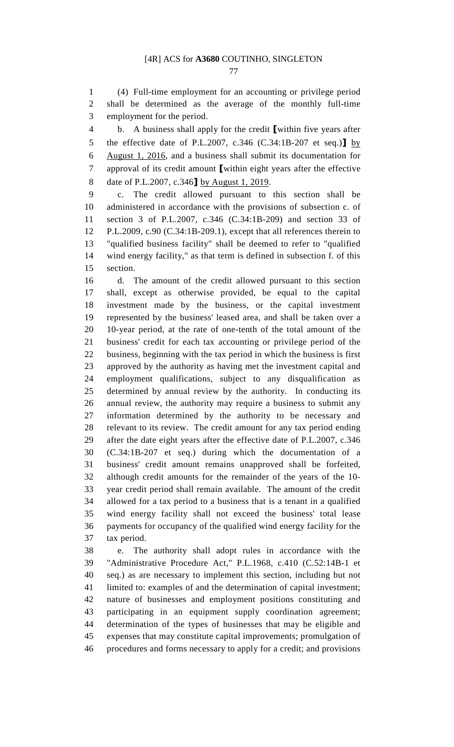77

1 (4) Full-time employment for an accounting or privilege period 2 shall be determined as the average of the monthly full-time 3 employment for the period.

4 b. A business shall apply for the credit [within five years after 5 the effective date of P.L.2007, c.346 (C.34:1B-207 et seq.)] by 6 August 1, 2016, and a business shall submit its documentation for 7 approval of its credit amount [within eight years after the effective 8 date of P.L.2007, c.346] by August 1, 2019.

9 c. The credit allowed pursuant to this section shall be 10 administered in accordance with the provisions of subsection c. of 11 section 3 of P.L.2007, c.346 (C.34:1B-209) and section 33 of 12 P.L.2009, c.90 (C.34:1B-209.1), except that all references therein to 13 "qualified business facility" shall be deemed to refer to "qualified 14 wind energy facility," as that term is defined in subsection f. of this 15 section.

16 d. The amount of the credit allowed pursuant to this section 17 shall, except as otherwise provided, be equal to the capital 18 investment made by the business, or the capital investment 19 represented by the business' leased area, and shall be taken over a 20 10-year period, at the rate of one-tenth of the total amount of the 21 business' credit for each tax accounting or privilege period of the 22 business, beginning with the tax period in which the business is first 23 approved by the authority as having met the investment capital and 24 employment qualifications, subject to any disqualification as 25 determined by annual review by the authority. In conducting its 26 annual review, the authority may require a business to submit any 27 information determined by the authority to be necessary and 28 relevant to its review. The credit amount for any tax period ending 29 after the date eight years after the effective date of P.L.2007, c.346 30 (C.34:1B-207 et seq.) during which the documentation of a 31 business' credit amount remains unapproved shall be forfeited, 32 although credit amounts for the remainder of the years of the 10- 33 year credit period shall remain available. The amount of the credit 34 allowed for a tax period to a business that is a tenant in a qualified 35 wind energy facility shall not exceed the business' total lease 36 payments for occupancy of the qualified wind energy facility for the 37 tax period.

38 e. The authority shall adopt rules in accordance with the 39 "Administrative Procedure Act," P.L.1968, c.410 (C.52:14B-1 et 40 seq.) as are necessary to implement this section, including but not 41 limited to: examples of and the determination of capital investment; 42 nature of businesses and employment positions constituting and 43 participating in an equipment supply coordination agreement; 44 determination of the types of businesses that may be eligible and 45 expenses that may constitute capital improvements; promulgation of 46 procedures and forms necessary to apply for a credit; and provisions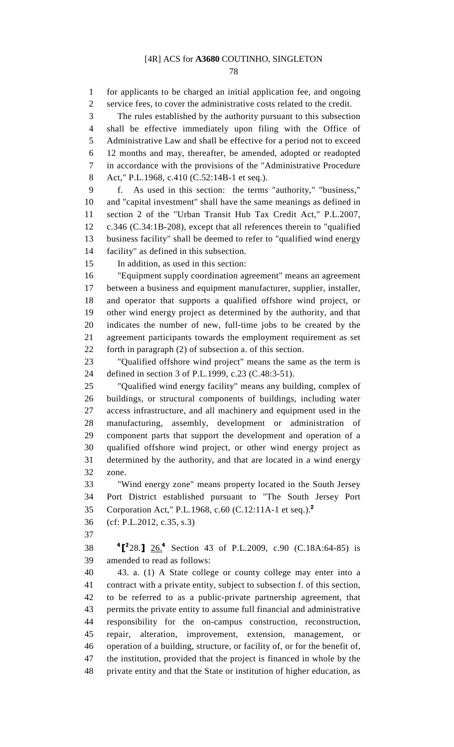78

1 for applicants to be charged an initial application fee, and ongoing 2 service fees, to cover the administrative costs related to the credit. 3 The rules established by the authority pursuant to this subsection 4 shall be effective immediately upon filing with the Office of 5 Administrative Law and shall be effective for a period not to exceed 6 12 months and may, thereafter, be amended, adopted or readopted 7 in accordance with the provisions of the "Administrative Procedure 8 Act," P.L.1968, c.410 (C.52:14B-1 et seq.). 9 f. As used in this section: the terms "authority," "business," 10 and "capital investment" shall have the same meanings as defined in 11 section 2 of the "Urban Transit Hub Tax Credit Act," P.L.2007, 12 c.346 (C.34:1B-208), except that all references therein to "qualified 13 business facility" shall be deemed to refer to "qualified wind energy 14 facility" as defined in this subsection. 15 In addition, as used in this section: 16 "Equipment supply coordination agreement" means an agreement 17 between a business and equipment manufacturer, supplier, installer, 18 and operator that supports a qualified offshore wind project, or 19 other wind energy project as determined by the authority, and that 20 indicates the number of new, full-time jobs to be created by the 21 agreement participants towards the employment requirement as set 22 forth in paragraph (2) of subsection a. of this section. 23 "Qualified offshore wind project" means the same as the term is 24 defined in section 3 of P.L.1999, c.23 (C.48:3-51). 25 "Qualified wind energy facility" means any building, complex of 26 buildings, or structural components of buildings, including water 27 access infrastructure, and all machinery and equipment used in the 28 manufacturing, assembly, development or administration of 29 component parts that support the development and operation of a 30 qualified offshore wind project, or other wind energy project as 31 determined by the authority, and that are located in a wind energy 32 zone. 33 "Wind energy zone" means property located in the South Jersey 34 Port District established pursuant to "The South Jersey Port 35 Corporation Act," P.L.1968, c.60 (C.12:11A-1 et seq.).<sup>2</sup> 36 (cf: P.L.2012, c.35, s.3) 37 38 <sup>4</sup><sup>2</sup>28.<sup>4</sup> 2<u>6.<sup>4</sup> Section 43 of P.L.2009, c.90 (C.18A:64-85)</u> is 39 amended to read as follows: 40 43. a. (1) A State college or county college may enter into a 41 contract with a private entity, subject to subsection f. of this section, 42 to be referred to as a public-private partnership agreement, that 43 permits the private entity to assume full financial and administrative 44 responsibility for the on-campus construction, reconstruction, 45 repair, alteration, improvement, extension, management, or 46 operation of a building, structure, or facility of, or for the benefit of, 47 the institution, provided that the project is financed in whole by the 48 private entity and that the State or institution of higher education, as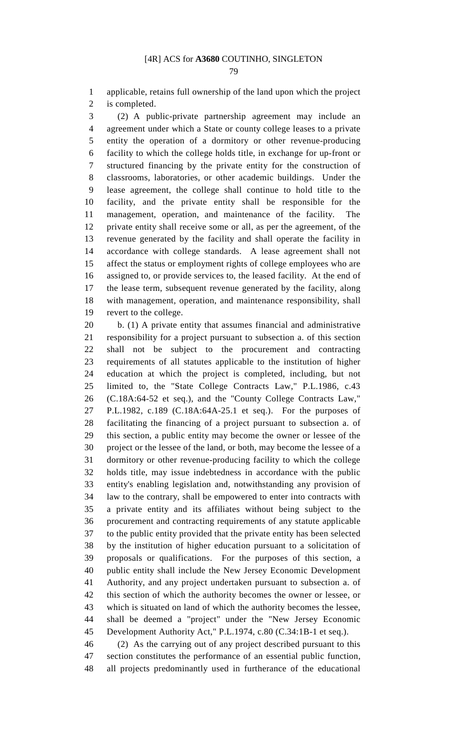1 applicable, retains full ownership of the land upon which the project 2 is completed.

3 (2) A public-private partnership agreement may include an 4 agreement under which a State or county college leases to a private 5 entity the operation of a dormitory or other revenue-producing 6 facility to which the college holds title, in exchange for up-front or 7 structured financing by the private entity for the construction of 8 classrooms, laboratories, or other academic buildings. Under the 9 lease agreement, the college shall continue to hold title to the 10 facility, and the private entity shall be responsible for the 11 management, operation, and maintenance of the facility. The 12 private entity shall receive some or all, as per the agreement, of the 13 revenue generated by the facility and shall operate the facility in 14 accordance with college standards. A lease agreement shall not 15 affect the status or employment rights of college employees who are 16 assigned to, or provide services to, the leased facility. At the end of 17 the lease term, subsequent revenue generated by the facility, along 18 with management, operation, and maintenance responsibility, shall 19 revert to the college.

20 b. (1) A private entity that assumes financial and administrative 21 responsibility for a project pursuant to subsection a. of this section 22 shall not be subject to the procurement and contracting 23 requirements of all statutes applicable to the institution of higher 24 education at which the project is completed, including, but not 25 limited to, the "State College Contracts Law," P.L.1986, c.43 26 (C.18A:64-52 et seq.), and the "County College Contracts Law," 27 P.L.1982, c.189 (C.18A:64A-25.1 et seq.). For the purposes of 28 facilitating the financing of a project pursuant to subsection a. of 29 this section, a public entity may become the owner or lessee of the 30 project or the lessee of the land, or both, may become the lessee of a 31 dormitory or other revenue-producing facility to which the college 32 holds title, may issue indebtedness in accordance with the public 33 entity's enabling legislation and, notwithstanding any provision of 34 law to the contrary, shall be empowered to enter into contracts with 35 a private entity and its affiliates without being subject to the 36 procurement and contracting requirements of any statute applicable 37 to the public entity provided that the private entity has been selected 38 by the institution of higher education pursuant to a solicitation of 39 proposals or qualifications. For the purposes of this section, a 40 public entity shall include the New Jersey Economic Development 41 Authority, and any project undertaken pursuant to subsection a. of 42 this section of which the authority becomes the owner or lessee, or 43 which is situated on land of which the authority becomes the lessee, 44 shall be deemed a "project" under the "New Jersey Economic 45 Development Authority Act," P.L.1974, c.80 (C.34:1B-1 et seq.).

46 (2) As the carrying out of any project described pursuant to this 47 section constitutes the performance of an essential public function, 48 all projects predominantly used in furtherance of the educational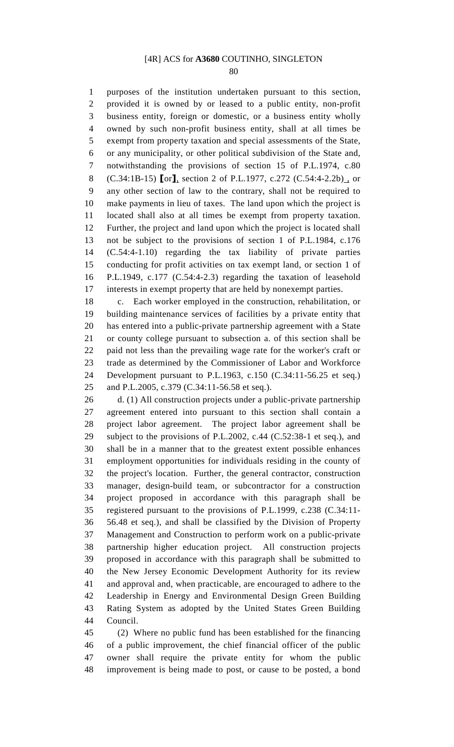80

1 purposes of the institution undertaken pursuant to this section, 2 provided it is owned by or leased to a public entity, non-profit 3 business entity, foreign or domestic, or a business entity wholly 4 owned by such non-profit business entity, shall at all times be 5 exempt from property taxation and special assessments of the State, 6 or any municipality, or other political subdivision of the State and, 7 notwithstanding the provisions of section 15 of P.L.1974, c.80 8 (C.34:1B-15) [or], section 2 of P.L.1977, c.272 (C.54:4-2.2b), or 9 any other section of law to the contrary, shall not be required to 10 make payments in lieu of taxes. The land upon which the project is 11 located shall also at all times be exempt from property taxation. 12 Further, the project and land upon which the project is located shall 13 not be subject to the provisions of section 1 of P.L.1984, c.176 14 (C.54:4-1.10) regarding the tax liability of private parties 15 conducting for profit activities on tax exempt land, or section 1 of 16 P.L.1949, c.177 (C.54:4-2.3) regarding the taxation of leasehold 17 interests in exempt property that are held by nonexempt parties.

18 c. Each worker employed in the construction, rehabilitation, or 19 building maintenance services of facilities by a private entity that 20 has entered into a public-private partnership agreement with a State 21 or county college pursuant to subsection a. of this section shall be 22 paid not less than the prevailing wage rate for the worker's craft or 23 trade as determined by the Commissioner of Labor and Workforce 24 Development pursuant to P.L.1963, c.150 (C.34:11-56.25 et seq.) 25 and P.L.2005, c.379 (C.34:11-56.58 et seq.).

26 d. (1) All construction projects under a public-private partnership 27 agreement entered into pursuant to this section shall contain a 28 project labor agreement. The project labor agreement shall be 29 subject to the provisions of P.L.2002, c.44 (C.52:38-1 et seq.), and 30 shall be in a manner that to the greatest extent possible enhances 31 employment opportunities for individuals residing in the county of 32 the project's location. Further, the general contractor, construction 33 manager, design-build team, or subcontractor for a construction 34 project proposed in accordance with this paragraph shall be 35 registered pursuant to the provisions of P.L.1999, c.238 (C.34:11- 36 56.48 et seq.), and shall be classified by the Division of Property 37 Management and Construction to perform work on a public-private 38 partnership higher education project. All construction projects 39 proposed in accordance with this paragraph shall be submitted to 40 the New Jersey Economic Development Authority for its review 41 and approval and, when practicable, are encouraged to adhere to the 42 Leadership in Energy and Environmental Design Green Building 43 Rating System as adopted by the United States Green Building 44 Council.

45 (2) Where no public fund has been established for the financing 46 of a public improvement, the chief financial officer of the public 47 owner shall require the private entity for whom the public 48 improvement is being made to post, or cause to be posted, a bond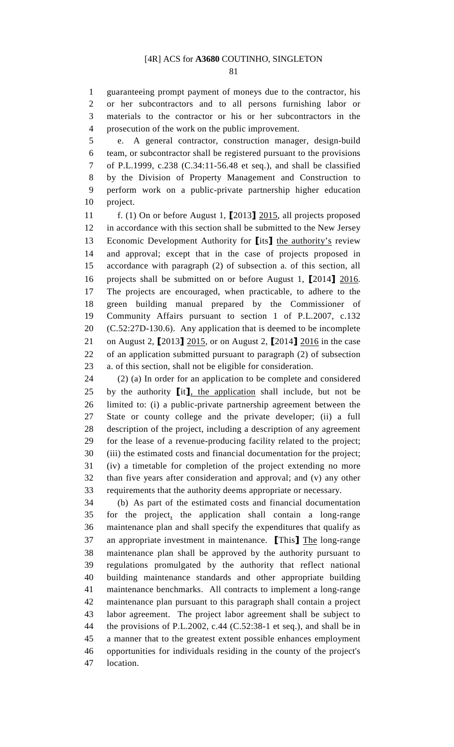81

1 guaranteeing prompt payment of moneys due to the contractor, his 2 or her subcontractors and to all persons furnishing labor or 3 materials to the contractor or his or her subcontractors in the 4 prosecution of the work on the public improvement.

5 e. A general contractor, construction manager, design-build 6 team, or subcontractor shall be registered pursuant to the provisions 7 of P.L.1999, c.238 (C.34:11-56.48 et seq.), and shall be classified 8 by the Division of Property Management and Construction to 9 perform work on a public-private partnership higher education 10 project.

11 f. (1) On or before August 1, [2013] 2015, all projects proposed 12 in accordance with this section shall be submitted to the New Jersey 13 Economic Development Authority for [its] the authority's review 14 and approval; except that in the case of projects proposed in 15 accordance with paragraph (2) of subsection a. of this section, all 16 projects shall be submitted on or before August 1, [2014] 2016. 17 The projects are encouraged, when practicable, to adhere to the 18 green building manual prepared by the Commissioner of 19 Community Affairs pursuant to section 1 of P.L.2007, c.132 20 (C.52:27D-130.6). Any application that is deemed to be incomplete 21 on August 2, [2013] 2015, or on August 2, [2014] 2016 in the case 22 of an application submitted pursuant to paragraph (2) of subsection 23 a. of this section, shall not be eligible for consideration.

24 (2) (a) In order for an application to be complete and considered 25 by the authority  $\left[$ it $\right]$ , the application shall include, but not be 26 limited to: (i) a public-private partnership agreement between the 27 State or county college and the private developer; (ii) a full 28 description of the project, including a description of any agreement 29 for the lease of a revenue-producing facility related to the project; 30 (iii) the estimated costs and financial documentation for the project; 31 (iv) a timetable for completion of the project extending no more 32 than five years after consideration and approval; and (v) any other 33 requirements that the authority deems appropriate or necessary.

34 (b) As part of the estimated costs and financial documentation 35 for the project, the application shall contain a long-range 36 maintenance plan and shall specify the expenditures that qualify as 37 an appropriate investment in maintenance. [This] The long-range 38 maintenance plan shall be approved by the authority pursuant to 39 regulations promulgated by the authority that reflect national 40 building maintenance standards and other appropriate building 41 maintenance benchmarks. All contracts to implement a long-range 42 maintenance plan pursuant to this paragraph shall contain a project 43 labor agreement. The project labor agreement shall be subject to 44 the provisions of P.L.2002, c.44 (C.52:38-1 et seq.), and shall be in 45 a manner that to the greatest extent possible enhances employment 46 opportunities for individuals residing in the county of the project's 47 location.